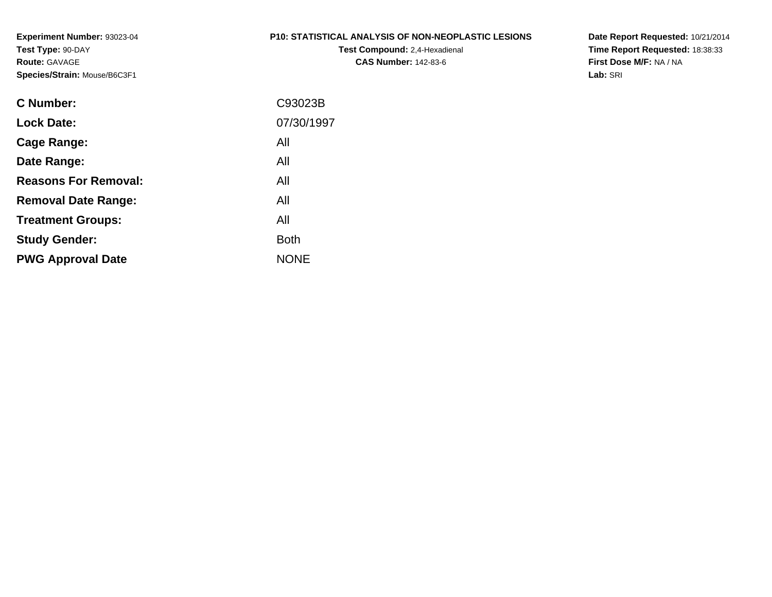#### **P10: STATISTICAL ANALYSIS OF NON-NEOPLASTIC LESIONS**

**Test Compound:** 2,4-Hexadienal **CAS Number:** 142-83-6

**Date Report Requested:** 10/21/2014 **Time Report Requested:** 18:38:33**First Dose M/F:** NA / NA**Lab:** SRI

| C Number:                   | C93023B     |
|-----------------------------|-------------|
| <b>Lock Date:</b>           | 07/30/1997  |
| Cage Range:                 | All         |
| Date Range:                 | All         |
| <b>Reasons For Removal:</b> | All         |
| <b>Removal Date Range:</b>  | All         |
| <b>Treatment Groups:</b>    | All         |
| <b>Study Gender:</b>        | <b>Both</b> |
| <b>PWG Approval Date</b>    | <b>NONE</b> |
|                             |             |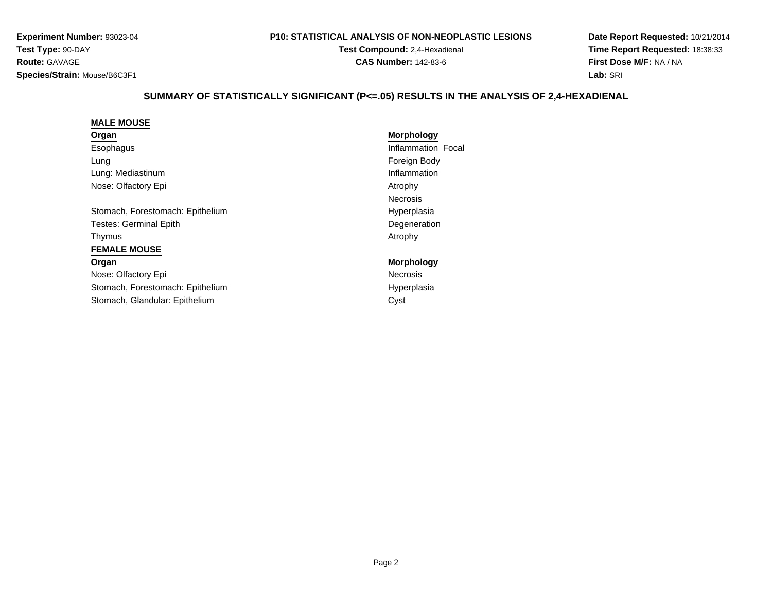#### **P10: STATISTICAL ANALYSIS OF NON-NEOPLASTIC LESIONS**

**Test Compound:** 2,4-Hexadienal **CAS Number:** 142-83-6

**Date Report Requested:** 10/21/2014**Time Report Requested:** 18:38:33**First Dose M/F:** NA / NA**Lab:** SRI

## **SUMMARY OF STATISTICALLY SIGNIFICANT (P<=.05) RESULTS IN THE ANALYSIS OF 2,4-HEXADIENAL**

#### **MALE MOUSEOrgan**

| Organ     |  |
|-----------|--|
| Esophagus |  |

LungLung: MediastinumNose: Olfactory Epi

Stomach, Forestomach: EpitheliumTestes: Germinal EpithThymuss and the contract of the contract of the contract of the contract of the contract of the contract of the contract of the contract of the contract of the contract of the contract of the contract of the contract of the cont **FEMALE MOUSE**

### **Organ**Nose: Olfactory EpiStomach, Forestomach: EpitheliumStomach, Glandular: Epithelium

# **Morphology** Inflammation Focal Foreign Body m<br>Inflammation<br>Inflammation Atrophy Necrosism Hyperplasia Degeneration<br>Atrophy

 **Morphology** Necrosism Hyperplasia m Cyst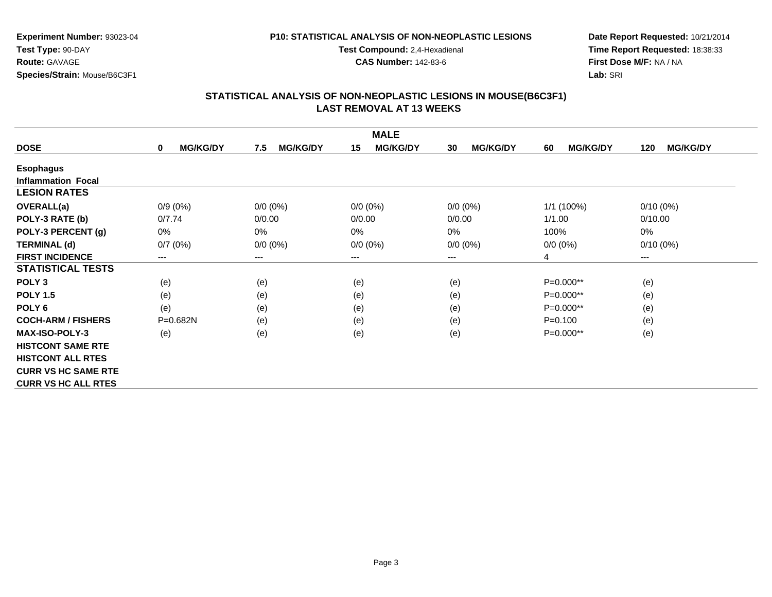### **P10: STATISTICAL ANALYSIS OF NON-NEOPLASTIC LESIONS**

**Test Compound:** 2,4-Hexadienal

**CAS Number:** 142-83-6

**Date Report Requested:** 10/21/2014**Time Report Requested:** 18:38:33**First Dose M/F:** NA / NA**Lab:** SRI

|                            |                      |                        | <b>MALE</b>            |                       |                       |                        |
|----------------------------|----------------------|------------------------|------------------------|-----------------------|-----------------------|------------------------|
| <b>DOSE</b>                | <b>MG/KG/DY</b><br>0 | <b>MG/KG/DY</b><br>7.5 | <b>MG/KG/DY</b><br>15  | <b>MG/KG/DY</b><br>30 | <b>MG/KG/DY</b><br>60 | <b>MG/KG/DY</b><br>120 |
| <b>Esophagus</b>           |                      |                        |                        |                       |                       |                        |
| <b>Inflammation Focal</b>  |                      |                        |                        |                       |                       |                        |
| <b>LESION RATES</b>        |                      |                        |                        |                       |                       |                        |
| <b>OVERALL(a)</b>          | $0/9(0\%)$           | $0/0 (0\%)$            | $0/0 (0\%)$            | $0/0 (0\%)$           | 1/1 (100%)            | $0/10(0\%)$            |
| POLY-3 RATE (b)            | 0/7.74               | 0/0.00                 | 0/0.00                 | 0/0.00                | 1/1.00                | 0/10.00                |
| POLY-3 PERCENT (g)         | 0%                   | $0\%$                  | 0%                     | 0%                    | 100%                  | 0%                     |
| <b>TERMINAL (d)</b>        | 0/7(0%)              | $0/0 (0\%)$            | $0/0 (0\%)$            | $0/0 (0\%)$           | $0/0 (0\%)$           | $0/10(0\%)$            |
| <b>FIRST INCIDENCE</b>     | ---                  | ---                    | $\qquad \qquad \cdots$ | ---                   | 4                     | $---$                  |
| <b>STATISTICAL TESTS</b>   |                      |                        |                        |                       |                       |                        |
| POLY <sub>3</sub>          | (e)                  | (e)                    | (e)                    | (e)                   | P=0.000**             | (e)                    |
| <b>POLY 1.5</b>            | (e)                  | (e)                    | (e)                    | (e)                   | P=0.000**             | (e)                    |
| POLY <sub>6</sub>          | (e)                  | (e)                    | (e)                    | (e)                   | P=0.000**             | (e)                    |
| <b>COCH-ARM / FISHERS</b>  | P=0.682N             | (e)                    | (e)                    | (e)                   | $P = 0.100$           | (e)                    |
| <b>MAX-ISO-POLY-3</b>      | (e)                  | (e)                    | (e)                    | (e)                   | P=0.000**             | (e)                    |
| <b>HISTCONT SAME RTE</b>   |                      |                        |                        |                       |                       |                        |
| <b>HISTCONT ALL RTES</b>   |                      |                        |                        |                       |                       |                        |
| <b>CURR VS HC SAME RTE</b> |                      |                        |                        |                       |                       |                        |
| <b>CURR VS HC ALL RTES</b> |                      |                        |                        |                       |                       |                        |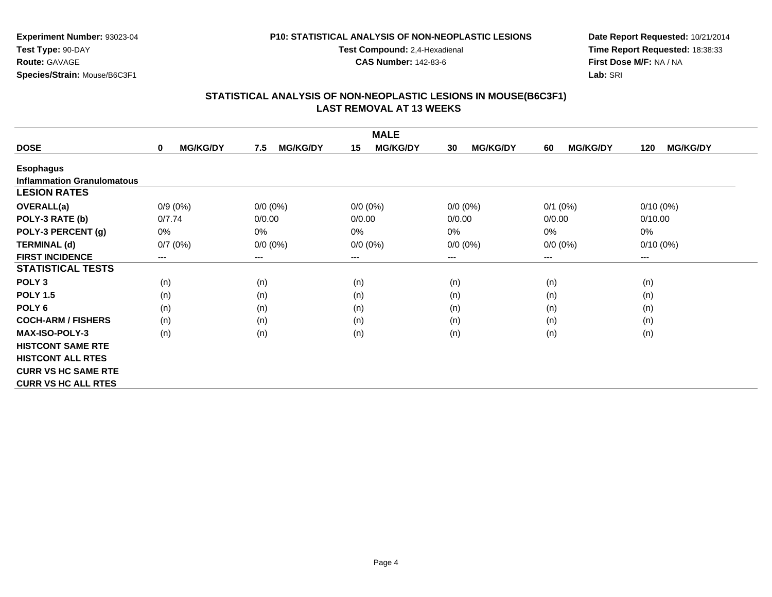### **P10: STATISTICAL ANALYSIS OF NON-NEOPLASTIC LESIONS**

**Test Compound:** 2,4-Hexadienal **CAS Number:** 142-83-6

**Date Report Requested:** 10/21/2014**Time Report Requested:** 18:38:33**First Dose M/F:** NA / NA**Lab:** SRI

| <b>MALE</b>                       |                                |                        |                        |                       |                       |                        |  |  |
|-----------------------------------|--------------------------------|------------------------|------------------------|-----------------------|-----------------------|------------------------|--|--|
| <b>DOSE</b>                       | <b>MG/KG/DY</b><br>$\mathbf 0$ | <b>MG/KG/DY</b><br>7.5 | <b>MG/KG/DY</b><br>15  | <b>MG/KG/DY</b><br>30 | <b>MG/KG/DY</b><br>60 | <b>MG/KG/DY</b><br>120 |  |  |
| <b>Esophagus</b>                  |                                |                        |                        |                       |                       |                        |  |  |
| <b>Inflammation Granulomatous</b> |                                |                        |                        |                       |                       |                        |  |  |
| <b>LESION RATES</b>               |                                |                        |                        |                       |                       |                        |  |  |
| <b>OVERALL(a)</b>                 | $0/9(0\%)$                     | $0/0 (0\%)$            | $0/0 (0\%)$            | $0/0 (0\%)$           | $0/1$ $(0%)$          | $0/10(0\%)$            |  |  |
| POLY-3 RATE (b)                   | 0/7.74                         | 0/0.00                 | 0/0.00                 | 0/0.00                | 0/0.00                | 0/10.00                |  |  |
| POLY-3 PERCENT (g)                | 0%                             | 0%                     | 0%                     | $0\%$                 | 0%                    | $0\%$                  |  |  |
| <b>TERMINAL (d)</b>               | 0/7(0%)                        | $0/0 (0\%)$            | $0/0 (0\%)$            | $0/0 (0\%)$           | $0/0 (0\%)$           | $0/10(0\%)$            |  |  |
| <b>FIRST INCIDENCE</b>            | $---$                          | $---$                  | $\qquad \qquad \cdots$ | $---$                 | ---                   | ---                    |  |  |
| <b>STATISTICAL TESTS</b>          |                                |                        |                        |                       |                       |                        |  |  |
| POLY <sub>3</sub>                 | (n)                            | (n)                    | (n)                    | (n)                   | (n)                   | (n)                    |  |  |
| <b>POLY 1.5</b>                   | (n)                            | (n)                    | (n)                    | (n)                   | (n)                   | (n)                    |  |  |
| POLY <sub>6</sub>                 | (n)                            | (n)                    | (n)                    | (n)                   | (n)                   | (n)                    |  |  |
| <b>COCH-ARM / FISHERS</b>         | (n)                            | (n)                    | (n)                    | (n)                   | (n)                   | (n)                    |  |  |
| <b>MAX-ISO-POLY-3</b>             | (n)                            | (n)                    | (n)                    | (n)                   | (n)                   | (n)                    |  |  |
| <b>HISTCONT SAME RTE</b>          |                                |                        |                        |                       |                       |                        |  |  |
| <b>HISTCONT ALL RTES</b>          |                                |                        |                        |                       |                       |                        |  |  |
| <b>CURR VS HC SAME RTE</b>        |                                |                        |                        |                       |                       |                        |  |  |
| <b>CURR VS HC ALL RTES</b>        |                                |                        |                        |                       |                       |                        |  |  |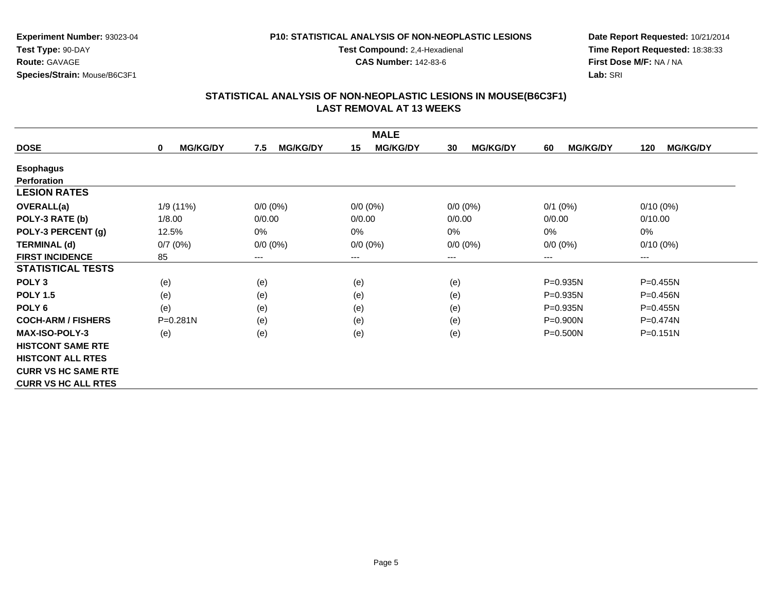#### **P10: STATISTICAL ANALYSIS OF NON-NEOPLASTIC LESIONS**

**Test Compound:** 2,4-Hexadienal

**CAS Number:** 142-83-6

**Date Report Requested:** 10/21/2014**Time Report Requested:** 18:38:33**First Dose M/F:** NA / NA**Lab:** SRI

|                            |                                |                        | <b>MALE</b>            |                       |                       |                        |
|----------------------------|--------------------------------|------------------------|------------------------|-----------------------|-----------------------|------------------------|
| <b>DOSE</b>                | <b>MG/KG/DY</b><br>$\mathbf 0$ | <b>MG/KG/DY</b><br>7.5 | <b>MG/KG/DY</b><br>15  | <b>MG/KG/DY</b><br>30 | <b>MG/KG/DY</b><br>60 | <b>MG/KG/DY</b><br>120 |
| <b>Esophagus</b>           |                                |                        |                        |                       |                       |                        |
| Perforation                |                                |                        |                        |                       |                       |                        |
| <b>LESION RATES</b>        |                                |                        |                        |                       |                       |                        |
| <b>OVERALL(a)</b>          | 1/9(11%)                       | $0/0$ (0%)             | $0/0 (0\%)$            | $0/0 (0\%)$           | $0/1$ (0%)            | $0/10(0\%)$            |
| POLY-3 RATE (b)            | 1/8.00                         | 0/0.00                 | 0/0.00                 | 0/0.00                | 0/0.00                | 0/10.00                |
| POLY-3 PERCENT (g)         | 12.5%                          | $0\%$                  | 0%                     | 0%                    | 0%                    | 0%                     |
| <b>TERMINAL (d)</b>        | 0/7(0%)                        | $0/0 (0\%)$            | $0/0 (0\%)$            | $0/0 (0\%)$           | $0/0 (0\%)$           | $0/10(0\%)$            |
| <b>FIRST INCIDENCE</b>     | 85                             | ---                    | $\qquad \qquad \cdots$ | ---                   | $--$                  | ---                    |
| <b>STATISTICAL TESTS</b>   |                                |                        |                        |                       |                       |                        |
| POLY <sub>3</sub>          | (e)                            | (e)                    | (e)                    | (e)                   | P=0.935N              | P=0.455N               |
| <b>POLY 1.5</b>            | (e)                            | (e)                    | (e)                    | (e)                   | $P = 0.935N$          | P=0.456N               |
| POLY <sub>6</sub>          | (e)                            | (e)                    | (e)                    | (e)                   | $P=0.935N$            | $P = 0.455N$           |
| <b>COCH-ARM / FISHERS</b>  | P=0.281N                       | (e)                    | (e)                    | (e)                   | P=0.900N              | $P=0.474N$             |
| <b>MAX-ISO-POLY-3</b>      | (e)                            | (e)                    | (e)                    | (e)                   | $P = 0.500N$          | $P = 0.151N$           |
| <b>HISTCONT SAME RTE</b>   |                                |                        |                        |                       |                       |                        |
| <b>HISTCONT ALL RTES</b>   |                                |                        |                        |                       |                       |                        |
| <b>CURR VS HC SAME RTE</b> |                                |                        |                        |                       |                       |                        |
| <b>CURR VS HC ALL RTES</b> |                                |                        |                        |                       |                       |                        |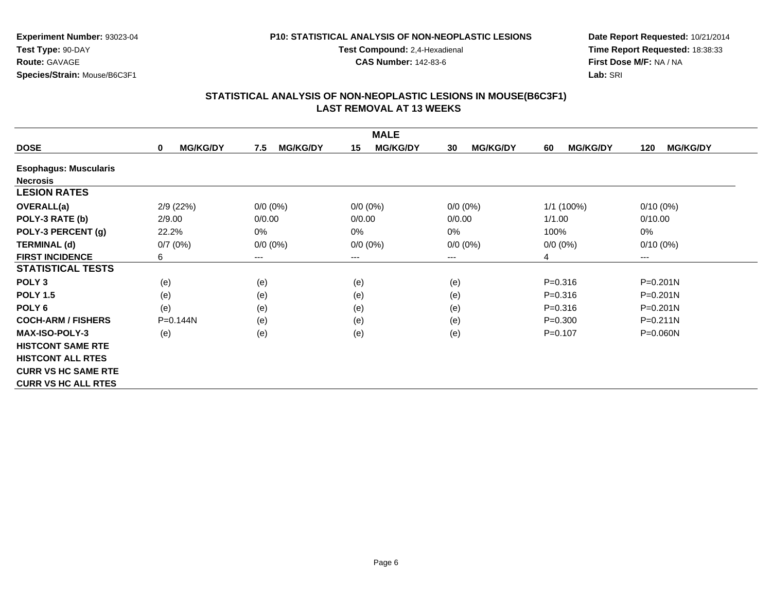### **P10: STATISTICAL ANALYSIS OF NON-NEOPLASTIC LESIONS**

**Test Compound:** 2,4-Hexadienal

**CAS Number:** 142-83-6

**Date Report Requested:** 10/21/2014**Time Report Requested:** 18:38:33**First Dose M/F:** NA / NA**Lab:** SRI

|                              |                      |                        | <b>MALE</b>           |                        |                       |                        |
|------------------------------|----------------------|------------------------|-----------------------|------------------------|-----------------------|------------------------|
| <b>DOSE</b>                  | <b>MG/KG/DY</b><br>0 | <b>MG/KG/DY</b><br>7.5 | <b>MG/KG/DY</b><br>15 | <b>MG/KG/DY</b><br>30  | <b>MG/KG/DY</b><br>60 | <b>MG/KG/DY</b><br>120 |
| <b>Esophagus: Muscularis</b> |                      |                        |                       |                        |                       |                        |
| <b>Necrosis</b>              |                      |                        |                       |                        |                       |                        |
| <b>LESION RATES</b>          |                      |                        |                       |                        |                       |                        |
| <b>OVERALL(a)</b>            | 2/9(22%)             | $0/0 (0\%)$            | $0/0 (0\%)$           | $0/0 (0\%)$            | $1/1(100\%)$          | $0/10(0\%)$            |
| POLY-3 RATE (b)              | 2/9.00               | 0/0.00                 | 0/0.00                | 0/0.00                 | 1/1.00                | 0/10.00                |
| POLY-3 PERCENT (g)           | 22.2%                | 0%                     | 0%                    | 0%                     | 100%                  | 0%                     |
| <b>TERMINAL (d)</b>          | 0/7(0%)              | $0/0 (0\%)$            | $0/0 (0\%)$           | $0/0 (0\%)$            | $0/0 (0\%)$           | $0/10(0\%)$            |
| <b>FIRST INCIDENCE</b>       | 6                    | ---                    | $--$                  | $\qquad \qquad \cdots$ | 4                     | ---                    |
| <b>STATISTICAL TESTS</b>     |                      |                        |                       |                        |                       |                        |
| POLY <sub>3</sub>            | (e)                  | (e)                    | (e)                   | (e)                    | $P = 0.316$           | $P = 0.201N$           |
| <b>POLY 1.5</b>              | (e)                  | (e)                    | (e)                   | (e)                    | $P = 0.316$           | $P = 0.201N$           |
| POLY <sub>6</sub>            | (e)                  | (e)                    | (e)                   | (e)                    | $P = 0.316$           | $P = 0.201N$           |
| <b>COCH-ARM / FISHERS</b>    | $P=0.144N$           | (e)                    | (e)                   | (e)                    | $P = 0.300$           | $P = 0.211N$           |
| <b>MAX-ISO-POLY-3</b>        | (e)                  | (e)                    | (e)                   | (e)                    | $P = 0.107$           | P=0.060N               |
| <b>HISTCONT SAME RTE</b>     |                      |                        |                       |                        |                       |                        |
| <b>HISTCONT ALL RTES</b>     |                      |                        |                       |                        |                       |                        |
| <b>CURR VS HC SAME RTE</b>   |                      |                        |                       |                        |                       |                        |
| <b>CURR VS HC ALL RTES</b>   |                      |                        |                       |                        |                       |                        |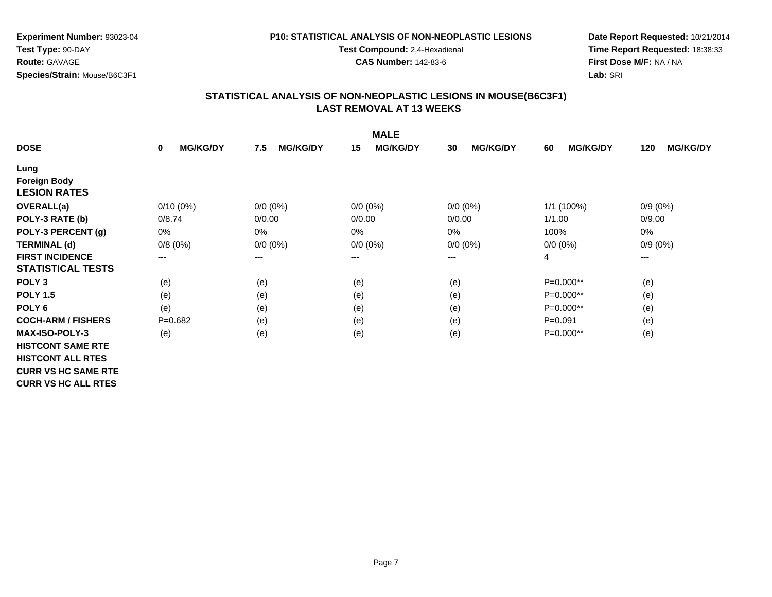### **P10: STATISTICAL ANALYSIS OF NON-NEOPLASTIC LESIONS**

**Test Compound:** 2,4-Hexadienal

**CAS Number:** 142-83-6

**Date Report Requested:** 10/21/2014**Time Report Requested:** 18:38:33**First Dose M/F:** NA / NA**Lab:** SRI

|                            |                                |                        | <b>MALE</b>            |                        |                       |                        |
|----------------------------|--------------------------------|------------------------|------------------------|------------------------|-----------------------|------------------------|
| <b>DOSE</b>                | <b>MG/KG/DY</b><br>$\mathbf 0$ | <b>MG/KG/DY</b><br>7.5 | <b>MG/KG/DY</b><br>15  | <b>MG/KG/DY</b><br>30  | <b>MG/KG/DY</b><br>60 | <b>MG/KG/DY</b><br>120 |
| Lung                       |                                |                        |                        |                        |                       |                        |
| <b>Foreign Body</b>        |                                |                        |                        |                        |                       |                        |
| <b>LESION RATES</b>        |                                |                        |                        |                        |                       |                        |
| <b>OVERALL(a)</b>          | $0/10(0\%)$                    | $0/0 (0\%)$            | $0/0(0\%)$             | $0/0 (0\%)$            | 1/1 (100%)            | $0/9(0\%)$             |
| POLY-3 RATE (b)            | 0/8.74                         | 0/0.00                 | 0/0.00                 | 0/0.00                 | 1/1.00                | 0/9.00                 |
| POLY-3 PERCENT (g)         | $0\%$                          | 0%                     | 0%                     | 0%                     | 100%                  | 0%                     |
| <b>TERMINAL (d)</b>        | 0/8(0%)                        | $0/0 (0\%)$            | $0/0 (0\%)$            | $0/0 (0\%)$            | $0/0 (0\%)$           | $0/9(0\%)$             |
| <b>FIRST INCIDENCE</b>     | ---                            | ---                    | $\qquad \qquad \cdots$ | $\qquad \qquad \cdots$ | 4                     | ---                    |
| <b>STATISTICAL TESTS</b>   |                                |                        |                        |                        |                       |                        |
| POLY <sub>3</sub>          | (e)                            | (e)                    | (e)                    | (e)                    | $P=0.000**$           | (e)                    |
| <b>POLY 1.5</b>            | (e)                            | (e)                    | (e)                    | (e)                    | $P=0.000**$           | (e)                    |
| POLY <sub>6</sub>          | (e)                            | (e)                    | (e)                    | (e)                    | $P=0.000**$           | (e)                    |
| <b>COCH-ARM / FISHERS</b>  | $P=0.682$                      | (e)                    | (e)                    | (e)                    | $P = 0.091$           | (e)                    |
| <b>MAX-ISO-POLY-3</b>      | (e)                            | (e)                    | (e)                    | (e)                    | $P=0.000**$           | (e)                    |
| <b>HISTCONT SAME RTE</b>   |                                |                        |                        |                        |                       |                        |
| <b>HISTCONT ALL RTES</b>   |                                |                        |                        |                        |                       |                        |
| <b>CURR VS HC SAME RTE</b> |                                |                        |                        |                        |                       |                        |
| <b>CURR VS HC ALL RTES</b> |                                |                        |                        |                        |                       |                        |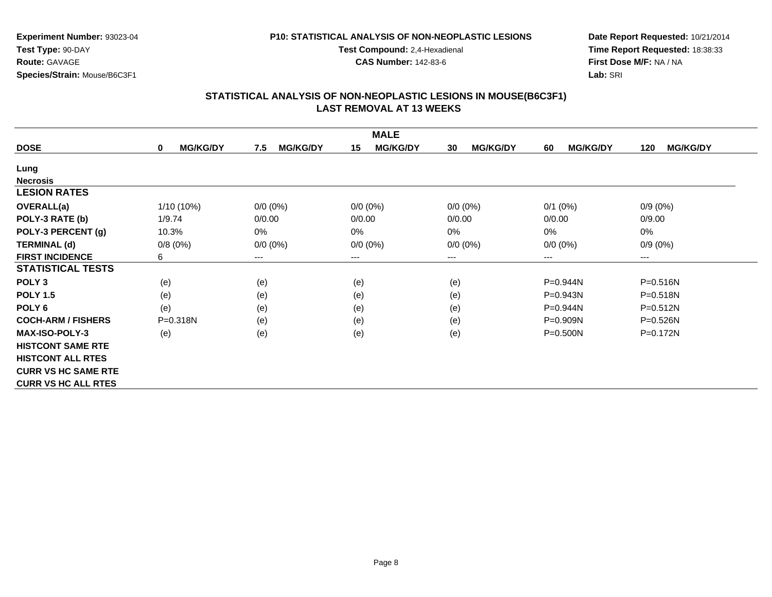#### **P10: STATISTICAL ANALYSIS OF NON-NEOPLASTIC LESIONS**

**Test Compound:** 2,4-Hexadienal

**CAS Number:** 142-83-6

**Date Report Requested:** 10/21/2014**Time Report Requested:** 18:38:33**First Dose M/F:** NA / NA**Lab:** SRI

|                            |                                |                        | <b>MALE</b>           |                       |                       |                        |
|----------------------------|--------------------------------|------------------------|-----------------------|-----------------------|-----------------------|------------------------|
| <b>DOSE</b>                | <b>MG/KG/DY</b><br>$\mathbf 0$ | <b>MG/KG/DY</b><br>7.5 | <b>MG/KG/DY</b><br>15 | <b>MG/KG/DY</b><br>30 | <b>MG/KG/DY</b><br>60 | <b>MG/KG/DY</b><br>120 |
| Lung                       |                                |                        |                       |                       |                       |                        |
| <b>Necrosis</b>            |                                |                        |                       |                       |                       |                        |
| <b>LESION RATES</b>        |                                |                        |                       |                       |                       |                        |
| <b>OVERALL(a)</b>          | 1/10 (10%)                     | $0/0 (0\%)$            | $0/0 (0\%)$           | $0/0 (0\%)$           | $0/1$ (0%)            | $0/9(0\%)$             |
| POLY-3 RATE (b)            | 1/9.74                         | 0/0.00                 | 0/0.00                | 0/0.00                | 0/0.00                | 0/9.00                 |
| POLY-3 PERCENT (g)         | 10.3%                          | $0\%$                  | 0%                    | $0\%$                 | 0%                    | 0%                     |
| <b>TERMINAL (d)</b>        | 0/8(0%)                        | $0/0 (0\%)$            | $0/0 (0\%)$           | $0/0 (0\%)$           | $0/0 (0\%)$           | $0/9(0\%)$             |
| <b>FIRST INCIDENCE</b>     | 6                              | ---                    | ---                   | ---                   | $---$                 | $---$                  |
| <b>STATISTICAL TESTS</b>   |                                |                        |                       |                       |                       |                        |
| POLY <sub>3</sub>          | (e)                            | (e)                    | (e)                   | (e)                   | P=0.944N              | $P = 0.516N$           |
| <b>POLY 1.5</b>            | (e)                            | (e)                    | (e)                   | (e)                   | P=0.943N              | $P = 0.518N$           |
| POLY <sub>6</sub>          | (e)                            | (e)                    | (e)                   | (e)                   | P=0.944N              | $P = 0.512N$           |
| <b>COCH-ARM / FISHERS</b>  | $P = 0.318N$                   | (e)                    | (e)                   | (e)                   | $P = 0.909N$          | $P = 0.526N$           |
| <b>MAX-ISO-POLY-3</b>      | (e)                            | (e)                    | (e)                   | (e)                   | $P = 0.500N$          | P=0.172N               |
| <b>HISTCONT SAME RTE</b>   |                                |                        |                       |                       |                       |                        |
| <b>HISTCONT ALL RTES</b>   |                                |                        |                       |                       |                       |                        |
| <b>CURR VS HC SAME RTE</b> |                                |                        |                       |                       |                       |                        |
| <b>CURR VS HC ALL RTES</b> |                                |                        |                       |                       |                       |                        |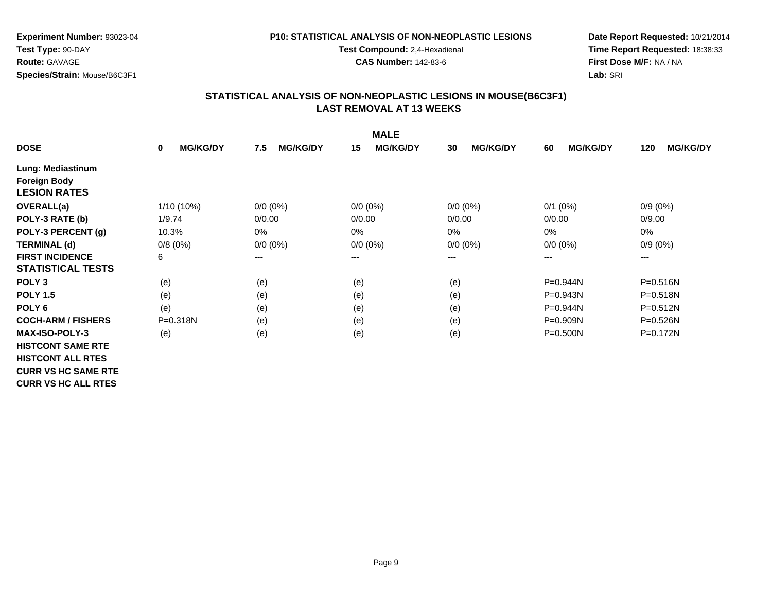### **P10: STATISTICAL ANALYSIS OF NON-NEOPLASTIC LESIONS**

**Test Compound:** 2,4-Hexadienal

**CAS Number:** 142-83-6

**Date Report Requested:** 10/21/2014**Time Report Requested:** 18:38:33**First Dose M/F:** NA / NA**Lab:** SRI

|                            |                                |                        | <b>MALE</b>           |                       |                       |                        |
|----------------------------|--------------------------------|------------------------|-----------------------|-----------------------|-----------------------|------------------------|
| <b>DOSE</b>                | <b>MG/KG/DY</b><br>$\mathbf 0$ | <b>MG/KG/DY</b><br>7.5 | <b>MG/KG/DY</b><br>15 | <b>MG/KG/DY</b><br>30 | <b>MG/KG/DY</b><br>60 | <b>MG/KG/DY</b><br>120 |
| Lung: Mediastinum          |                                |                        |                       |                       |                       |                        |
| <b>Foreign Body</b>        |                                |                        |                       |                       |                       |                        |
| <b>LESION RATES</b>        |                                |                        |                       |                       |                       |                        |
| <b>OVERALL(a)</b>          | 1/10 (10%)                     | $0/0 (0\%)$            | $0/0 (0\%)$           | $0/0 (0\%)$           | $0/1$ (0%)            | $0/9(0\%)$             |
| POLY-3 RATE (b)            | 1/9.74                         | 0/0.00                 | 0/0.00                | 0/0.00                | 0/0.00                | 0/9.00                 |
| POLY-3 PERCENT (g)         | 10.3%                          | $0\%$                  | 0%                    | 0%                    | 0%                    | 0%                     |
| <b>TERMINAL (d)</b>        | 0/8(0%)                        | $0/0 (0\%)$            | $0/0 (0\%)$           | $0/0 (0\%)$           | $0/0 (0\%)$           | $0/9(0\%)$             |
| <b>FIRST INCIDENCE</b>     | 6                              | ---                    | ---                   | ---                   | $---$                 | $---$                  |
| <b>STATISTICAL TESTS</b>   |                                |                        |                       |                       |                       |                        |
| POLY <sub>3</sub>          | (e)                            | (e)                    | (e)                   | (e)                   | P=0.944N              | P=0.516N               |
| <b>POLY 1.5</b>            | (e)                            | (e)                    | (e)                   | (e)                   | P=0.943N              | $P = 0.518N$           |
| POLY <sub>6</sub>          | (e)                            | (e)                    | (e)                   | (e)                   | $P = 0.944N$          | $P = 0.512N$           |
| <b>COCH-ARM / FISHERS</b>  | P=0.318N                       | (e)                    | (e)                   | (e)                   | $P = 0.909N$          | $P = 0.526N$           |
| <b>MAX-ISO-POLY-3</b>      | (e)                            | (e)                    | (e)                   | (e)                   | $P = 0.500N$          | $P = 0.172N$           |
| <b>HISTCONT SAME RTE</b>   |                                |                        |                       |                       |                       |                        |
| <b>HISTCONT ALL RTES</b>   |                                |                        |                       |                       |                       |                        |
| <b>CURR VS HC SAME RTE</b> |                                |                        |                       |                       |                       |                        |
| <b>CURR VS HC ALL RTES</b> |                                |                        |                       |                       |                       |                        |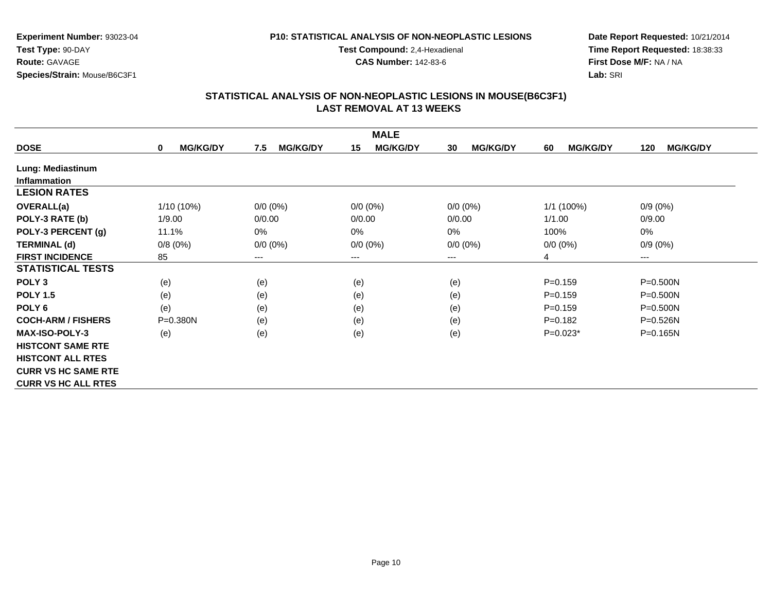### **P10: STATISTICAL ANALYSIS OF NON-NEOPLASTIC LESIONS**

**Test Compound:** 2,4-Hexadienal

**CAS Number:** 142-83-6

**Date Report Requested:** 10/21/2014**Time Report Requested:** 18:38:33**First Dose M/F:** NA / NA**Lab:** SRI

| <b>MALE</b>                |                      |                        |                       |                       |                       |                        |  |  |
|----------------------------|----------------------|------------------------|-----------------------|-----------------------|-----------------------|------------------------|--|--|
| <b>DOSE</b>                | <b>MG/KG/DY</b><br>0 | <b>MG/KG/DY</b><br>7.5 | <b>MG/KG/DY</b><br>15 | <b>MG/KG/DY</b><br>30 | <b>MG/KG/DY</b><br>60 | <b>MG/KG/DY</b><br>120 |  |  |
| Lung: Mediastinum          |                      |                        |                       |                       |                       |                        |  |  |
| <b>Inflammation</b>        |                      |                        |                       |                       |                       |                        |  |  |
| <b>LESION RATES</b>        |                      |                        |                       |                       |                       |                        |  |  |
| <b>OVERALL(a)</b>          | 1/10 (10%)           | $0/0 (0\%)$            | $0/0 (0\%)$           | $0/0 (0\%)$           | 1/1 (100%)            | $0/9(0\%)$             |  |  |
| POLY-3 RATE (b)            | 1/9.00               | 0/0.00                 | 0/0.00                | 0/0.00                | 1/1.00                | 0/9.00                 |  |  |
| POLY-3 PERCENT (g)         | 11.1%                | 0%                     | 0%                    | $0\%$                 | 100%                  | 0%                     |  |  |
| <b>TERMINAL (d)</b>        | 0/8(0%)              | $0/0 (0\%)$            | $0/0 (0\%)$           | $0/0 (0\%)$           | $0/0 (0\%)$           | $0/9(0\%)$             |  |  |
| <b>FIRST INCIDENCE</b>     | 85                   | ---                    | ---                   | ---                   | 4                     | $\qquad \qquad \cdots$ |  |  |
| <b>STATISTICAL TESTS</b>   |                      |                        |                       |                       |                       |                        |  |  |
| POLY <sub>3</sub>          | (e)                  | (e)                    | (e)                   | (e)                   | $P = 0.159$           | P=0.500N               |  |  |
| <b>POLY 1.5</b>            | (e)                  | (e)                    | (e)                   | (e)                   | $P = 0.159$           | $P = 0.500N$           |  |  |
| POLY <sub>6</sub>          | (e)                  | (e)                    | (e)                   | (e)                   | $P = 0.159$           | $P = 0.500N$           |  |  |
| <b>COCH-ARM / FISHERS</b>  | P=0.380N             | (e)                    | (e)                   | (e)                   | $P=0.182$             | $P = 0.526N$           |  |  |
| <b>MAX-ISO-POLY-3</b>      | (e)                  | (e)                    | (e)                   | (e)                   | $P=0.023*$            | $P = 0.165N$           |  |  |
| <b>HISTCONT SAME RTE</b>   |                      |                        |                       |                       |                       |                        |  |  |
| <b>HISTCONT ALL RTES</b>   |                      |                        |                       |                       |                       |                        |  |  |
| <b>CURR VS HC SAME RTE</b> |                      |                        |                       |                       |                       |                        |  |  |
| <b>CURR VS HC ALL RTES</b> |                      |                        |                       |                       |                       |                        |  |  |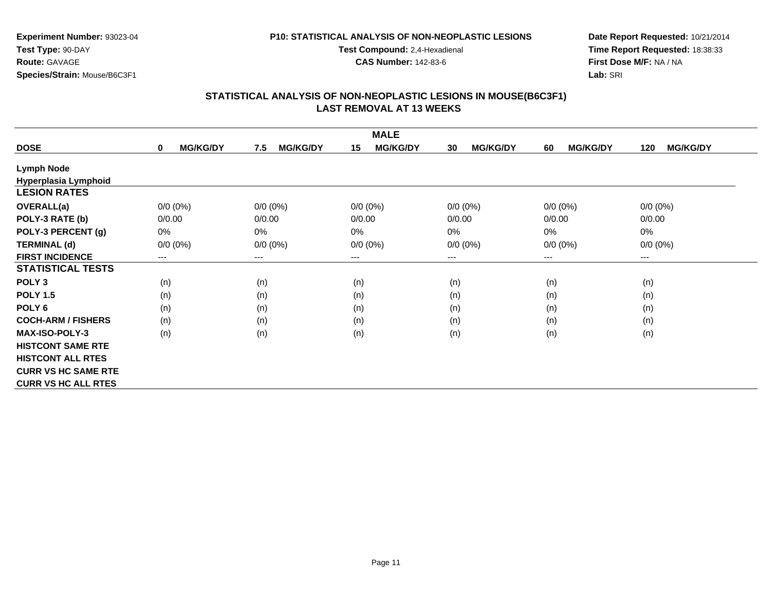#### **P10: STATISTICAL ANALYSIS OF NON-NEOPLASTIC LESIONS**

**Test Compound:** 2,4-Hexadienal

**CAS Number:** 142-83-6

**Date Report Requested:** 10/21/2014**Time Report Requested:** 18:38:33**First Dose M/F:** NA / NA**Lab:** SRI

|                            |                                |                        | <b>MALE</b>           |                       |                       |                        |
|----------------------------|--------------------------------|------------------------|-----------------------|-----------------------|-----------------------|------------------------|
| <b>DOSE</b>                | <b>MG/KG/DY</b><br>$\mathbf 0$ | <b>MG/KG/DY</b><br>7.5 | <b>MG/KG/DY</b><br>15 | <b>MG/KG/DY</b><br>30 | 60<br><b>MG/KG/DY</b> | <b>MG/KG/DY</b><br>120 |
| <b>Lymph Node</b>          |                                |                        |                       |                       |                       |                        |
| Hyperplasia Lymphoid       |                                |                        |                       |                       |                       |                        |
| <b>LESION RATES</b>        |                                |                        |                       |                       |                       |                        |
| <b>OVERALL(a)</b>          | $0/0 (0\%)$                    | $0/0 (0\%)$            | $0/0 (0\%)$           | $0/0 (0\%)$           | $0/0 (0\%)$           | $0/0 (0\%)$            |
| POLY-3 RATE (b)            | 0/0.00                         | 0/0.00                 | 0/0.00                | 0/0.00                | 0/0.00                | 0/0.00                 |
| POLY-3 PERCENT (g)         | $0\%$                          | 0%                     | 0%                    | $0\%$                 | 0%                    | 0%                     |
| <b>TERMINAL (d)</b>        | $0/0 (0\%)$                    | $0/0 (0\%)$            | $0/0 (0\%)$           | $0/0 (0\%)$           | $0/0 (0\%)$           | $0/0 (0\%)$            |
| <b>FIRST INCIDENCE</b>     | ---                            | ---                    | ---                   | $---$                 | $---$                 | $---$                  |
| <b>STATISTICAL TESTS</b>   |                                |                        |                       |                       |                       |                        |
| POLY <sub>3</sub>          | (n)                            | (n)                    | (n)                   | (n)                   | (n)                   | (n)                    |
| <b>POLY 1.5</b>            | (n)                            | (n)                    | (n)                   | (n)                   | (n)                   | (n)                    |
| POLY <sub>6</sub>          | (n)                            | (n)                    | (n)                   | (n)                   | (n)                   | (n)                    |
| <b>COCH-ARM / FISHERS</b>  | (n)                            | (n)                    | (n)                   | (n)                   | (n)                   | (n)                    |
| MAX-ISO-POLY-3             | (n)                            | (n)                    | (n)                   | (n)                   | (n)                   | (n)                    |
| <b>HISTCONT SAME RTE</b>   |                                |                        |                       |                       |                       |                        |
| <b>HISTCONT ALL RTES</b>   |                                |                        |                       |                       |                       |                        |
| <b>CURR VS HC SAME RTE</b> |                                |                        |                       |                       |                       |                        |
| <b>CURR VS HC ALL RTES</b> |                                |                        |                       |                       |                       |                        |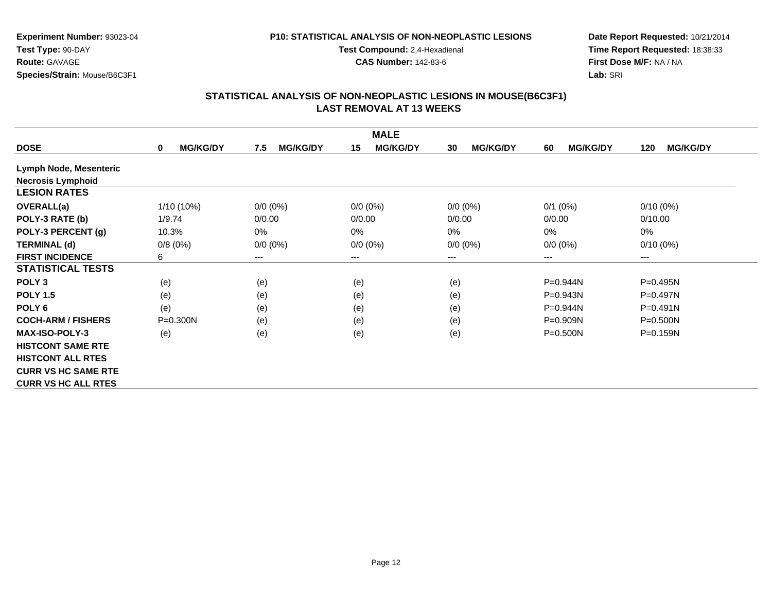### **P10: STATISTICAL ANALYSIS OF NON-NEOPLASTIC LESIONS**

**Test Compound:** 2,4-Hexadienal

**CAS Number:** 142-83-6

**Date Report Requested:** 10/21/2014**Time Report Requested:** 18:38:33**First Dose M/F:** NA / NA**Lab:** SRI

|                            |                      |                        | <b>MALE</b>           |                       |                       |                        |
|----------------------------|----------------------|------------------------|-----------------------|-----------------------|-----------------------|------------------------|
| <b>DOSE</b>                | <b>MG/KG/DY</b><br>0 | <b>MG/KG/DY</b><br>7.5 | <b>MG/KG/DY</b><br>15 | <b>MG/KG/DY</b><br>30 | <b>MG/KG/DY</b><br>60 | <b>MG/KG/DY</b><br>120 |
| Lymph Node, Mesenteric     |                      |                        |                       |                       |                       |                        |
| <b>Necrosis Lymphoid</b>   |                      |                        |                       |                       |                       |                        |
| <b>LESION RATES</b>        |                      |                        |                       |                       |                       |                        |
| <b>OVERALL(a)</b>          | 1/10 (10%)           | $0/0 (0\%)$            | $0/0 (0\%)$           | $0/0 (0\%)$           | $0/1$ (0%)            | $0/10(0\%)$            |
| POLY-3 RATE (b)            | 1/9.74               | 0/0.00                 | 0/0.00                | 0/0.00                | 0/0.00                | 0/10.00                |
| POLY-3 PERCENT (g)         | 10.3%                | 0%                     | 0%                    | $0\%$                 | 0%                    | 0%                     |
| <b>TERMINAL (d)</b>        | 0/8(0%)              | $0/0 (0\%)$            | $0/0 (0\%)$           | $0/0 (0\%)$           | $0/0 (0\%)$           | $0/10(0\%)$            |
| <b>FIRST INCIDENCE</b>     | 6                    | $---$                  | ---                   | ---                   | $---$                 | $--$                   |
| <b>STATISTICAL TESTS</b>   |                      |                        |                       |                       |                       |                        |
| POLY <sub>3</sub>          | (e)                  | (e)                    | (e)                   | (e)                   | P=0.944N              | P=0.495N               |
| <b>POLY 1.5</b>            | (e)                  | (e)                    | (e)                   | (e)                   | $P = 0.943N$          | P=0.497N               |
| POLY <sub>6</sub>          | (e)                  | (e)                    | (e)                   | (e)                   | $P=0.944N$            | $P = 0.491N$           |
| <b>COCH-ARM / FISHERS</b>  | $P = 0.300N$         | (e)                    | (e)                   | (e)                   | $P = 0.909N$          | $P = 0.500N$           |
| <b>MAX-ISO-POLY-3</b>      | (e)                  | (e)                    | (e)                   | (e)                   | $P = 0.500N$          | $P = 0.159N$           |
| <b>HISTCONT SAME RTE</b>   |                      |                        |                       |                       |                       |                        |
| <b>HISTCONT ALL RTES</b>   |                      |                        |                       |                       |                       |                        |
| <b>CURR VS HC SAME RTE</b> |                      |                        |                       |                       |                       |                        |
| <b>CURR VS HC ALL RTES</b> |                      |                        |                       |                       |                       |                        |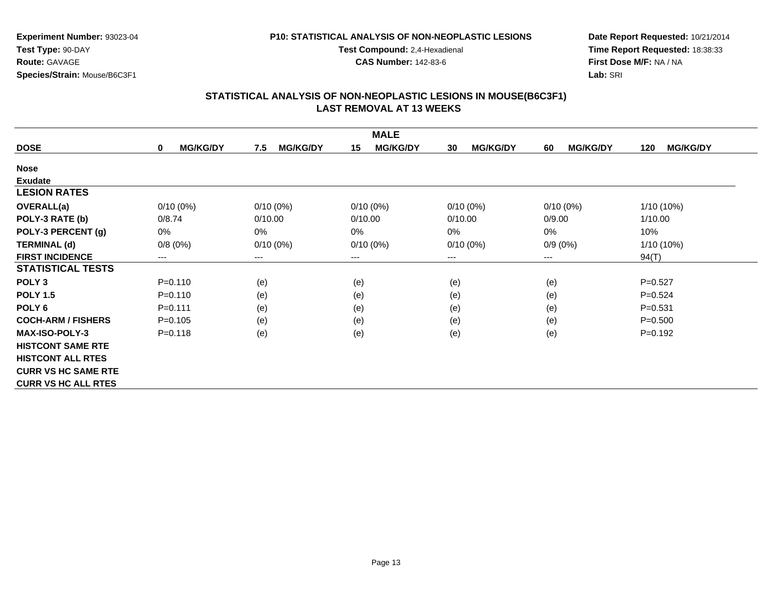#### **P10: STATISTICAL ANALYSIS OF NON-NEOPLASTIC LESIONS**

**Test Compound:** 2,4-Hexadienal

**CAS Number:** 142-83-6

**Date Report Requested:** 10/21/2014**Time Report Requested:** 18:38:33**First Dose M/F:** NA / NA**Lab:** SRI

| <b>MALE</b>                |                                |                        |                       |                       |                       |                        |  |
|----------------------------|--------------------------------|------------------------|-----------------------|-----------------------|-----------------------|------------------------|--|
| <b>DOSE</b>                | <b>MG/KG/DY</b><br>$\mathbf 0$ | <b>MG/KG/DY</b><br>7.5 | <b>MG/KG/DY</b><br>15 | <b>MG/KG/DY</b><br>30 | <b>MG/KG/DY</b><br>60 | <b>MG/KG/DY</b><br>120 |  |
| <b>Nose</b>                |                                |                        |                       |                       |                       |                        |  |
| <b>Exudate</b>             |                                |                        |                       |                       |                       |                        |  |
| <b>LESION RATES</b>        |                                |                        |                       |                       |                       |                        |  |
| <b>OVERALL(a)</b>          | $0/10(0\%)$                    | $0/10(0\%)$            | $0/10(0\%)$           | $0/10(0\%)$           | $0/10(0\%)$           | 1/10 (10%)             |  |
| POLY-3 RATE (b)            | 0/8.74                         | 0/10.00                | 0/10.00               | 0/10.00               | 0/9.00                | 1/10.00                |  |
| POLY-3 PERCENT (g)         | $0\%$                          | $0\%$                  | 0%                    | $0\%$                 | 0%                    | 10%                    |  |
| <b>TERMINAL (d)</b>        | 0/8(0%)                        | $0/10(0\%)$            | $0/10(0\%)$           | $0/10(0\%)$           | $0/9(0\%)$            | 1/10 (10%)             |  |
| <b>FIRST INCIDENCE</b>     | ---                            | ---                    | ---                   | ---                   | $---$                 | 94(T)                  |  |
| <b>STATISTICAL TESTS</b>   |                                |                        |                       |                       |                       |                        |  |
| POLY <sub>3</sub>          | $P = 0.110$                    | (e)                    | (e)                   | (e)                   | (e)                   | $P=0.527$              |  |
| <b>POLY 1.5</b>            | $P = 0.110$                    | (e)                    | (e)                   | (e)                   | (e)                   | $P = 0.524$            |  |
| POLY <sub>6</sub>          | $P = 0.111$                    | (e)                    | (e)                   | (e)                   | (e)                   | $P = 0.531$            |  |
| <b>COCH-ARM / FISHERS</b>  | $P = 0.105$                    | (e)                    | (e)                   | (e)                   | (e)                   | $P = 0.500$            |  |
| <b>MAX-ISO-POLY-3</b>      | $P = 0.118$                    | (e)                    | (e)                   | (e)                   | (e)                   | $P = 0.192$            |  |
| <b>HISTCONT SAME RTE</b>   |                                |                        |                       |                       |                       |                        |  |
| <b>HISTCONT ALL RTES</b>   |                                |                        |                       |                       |                       |                        |  |
| <b>CURR VS HC SAME RTE</b> |                                |                        |                       |                       |                       |                        |  |
| <b>CURR VS HC ALL RTES</b> |                                |                        |                       |                       |                       |                        |  |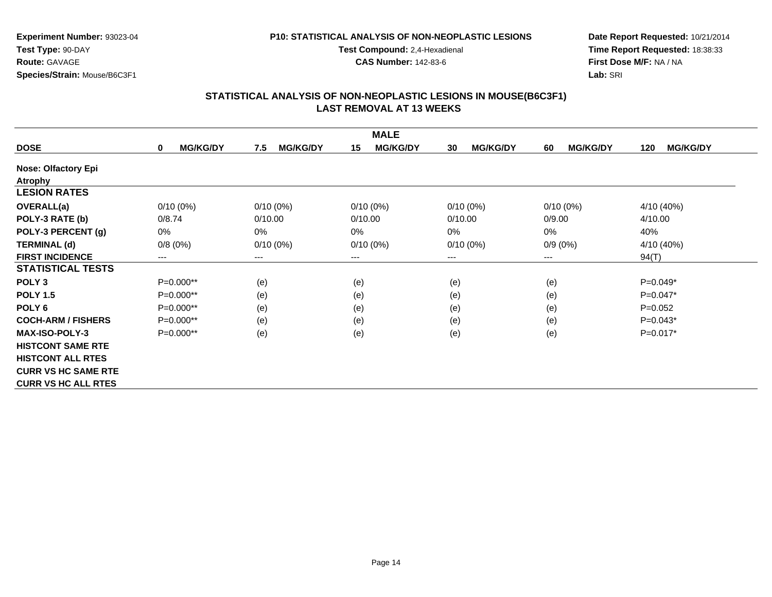### **P10: STATISTICAL ANALYSIS OF NON-NEOPLASTIC LESIONS**

**Test Compound:** 2,4-Hexadienal

**CAS Number:** 142-83-6

**Date Report Requested:** 10/21/2014**Time Report Requested:** 18:38:33**First Dose M/F:** NA / NA**Lab:** SRI

| <b>MALE</b>                |                      |                        |                       |                       |                       |                        |  |
|----------------------------|----------------------|------------------------|-----------------------|-----------------------|-----------------------|------------------------|--|
| <b>DOSE</b>                | <b>MG/KG/DY</b><br>0 | <b>MG/KG/DY</b><br>7.5 | <b>MG/KG/DY</b><br>15 | <b>MG/KG/DY</b><br>30 | <b>MG/KG/DY</b><br>60 | <b>MG/KG/DY</b><br>120 |  |
| <b>Nose: Olfactory Epi</b> |                      |                        |                       |                       |                       |                        |  |
| <b>Atrophy</b>             |                      |                        |                       |                       |                       |                        |  |
| <b>LESION RATES</b>        |                      |                        |                       |                       |                       |                        |  |
| <b>OVERALL(a)</b>          | $0/10(0\%)$          | $0/10(0\%)$            | $0/10(0\%)$           | $0/10(0\%)$           | $0/10(0\%)$           | 4/10 (40%)             |  |
| POLY-3 RATE (b)            | 0/8.74               | 0/10.00                | 0/10.00               | 0/10.00               | 0/9.00                | 4/10.00                |  |
| POLY-3 PERCENT (g)         | 0%                   | 0%                     | 0%                    | $0\%$                 | 0%                    | 40%                    |  |
| <b>TERMINAL (d)</b>        | 0/8(0%)              | $0/10(0\%)$            | $0/10(0\%)$           | $0/10(0\%)$           | $0/9(0\%)$            | 4/10 (40%)             |  |
| <b>FIRST INCIDENCE</b>     | ---                  | $---$                  | ---                   | ---                   | $---$                 | 94(T)                  |  |
| <b>STATISTICAL TESTS</b>   |                      |                        |                       |                       |                       |                        |  |
| POLY <sub>3</sub>          | $P=0.000**$          | (e)                    | (e)                   | (e)                   | (e)                   | $P=0.049*$             |  |
| <b>POLY 1.5</b>            | P=0.000**            | (e)                    | (e)                   | (e)                   | (e)                   | $P=0.047*$             |  |
| POLY <sub>6</sub>          | P=0.000**            | (e)                    | (e)                   | (e)                   | (e)                   | $P=0.052$              |  |
| <b>COCH-ARM / FISHERS</b>  | P=0.000**            | (e)                    | (e)                   | (e)                   | (e)                   | $P=0.043*$             |  |
| <b>MAX-ISO-POLY-3</b>      | P=0.000**            | (e)                    | (e)                   | (e)                   | (e)                   | $P=0.017*$             |  |
| <b>HISTCONT SAME RTE</b>   |                      |                        |                       |                       |                       |                        |  |
| <b>HISTCONT ALL RTES</b>   |                      |                        |                       |                       |                       |                        |  |
| <b>CURR VS HC SAME RTE</b> |                      |                        |                       |                       |                       |                        |  |
| <b>CURR VS HC ALL RTES</b> |                      |                        |                       |                       |                       |                        |  |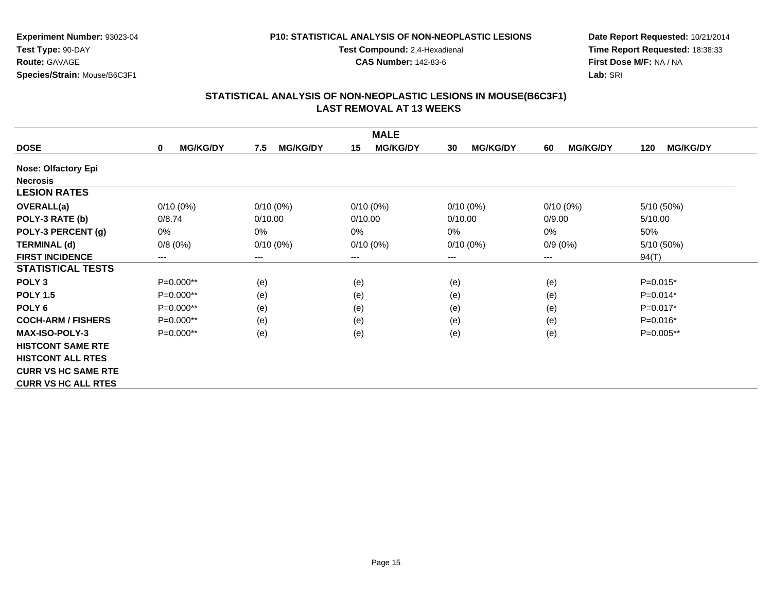#### **P10: STATISTICAL ANALYSIS OF NON-NEOPLASTIC LESIONS**

**Test Compound:** 2,4-Hexadienal

**CAS Number:** 142-83-6

**Date Report Requested:** 10/21/2014**Time Report Requested:** 18:38:33**First Dose M/F:** NA / NA**Lab:** SRI

| <b>MALE</b>                |                      |                        |                       |                       |                       |                        |  |
|----------------------------|----------------------|------------------------|-----------------------|-----------------------|-----------------------|------------------------|--|
| <b>DOSE</b>                | <b>MG/KG/DY</b><br>0 | <b>MG/KG/DY</b><br>7.5 | <b>MG/KG/DY</b><br>15 | <b>MG/KG/DY</b><br>30 | <b>MG/KG/DY</b><br>60 | <b>MG/KG/DY</b><br>120 |  |
| <b>Nose: Olfactory Epi</b> |                      |                        |                       |                       |                       |                        |  |
| <b>Necrosis</b>            |                      |                        |                       |                       |                       |                        |  |
| <b>LESION RATES</b>        |                      |                        |                       |                       |                       |                        |  |
| <b>OVERALL(a)</b>          | $0/10(0\%)$          | $0/10(0\%)$            | $0/10(0\%)$           | $0/10(0\%)$           | $0/10(0\%)$           | 5/10 (50%)             |  |
| POLY-3 RATE (b)            | 0/8.74               | 0/10.00                | 0/10.00               | 0/10.00               | 0/9.00                | 5/10.00                |  |
| POLY-3 PERCENT (g)         | 0%                   | 0%                     | 0%                    | $0\%$                 | 0%                    | 50%                    |  |
| <b>TERMINAL (d)</b>        | 0/8(0%)              | $0/10(0\%)$            | $0/10(0\%)$           | $0/10(0\%)$           | $0/9(0\%)$            | 5/10 (50%)             |  |
| <b>FIRST INCIDENCE</b>     | ---                  | $---$                  | ---                   | $\qquad \qquad - -$   | $---$                 | 94(T)                  |  |
| <b>STATISTICAL TESTS</b>   |                      |                        |                       |                       |                       |                        |  |
| POLY <sub>3</sub>          | $P=0.000**$          | (e)                    | (e)                   | (e)                   | (e)                   | $P=0.015*$             |  |
| <b>POLY 1.5</b>            | P=0.000**            | (e)                    | (e)                   | (e)                   | (e)                   | $P=0.014*$             |  |
| POLY <sub>6</sub>          | P=0.000**            | (e)                    | (e)                   | (e)                   | (e)                   | $P=0.017*$             |  |
| <b>COCH-ARM / FISHERS</b>  | P=0.000**            | (e)                    | (e)                   | (e)                   | (e)                   | $P=0.016*$             |  |
| <b>MAX-ISO-POLY-3</b>      | P=0.000**            | (e)                    | (e)                   | (e)                   | (e)                   | P=0.005**              |  |
| <b>HISTCONT SAME RTE</b>   |                      |                        |                       |                       |                       |                        |  |
| <b>HISTCONT ALL RTES</b>   |                      |                        |                       |                       |                       |                        |  |
| <b>CURR VS HC SAME RTE</b> |                      |                        |                       |                       |                       |                        |  |
| <b>CURR VS HC ALL RTES</b> |                      |                        |                       |                       |                       |                        |  |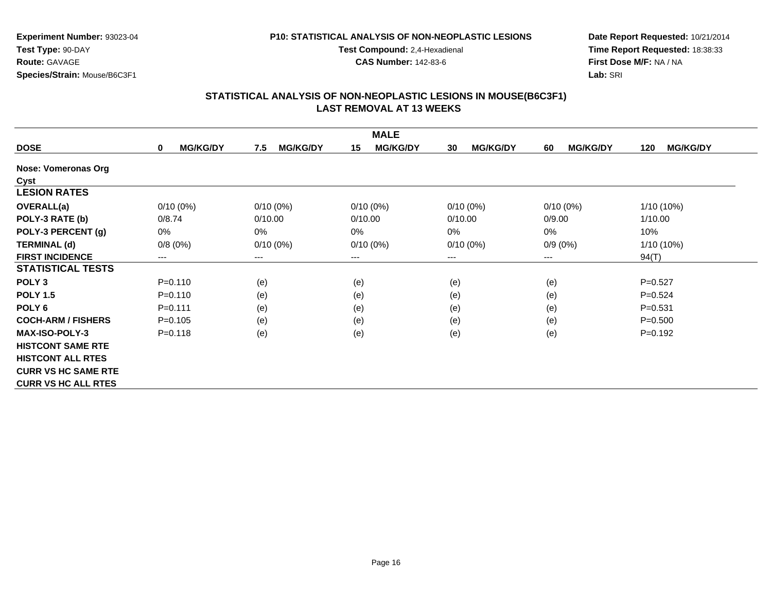#### **P10: STATISTICAL ANALYSIS OF NON-NEOPLASTIC LESIONS**

**Test Compound:** 2,4-Hexadienal

**CAS Number:** 142-83-6

**Date Report Requested:** 10/21/2014**Time Report Requested:** 18:38:33**First Dose M/F:** NA / NA**Lab:** SRI

|                            |                                |                        | <b>MALE</b>           |                       |                       |                        |
|----------------------------|--------------------------------|------------------------|-----------------------|-----------------------|-----------------------|------------------------|
| <b>DOSE</b>                | <b>MG/KG/DY</b><br>$\mathbf 0$ | <b>MG/KG/DY</b><br>7.5 | <b>MG/KG/DY</b><br>15 | <b>MG/KG/DY</b><br>30 | <b>MG/KG/DY</b><br>60 | <b>MG/KG/DY</b><br>120 |
| Nose: Vomeronas Org        |                                |                        |                       |                       |                       |                        |
| Cyst                       |                                |                        |                       |                       |                       |                        |
| <b>LESION RATES</b>        |                                |                        |                       |                       |                       |                        |
| <b>OVERALL(a)</b>          | $0/10(0\%)$                    | $0/10(0\%)$            | $0/10(0\%)$           | 0/10(0%)              | $0/10(0\%)$           | 1/10 (10%)             |
| POLY-3 RATE (b)            | 0/8.74                         | 0/10.00                | 0/10.00               | 0/10.00               | 0/9.00                | 1/10.00                |
| POLY-3 PERCENT (g)         | 0%                             | $0\%$                  | 0%                    | $0\%$                 | 0%                    | 10%                    |
| <b>TERMINAL (d)</b>        | 0/8(0%)                        | $0/10(0\%)$            | $0/10(0\%)$           | $0/10(0\%)$           | $0/9(0\%)$            | 1/10 (10%)             |
| <b>FIRST INCIDENCE</b>     | ---                            | ---                    | $---$                 | ---                   | $---$                 | 94(T)                  |
| <b>STATISTICAL TESTS</b>   |                                |                        |                       |                       |                       |                        |
| POLY <sub>3</sub>          | $P = 0.110$                    | (e)                    | (e)                   | (e)                   | (e)                   | $P=0.527$              |
| <b>POLY 1.5</b>            | $P = 0.110$                    | (e)                    | (e)                   | (e)                   | (e)                   | $P=0.524$              |
| POLY <sub>6</sub>          | $P = 0.111$                    | (e)                    | (e)                   | (e)                   | (e)                   | $P = 0.531$            |
| <b>COCH-ARM / FISHERS</b>  | $P = 0.105$                    | (e)                    | (e)                   | (e)                   | (e)                   | $P = 0.500$            |
| <b>MAX-ISO-POLY-3</b>      | $P = 0.118$                    | (e)                    | (e)                   | (e)                   | (e)                   | $P = 0.192$            |
| <b>HISTCONT SAME RTE</b>   |                                |                        |                       |                       |                       |                        |
| <b>HISTCONT ALL RTES</b>   |                                |                        |                       |                       |                       |                        |
| <b>CURR VS HC SAME RTE</b> |                                |                        |                       |                       |                       |                        |
| <b>CURR VS HC ALL RTES</b> |                                |                        |                       |                       |                       |                        |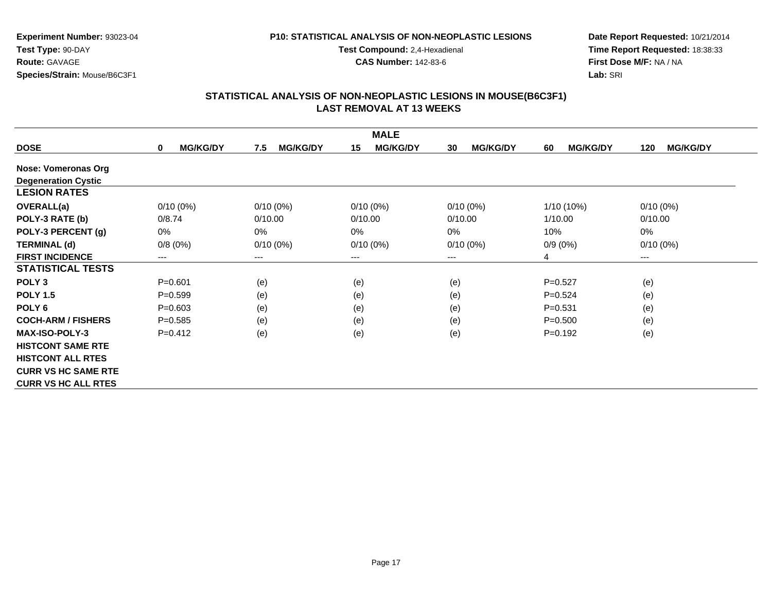#### **P10: STATISTICAL ANALYSIS OF NON-NEOPLASTIC LESIONS**

**Test Compound:** 2,4-Hexadienal

**CAS Number:** 142-83-6

**Date Report Requested:** 10/21/2014**Time Report Requested:** 18:38:33**First Dose M/F:** NA / NA**Lab:** SRI

|                            |                                |                        | <b>MALE</b>           |                       |                       |                        |
|----------------------------|--------------------------------|------------------------|-----------------------|-----------------------|-----------------------|------------------------|
| <b>DOSE</b>                | <b>MG/KG/DY</b><br>$\mathbf 0$ | <b>MG/KG/DY</b><br>7.5 | <b>MG/KG/DY</b><br>15 | <b>MG/KG/DY</b><br>30 | <b>MG/KG/DY</b><br>60 | <b>MG/KG/DY</b><br>120 |
| Nose: Vomeronas Org        |                                |                        |                       |                       |                       |                        |
| <b>Degeneration Cystic</b> |                                |                        |                       |                       |                       |                        |
| <b>LESION RATES</b>        |                                |                        |                       |                       |                       |                        |
| <b>OVERALL(a)</b>          | $0/10(0\%)$                    | $0/10(0\%)$            | $0/10(0\%)$           | $0/10(0\%)$           | $1/10(10\%)$          | $0/10(0\%)$            |
| POLY-3 RATE (b)            | 0/8.74                         | 0/10.00                | 0/10.00               | 0/10.00               | 1/10.00               | 0/10.00                |
| POLY-3 PERCENT (g)         | 0%                             | $0\%$                  | 0%                    | 0%                    | 10%                   | 0%                     |
| <b>TERMINAL (d)</b>        | 0/8(0%)                        | $0/10(0\%)$            | $0/10(0\%)$           | $0/10(0\%)$           | $0/9(0\%)$            | $0/10(0\%)$            |
| <b>FIRST INCIDENCE</b>     | ---                            | ---                    | ---                   | ---                   | 4                     | ---                    |
| <b>STATISTICAL TESTS</b>   |                                |                        |                       |                       |                       |                        |
| POLY <sub>3</sub>          | $P = 0.601$                    | (e)                    | (e)                   | (e)                   | $P=0.527$             | (e)                    |
| <b>POLY 1.5</b>            | $P=0.599$                      | (e)                    | (e)                   | (e)                   | $P=0.524$             | (e)                    |
| POLY <sub>6</sub>          | $P = 0.603$                    | (e)                    | (e)                   | (e)                   | $P = 0.531$           | (e)                    |
| <b>COCH-ARM / FISHERS</b>  | $P = 0.585$                    | (e)                    | (e)                   | (e)                   | $P = 0.500$           | (e)                    |
| <b>MAX-ISO-POLY-3</b>      | $P=0.412$                      | (e)                    | (e)                   | (e)                   | $P=0.192$             | (e)                    |
| <b>HISTCONT SAME RTE</b>   |                                |                        |                       |                       |                       |                        |
| <b>HISTCONT ALL RTES</b>   |                                |                        |                       |                       |                       |                        |
| <b>CURR VS HC SAME RTE</b> |                                |                        |                       |                       |                       |                        |
| <b>CURR VS HC ALL RTES</b> |                                |                        |                       |                       |                       |                        |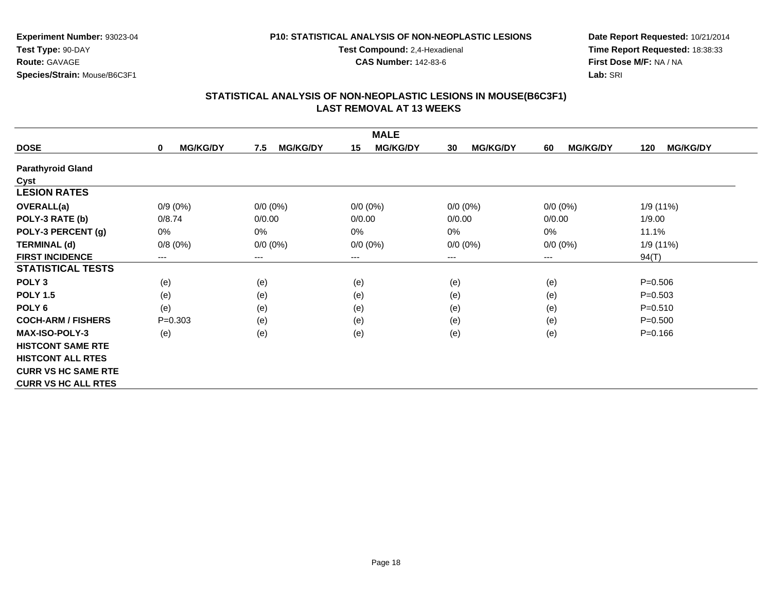#### **P10: STATISTICAL ANALYSIS OF NON-NEOPLASTIC LESIONS**

**Test Compound:** 2,4-Hexadienal

**CAS Number:** 142-83-6

**Date Report Requested:** 10/21/2014**Time Report Requested:** 18:38:33**First Dose M/F:** NA / NA**Lab:** SRI

| <b>MALE</b>                |                                |                        |                       |                       |                       |                        |  |
|----------------------------|--------------------------------|------------------------|-----------------------|-----------------------|-----------------------|------------------------|--|
| <b>DOSE</b>                | <b>MG/KG/DY</b><br>$\mathbf 0$ | <b>MG/KG/DY</b><br>7.5 | <b>MG/KG/DY</b><br>15 | <b>MG/KG/DY</b><br>30 | <b>MG/KG/DY</b><br>60 | <b>MG/KG/DY</b><br>120 |  |
| <b>Parathyroid Gland</b>   |                                |                        |                       |                       |                       |                        |  |
| Cyst                       |                                |                        |                       |                       |                       |                        |  |
| <b>LESION RATES</b>        |                                |                        |                       |                       |                       |                        |  |
| <b>OVERALL(a)</b>          | $0/9(0\%)$                     | $0/0 (0\%)$            | $0/0 (0\%)$           | $0/0 (0\%)$           | $0/0 (0\%)$           | 1/9 (11%)              |  |
| POLY-3 RATE (b)            | 0/8.74                         | 0/0.00                 | 0/0.00                | 0/0.00                | 0/0.00                | 1/9.00                 |  |
| POLY-3 PERCENT (g)         | 0%                             | 0%                     | 0%                    | $0\%$                 | 0%                    | 11.1%                  |  |
| <b>TERMINAL (d)</b>        | 0/8(0%)                        | $0/0 (0\%)$            | $0/0 (0\%)$           | $0/0 (0\%)$           | $0/0 (0\%)$           | 1/9(11%)               |  |
| <b>FIRST INCIDENCE</b>     | ---                            | ---                    | ---                   | ---                   | $---$                 | 94(T)                  |  |
| <b>STATISTICAL TESTS</b>   |                                |                        |                       |                       |                       |                        |  |
| POLY <sub>3</sub>          | (e)                            | (e)                    | (e)                   | (e)                   | (e)                   | $P = 0.506$            |  |
| <b>POLY 1.5</b>            | (e)                            | (e)                    | (e)                   | (e)                   | (e)                   | $P = 0.503$            |  |
| POLY <sub>6</sub>          | (e)                            | (e)                    | (e)                   | (e)                   | (e)                   | $P = 0.510$            |  |
| <b>COCH-ARM / FISHERS</b>  | $P = 0.303$                    | (e)                    | (e)                   | (e)                   | (e)                   | $P = 0.500$            |  |
| <b>MAX-ISO-POLY-3</b>      | (e)                            | (e)                    | (e)                   | (e)                   | (e)                   | $P = 0.166$            |  |
| <b>HISTCONT SAME RTE</b>   |                                |                        |                       |                       |                       |                        |  |
| <b>HISTCONT ALL RTES</b>   |                                |                        |                       |                       |                       |                        |  |
| <b>CURR VS HC SAME RTE</b> |                                |                        |                       |                       |                       |                        |  |
| <b>CURR VS HC ALL RTES</b> |                                |                        |                       |                       |                       |                        |  |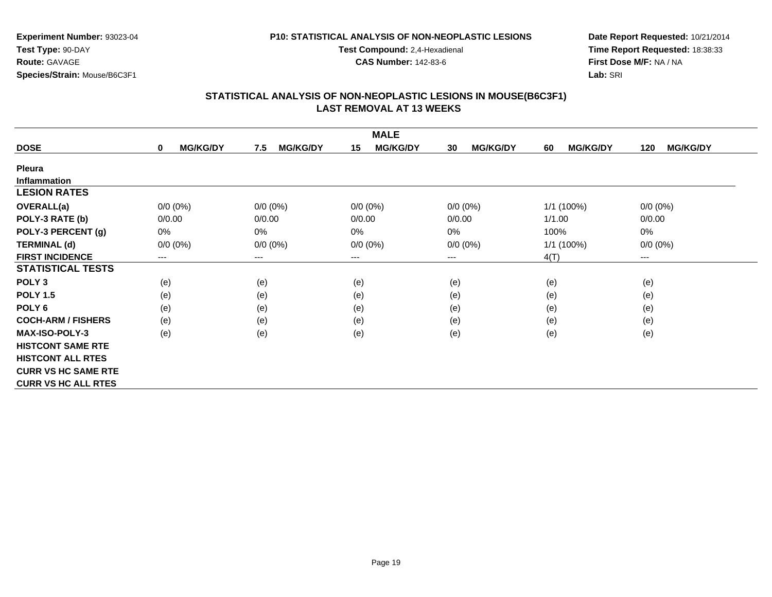#### **P10: STATISTICAL ANALYSIS OF NON-NEOPLASTIC LESIONS**

**Test Compound:** 2,4-Hexadienal

**CAS Number:** 142-83-6

**Date Report Requested:** 10/21/2014**Time Report Requested:** 18:38:33**First Dose M/F:** NA / NA**Lab:** SRI

| <b>MALE</b>                |                      |                        |                       |                       |                       |                        |  |  |
|----------------------------|----------------------|------------------------|-----------------------|-----------------------|-----------------------|------------------------|--|--|
| <b>DOSE</b>                | <b>MG/KG/DY</b><br>0 | <b>MG/KG/DY</b><br>7.5 | <b>MG/KG/DY</b><br>15 | <b>MG/KG/DY</b><br>30 | <b>MG/KG/DY</b><br>60 | <b>MG/KG/DY</b><br>120 |  |  |
| <b>Pleura</b>              |                      |                        |                       |                       |                       |                        |  |  |
| <b>Inflammation</b>        |                      |                        |                       |                       |                       |                        |  |  |
| <b>LESION RATES</b>        |                      |                        |                       |                       |                       |                        |  |  |
| <b>OVERALL(a)</b>          | $0/0 (0\%)$          | $0/0 (0\%)$            | $0/0 (0\%)$           | $0/0 (0\%)$           | 1/1 (100%)            | $0/0 (0\%)$            |  |  |
| POLY-3 RATE (b)            | 0/0.00               | 0/0.00                 | 0/0.00                | 0/0.00                | 1/1.00                | 0/0.00                 |  |  |
| POLY-3 PERCENT (g)         | 0%                   | 0%                     | 0%                    | 0%                    | 100%                  | 0%                     |  |  |
| <b>TERMINAL (d)</b>        | $0/0 (0\%)$          | $0/0 (0\%)$            | $0/0 (0\%)$           | $0/0 (0\%)$           | 1/1 (100%)            | $0/0 (0\%)$            |  |  |
| <b>FIRST INCIDENCE</b>     | ---                  | $---$                  | ---                   | ---                   | 4(T)                  | $---$                  |  |  |
| <b>STATISTICAL TESTS</b>   |                      |                        |                       |                       |                       |                        |  |  |
| POLY <sub>3</sub>          | (e)                  | (e)                    | (e)                   | (e)                   | (e)                   | (e)                    |  |  |
| <b>POLY 1.5</b>            | (e)                  | (e)                    | (e)                   | (e)                   | (e)                   | (e)                    |  |  |
| POLY <sub>6</sub>          | (e)                  | (e)                    | (e)                   | (e)                   | (e)                   | (e)                    |  |  |
| <b>COCH-ARM / FISHERS</b>  | (e)                  | (e)                    | (e)                   | (e)                   | (e)                   | (e)                    |  |  |
| <b>MAX-ISO-POLY-3</b>      | (e)                  | (e)                    | (e)                   | (e)                   | (e)                   | (e)                    |  |  |
| <b>HISTCONT SAME RTE</b>   |                      |                        |                       |                       |                       |                        |  |  |
| <b>HISTCONT ALL RTES</b>   |                      |                        |                       |                       |                       |                        |  |  |
| <b>CURR VS HC SAME RTE</b> |                      |                        |                       |                       |                       |                        |  |  |
| <b>CURR VS HC ALL RTES</b> |                      |                        |                       |                       |                       |                        |  |  |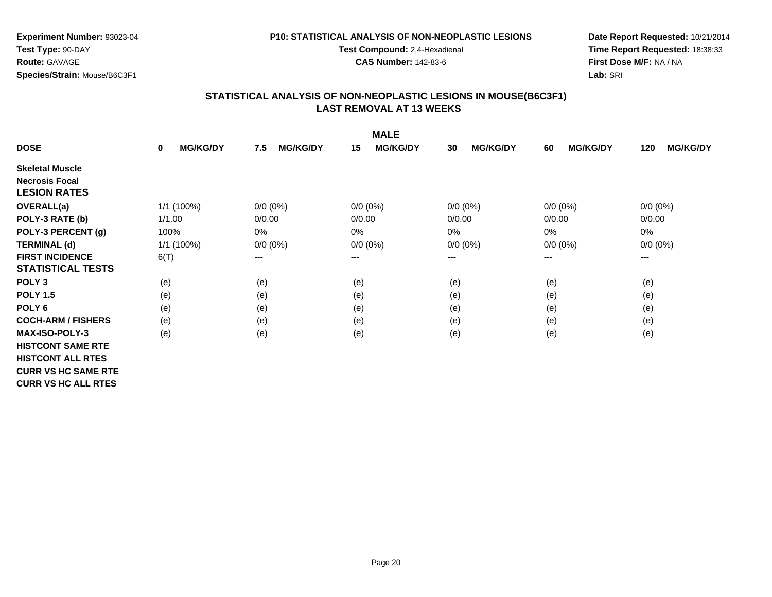#### **P10: STATISTICAL ANALYSIS OF NON-NEOPLASTIC LESIONS**

**Test Compound:** 2,4-Hexadienal

**CAS Number:** 142-83-6

**Date Report Requested:** 10/21/2014**Time Report Requested:** 18:38:33**First Dose M/F:** NA / NA**Lab:** SRI

| <b>MALE</b>                |                                |                        |                       |                       |                       |                        |  |
|----------------------------|--------------------------------|------------------------|-----------------------|-----------------------|-----------------------|------------------------|--|
| <b>DOSE</b>                | <b>MG/KG/DY</b><br>$\mathbf 0$ | <b>MG/KG/DY</b><br>7.5 | <b>MG/KG/DY</b><br>15 | <b>MG/KG/DY</b><br>30 | <b>MG/KG/DY</b><br>60 | <b>MG/KG/DY</b><br>120 |  |
| <b>Skeletal Muscle</b>     |                                |                        |                       |                       |                       |                        |  |
| <b>Necrosis Focal</b>      |                                |                        |                       |                       |                       |                        |  |
| <b>LESION RATES</b>        |                                |                        |                       |                       |                       |                        |  |
| <b>OVERALL(a)</b>          | 1/1 (100%)                     | $0/0 (0\%)$            | $0/0 (0\%)$           | $0/0 (0\%)$           | $0/0 (0\%)$           | $0/0 (0\%)$            |  |
| POLY-3 RATE (b)            | 1/1.00                         | 0/0.00                 | 0/0.00                | 0/0.00                | 0/0.00                | 0/0.00                 |  |
| POLY-3 PERCENT (g)         | 100%                           | $0\%$                  | 0%                    | $0\%$                 | 0%                    | 0%                     |  |
| <b>TERMINAL (d)</b>        | 1/1 (100%)                     | $0/0 (0\%)$            | $0/0 (0\%)$           | $0/0 (0\%)$           | $0/0 (0\%)$           | $0/0 (0\%)$            |  |
| <b>FIRST INCIDENCE</b>     | 6(T)                           | $---$                  | ---                   | ---                   | $---$                 | $---$                  |  |
| <b>STATISTICAL TESTS</b>   |                                |                        |                       |                       |                       |                        |  |
| POLY <sub>3</sub>          | (e)                            | (e)                    | (e)                   | (e)                   | (e)                   | (e)                    |  |
| <b>POLY 1.5</b>            | (e)                            | (e)                    | (e)                   | (e)                   | (e)                   | (e)                    |  |
| POLY <sub>6</sub>          | (e)                            | (e)                    | (e)                   | (e)                   | (e)                   | (e)                    |  |
| <b>COCH-ARM / FISHERS</b>  | (e)                            | (e)                    | (e)                   | (e)                   | (e)                   | (e)                    |  |
| <b>MAX-ISO-POLY-3</b>      | (e)                            | (e)                    | (e)                   | (e)                   | (e)                   | (e)                    |  |
| <b>HISTCONT SAME RTE</b>   |                                |                        |                       |                       |                       |                        |  |
| <b>HISTCONT ALL RTES</b>   |                                |                        |                       |                       |                       |                        |  |
| <b>CURR VS HC SAME RTE</b> |                                |                        |                       |                       |                       |                        |  |
| <b>CURR VS HC ALL RTES</b> |                                |                        |                       |                       |                       |                        |  |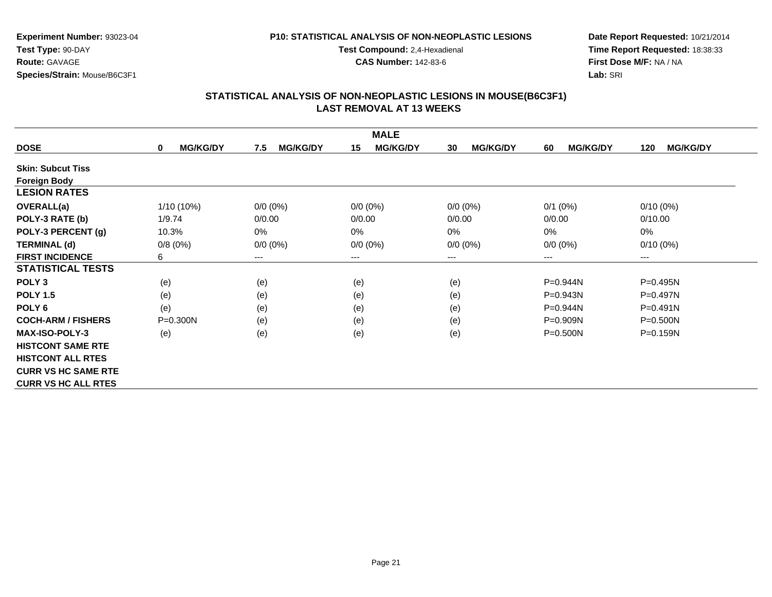#### **P10: STATISTICAL ANALYSIS OF NON-NEOPLASTIC LESIONS**

**Test Compound:** 2,4-Hexadienal

**CAS Number:** 142-83-6

**Date Report Requested:** 10/21/2014**Time Report Requested:** 18:38:33**First Dose M/F:** NA / NA**Lab:** SRI

| <b>MALE</b>                |                      |                        |                       |                       |                       |                        |  |
|----------------------------|----------------------|------------------------|-----------------------|-----------------------|-----------------------|------------------------|--|
| <b>DOSE</b>                | <b>MG/KG/DY</b><br>0 | <b>MG/KG/DY</b><br>7.5 | <b>MG/KG/DY</b><br>15 | <b>MG/KG/DY</b><br>30 | <b>MG/KG/DY</b><br>60 | <b>MG/KG/DY</b><br>120 |  |
| <b>Skin: Subcut Tiss</b>   |                      |                        |                       |                       |                       |                        |  |
| <b>Foreign Body</b>        |                      |                        |                       |                       |                       |                        |  |
| <b>LESION RATES</b>        |                      |                        |                       |                       |                       |                        |  |
| <b>OVERALL(a)</b>          | 1/10 (10%)           | $0/0 (0\%)$            | $0/0 (0\%)$           | $0/0 (0\%)$           | $0/1$ (0%)            | $0/10(0\%)$            |  |
| POLY-3 RATE (b)            | 1/9.74               | 0/0.00                 | 0/0.00                | 0/0.00                | 0/0.00                | 0/10.00                |  |
| POLY-3 PERCENT (g)         | 10.3%                | 0%                     | 0%                    | $0\%$                 | 0%                    | 0%                     |  |
| <b>TERMINAL (d)</b>        | 0/8(0%)              | $0/0 (0\%)$            | $0/0 (0\%)$           | $0/0 (0\%)$           | $0/0 (0\%)$           | $0/10(0\%)$            |  |
| <b>FIRST INCIDENCE</b>     | 6                    | ---                    | ---                   | ---                   | ---                   | $--$                   |  |
| <b>STATISTICAL TESTS</b>   |                      |                        |                       |                       |                       |                        |  |
| POLY <sub>3</sub>          | (e)                  | (e)                    | (e)                   | (e)                   | P=0.944N              | P=0.495N               |  |
| <b>POLY 1.5</b>            | (e)                  | (e)                    | (e)                   | (e)                   | P=0.943N              | P=0.497N               |  |
| POLY <sub>6</sub>          | (e)                  | (e)                    | (e)                   | (e)                   | P=0.944N              | $P = 0.491N$           |  |
| <b>COCH-ARM / FISHERS</b>  | $P = 0.300N$         | (e)                    | (e)                   | (e)                   | P=0.909N              | $P = 0.500N$           |  |
| <b>MAX-ISO-POLY-3</b>      | (e)                  | (e)                    | (e)                   | (e)                   | $P = 0.500N$          | $P = 0.159N$           |  |
| <b>HISTCONT SAME RTE</b>   |                      |                        |                       |                       |                       |                        |  |
| <b>HISTCONT ALL RTES</b>   |                      |                        |                       |                       |                       |                        |  |
| <b>CURR VS HC SAME RTE</b> |                      |                        |                       |                       |                       |                        |  |
| <b>CURR VS HC ALL RTES</b> |                      |                        |                       |                       |                       |                        |  |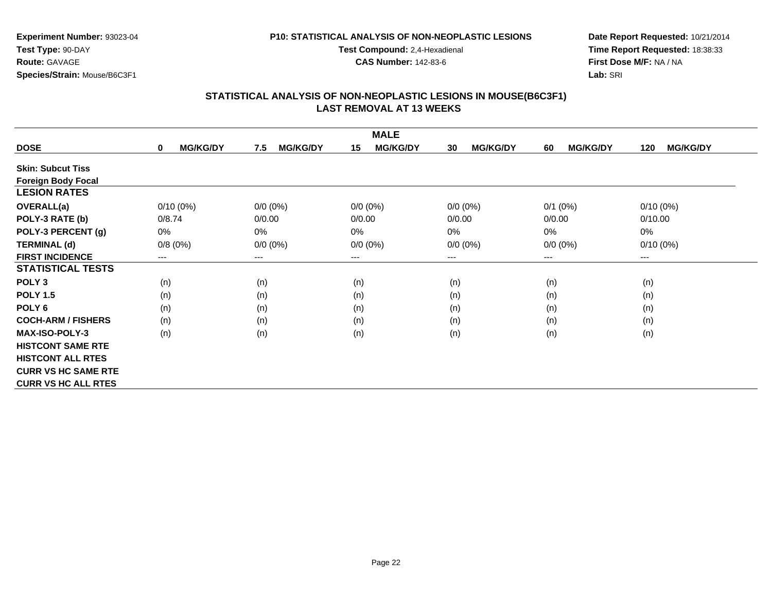#### **P10: STATISTICAL ANALYSIS OF NON-NEOPLASTIC LESIONS**

**Test Compound:** 2,4-Hexadienal

**CAS Number:** 142-83-6

**Date Report Requested:** 10/21/2014**Time Report Requested:** 18:38:33**First Dose M/F:** NA / NA**Lab:** SRI

| <b>MALE</b>                |                      |                        |                        |                       |                       |                        |  |
|----------------------------|----------------------|------------------------|------------------------|-----------------------|-----------------------|------------------------|--|
| <b>DOSE</b>                | <b>MG/KG/DY</b><br>0 | <b>MG/KG/DY</b><br>7.5 | <b>MG/KG/DY</b><br>15  | <b>MG/KG/DY</b><br>30 | <b>MG/KG/DY</b><br>60 | <b>MG/KG/DY</b><br>120 |  |
| <b>Skin: Subcut Tiss</b>   |                      |                        |                        |                       |                       |                        |  |
| <b>Foreign Body Focal</b>  |                      |                        |                        |                       |                       |                        |  |
| <b>LESION RATES</b>        |                      |                        |                        |                       |                       |                        |  |
| <b>OVERALL(a)</b>          | $0/10(0\%)$          | $0/0 (0\%)$            | $0/0(0\%)$             | $0/0 (0\%)$           | $0/1$ (0%)            | $0/10(0\%)$            |  |
| POLY-3 RATE (b)            | 0/8.74               | 0/0.00                 | 0/0.00                 | 0/0.00                | 0/0.00                | 0/10.00                |  |
| POLY-3 PERCENT (g)         | $0\%$                | 0%                     | $0\%$                  | 0%                    | $0\%$                 | 0%                     |  |
| <b>TERMINAL (d)</b>        | 0/8(0%)              | $0/0 (0\%)$            | $0/0 (0\%)$            | $0/0 (0\%)$           | $0/0 (0\%)$           | $0/10(0\%)$            |  |
| <b>FIRST INCIDENCE</b>     | ---                  | ---                    | $\qquad \qquad \cdots$ | ---                   | ---                   | ---                    |  |
| <b>STATISTICAL TESTS</b>   |                      |                        |                        |                       |                       |                        |  |
| POLY <sub>3</sub>          | (n)                  | (n)                    | (n)                    | (n)                   | (n)                   | (n)                    |  |
| <b>POLY 1.5</b>            | (n)                  | (n)                    | (n)                    | (n)                   | (n)                   | (n)                    |  |
| POLY <sub>6</sub>          | (n)                  | (n)                    | (n)                    | (n)                   | (n)                   | (n)                    |  |
| <b>COCH-ARM / FISHERS</b>  | (n)                  | (n)                    | (n)                    | (n)                   | (n)                   | (n)                    |  |
| <b>MAX-ISO-POLY-3</b>      | (n)                  | (n)                    | (n)                    | (n)                   | (n)                   | (n)                    |  |
| <b>HISTCONT SAME RTE</b>   |                      |                        |                        |                       |                       |                        |  |
| <b>HISTCONT ALL RTES</b>   |                      |                        |                        |                       |                       |                        |  |
| <b>CURR VS HC SAME RTE</b> |                      |                        |                        |                       |                       |                        |  |
| <b>CURR VS HC ALL RTES</b> |                      |                        |                        |                       |                       |                        |  |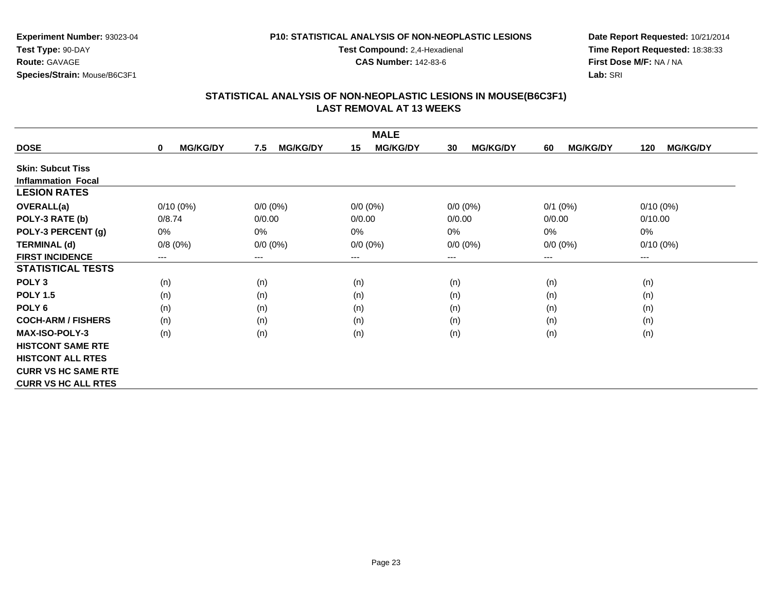#### **P10: STATISTICAL ANALYSIS OF NON-NEOPLASTIC LESIONS**

**Test Compound:** 2,4-Hexadienal

**CAS Number:** 142-83-6

**Date Report Requested:** 10/21/2014**Time Report Requested:** 18:38:33**First Dose M/F:** NA / NA**Lab:** SRI

| <b>MALE</b>                |                                |                        |                       |                       |                       |                        |  |  |
|----------------------------|--------------------------------|------------------------|-----------------------|-----------------------|-----------------------|------------------------|--|--|
| <b>DOSE</b>                | <b>MG/KG/DY</b><br>$\mathbf 0$ | <b>MG/KG/DY</b><br>7.5 | <b>MG/KG/DY</b><br>15 | <b>MG/KG/DY</b><br>30 | <b>MG/KG/DY</b><br>60 | <b>MG/KG/DY</b><br>120 |  |  |
| <b>Skin: Subcut Tiss</b>   |                                |                        |                       |                       |                       |                        |  |  |
| <b>Inflammation Focal</b>  |                                |                        |                       |                       |                       |                        |  |  |
| <b>LESION RATES</b>        |                                |                        |                       |                       |                       |                        |  |  |
| <b>OVERALL(a)</b>          | $0/10(0\%)$                    | $0/0 (0\%)$            | $0/0 (0\%)$           | $0/0 (0\%)$           | $0/1$ (0%)            | $0/10(0\%)$            |  |  |
| POLY-3 RATE (b)            | 0/8.74                         | 0/0.00                 | 0/0.00                | 0/0.00                | 0/0.00                | 0/10.00                |  |  |
| POLY-3 PERCENT (g)         | 0%                             | 0%                     | 0%                    | 0%                    | 0%                    | 0%                     |  |  |
| <b>TERMINAL (d)</b>        | 0/8(0%)                        | $0/0 (0\%)$            | $0/0 (0\%)$           | $0/0 (0\%)$           | $0/0 (0\%)$           | $0/10(0\%)$            |  |  |
| <b>FIRST INCIDENCE</b>     | ---                            | $---$                  | $--$                  | $--$                  | $--$                  | ---                    |  |  |
| <b>STATISTICAL TESTS</b>   |                                |                        |                       |                       |                       |                        |  |  |
| POLY <sub>3</sub>          | (n)                            | (n)                    | (n)                   | (n)                   | (n)                   | (n)                    |  |  |
| <b>POLY 1.5</b>            | (n)                            | (n)                    | (n)                   | (n)                   | (n)                   | (n)                    |  |  |
| POLY <sub>6</sub>          | (n)                            | (n)                    | (n)                   | (n)                   | (n)                   | (n)                    |  |  |
| <b>COCH-ARM / FISHERS</b>  | (n)                            | (n)                    | (n)                   | (n)                   | (n)                   | (n)                    |  |  |
| <b>MAX-ISO-POLY-3</b>      | (n)                            | (n)                    | (n)                   | (n)                   | (n)                   | (n)                    |  |  |
| <b>HISTCONT SAME RTE</b>   |                                |                        |                       |                       |                       |                        |  |  |
| <b>HISTCONT ALL RTES</b>   |                                |                        |                       |                       |                       |                        |  |  |
| <b>CURR VS HC SAME RTE</b> |                                |                        |                       |                       |                       |                        |  |  |
| <b>CURR VS HC ALL RTES</b> |                                |                        |                       |                       |                       |                        |  |  |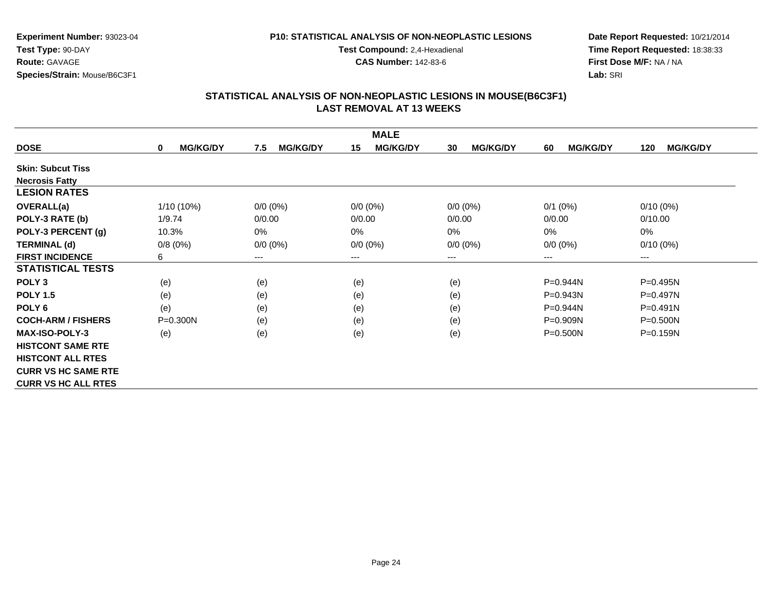#### **P10: STATISTICAL ANALYSIS OF NON-NEOPLASTIC LESIONS**

**Test Compound:** 2,4-Hexadienal

**CAS Number:** 142-83-6

**Date Report Requested:** 10/21/2014**Time Report Requested:** 18:38:33**First Dose M/F:** NA / NA**Lab:** SRI

| <b>MALE</b>                |                                |                        |                       |                       |                       |                        |  |
|----------------------------|--------------------------------|------------------------|-----------------------|-----------------------|-----------------------|------------------------|--|
| <b>DOSE</b>                | <b>MG/KG/DY</b><br>$\mathbf 0$ | <b>MG/KG/DY</b><br>7.5 | <b>MG/KG/DY</b><br>15 | <b>MG/KG/DY</b><br>30 | <b>MG/KG/DY</b><br>60 | <b>MG/KG/DY</b><br>120 |  |
| <b>Skin: Subcut Tiss</b>   |                                |                        |                       |                       |                       |                        |  |
| <b>Necrosis Fatty</b>      |                                |                        |                       |                       |                       |                        |  |
| <b>LESION RATES</b>        |                                |                        |                       |                       |                       |                        |  |
| <b>OVERALL(a)</b>          | 1/10 (10%)                     | $0/0 (0\%)$            | $0/0 (0\%)$           | $0/0 (0\%)$           | $0/1$ (0%)            | $0/10(0\%)$            |  |
| POLY-3 RATE (b)            | 1/9.74                         | 0/0.00                 | 0/0.00                | 0/0.00                | 0/0.00                | 0/10.00                |  |
| POLY-3 PERCENT (g)         | 10.3%                          | $0\%$                  | 0%                    | 0%                    | 0%                    | 0%                     |  |
| <b>TERMINAL (d)</b>        | 0/8(0%)                        | $0/0 (0\%)$            | $0/0 (0\%)$           | $0/0 (0\%)$           | $0/0 (0\%)$           | $0/10(0\%)$            |  |
| <b>FIRST INCIDENCE</b>     | 6                              | ---                    | ---                   | ---                   | $---$                 | $---$                  |  |
| <b>STATISTICAL TESTS</b>   |                                |                        |                       |                       |                       |                        |  |
| POLY <sub>3</sub>          | (e)                            | (e)                    | (e)                   | (e)                   | P=0.944N              | $P = 0.495N$           |  |
| <b>POLY 1.5</b>            | (e)                            | (e)                    | (e)                   | (e)                   | P=0.943N              | P=0.497N               |  |
| POLY <sub>6</sub>          | (e)                            | (e)                    | (e)                   | (e)                   | $P = 0.944N$          | $P = 0.491N$           |  |
| <b>COCH-ARM / FISHERS</b>  | $P = 0.300N$                   | (e)                    | (e)                   | (e)                   | $P = 0.909N$          | $P = 0.500N$           |  |
| <b>MAX-ISO-POLY-3</b>      | (e)                            | (e)                    | (e)                   | (e)                   | $P = 0.500N$          | $P = 0.159N$           |  |
| <b>HISTCONT SAME RTE</b>   |                                |                        |                       |                       |                       |                        |  |
| <b>HISTCONT ALL RTES</b>   |                                |                        |                       |                       |                       |                        |  |
| <b>CURR VS HC SAME RTE</b> |                                |                        |                       |                       |                       |                        |  |
| <b>CURR VS HC ALL RTES</b> |                                |                        |                       |                       |                       |                        |  |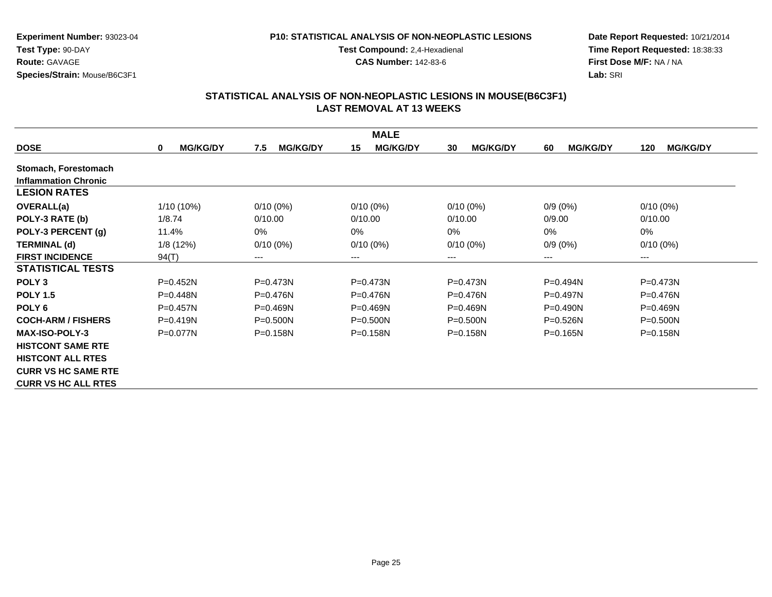#### **P10: STATISTICAL ANALYSIS OF NON-NEOPLASTIC LESIONS**

**Test Compound:** 2,4-Hexadienal

**CAS Number:** 142-83-6

**Date Report Requested:** 10/21/2014**Time Report Requested:** 18:38:33**First Dose M/F:** NA / NA**Lab:** SRI

|                             |                                |                        | <b>MALE</b>           |                       |                       |                        |
|-----------------------------|--------------------------------|------------------------|-----------------------|-----------------------|-----------------------|------------------------|
| <b>DOSE</b>                 | <b>MG/KG/DY</b><br>$\mathbf 0$ | <b>MG/KG/DY</b><br>7.5 | <b>MG/KG/DY</b><br>15 | <b>MG/KG/DY</b><br>30 | <b>MG/KG/DY</b><br>60 | <b>MG/KG/DY</b><br>120 |
| Stomach, Forestomach        |                                |                        |                       |                       |                       |                        |
| <b>Inflammation Chronic</b> |                                |                        |                       |                       |                       |                        |
| <b>LESION RATES</b>         |                                |                        |                       |                       |                       |                        |
| OVERALL(a)                  | 1/10 (10%)                     | $0/10(0\%)$            | $0/10(0\%)$           | $0/10(0\%)$           | $0/9(0\%)$            | $0/10(0\%)$            |
| POLY-3 RATE (b)             | 1/8.74                         | 0/10.00                | 0/10.00               | 0/10.00               | 0/9.00                | 0/10.00                |
| POLY-3 PERCENT (g)          | 11.4%                          | 0%                     | 0%                    | 0%                    | 0%                    | 0%                     |
| <b>TERMINAL (d)</b>         | 1/8(12%)                       | $0/10(0\%)$            | $0/10(0\%)$           | $0/10(0\%)$           | $0/9(0\%)$            | $0/10(0\%)$            |
| <b>FIRST INCIDENCE</b>      | 94(T)                          | ---                    | $---$                 | ---                   | $--$                  | ---                    |
| <b>STATISTICAL TESTS</b>    |                                |                        |                       |                       |                       |                        |
| POLY <sub>3</sub>           | $P = 0.452N$                   | $P = 0.473N$           | $P = 0.473N$          | $P = 0.473N$          | $P=0.494N$            | $P = 0.473N$           |
| <b>POLY 1.5</b>             | $P = 0.448N$                   | $P = 0.476N$           | $P = 0.476N$          | $P = 0.476N$          | $P=0.497N$            | $P = 0.476N$           |
| POLY 6                      | $P = 0.457N$                   | $P = 0.469N$           | $P = 0.469N$          | $P = 0.469N$          | $P = 0.490N$          | $P = 0.469N$           |
| <b>COCH-ARM / FISHERS</b>   | $P = 0.419N$                   | $P = 0.500N$           | $P = 0.500N$          | $P = 0.500N$          | $P=0.526N$            | $P = 0.500N$           |
| <b>MAX-ISO-POLY-3</b>       | $P=0.077N$                     | $P = 0.158N$           | $P = 0.158N$          | $P = 0.158N$          | $P=0.165N$            | $P = 0.158N$           |
| <b>HISTCONT SAME RTE</b>    |                                |                        |                       |                       |                       |                        |
| <b>HISTCONT ALL RTES</b>    |                                |                        |                       |                       |                       |                        |
| <b>CURR VS HC SAME RTE</b>  |                                |                        |                       |                       |                       |                        |
| <b>CURR VS HC ALL RTES</b>  |                                |                        |                       |                       |                       |                        |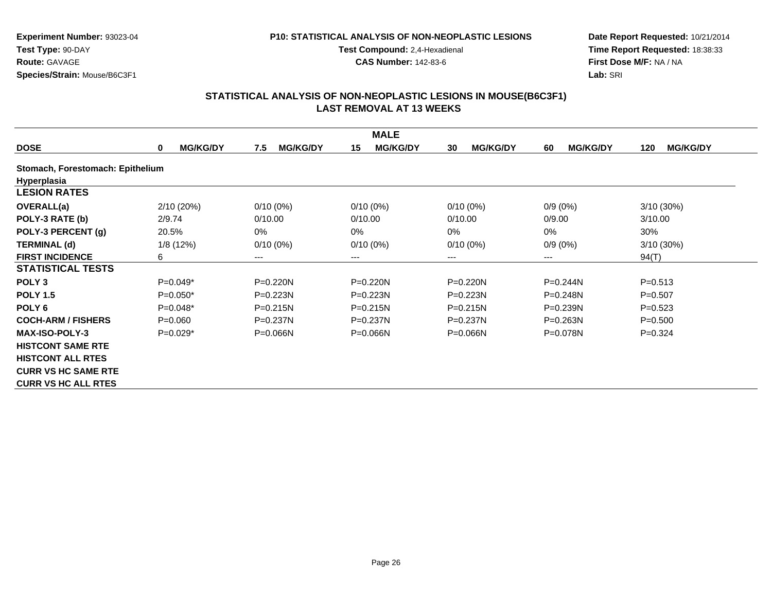#### **P10: STATISTICAL ANALYSIS OF NON-NEOPLASTIC LESIONS**

**Test Compound:** 2,4-Hexadienal

**CAS Number:** 142-83-6

**Date Report Requested:** 10/21/2014**Time Report Requested:** 18:38:33**First Dose M/F:** NA / NA**Lab:** SRI

| <b>MALE</b>                      |                      |                        |                       |                        |                       |                        |  |
|----------------------------------|----------------------|------------------------|-----------------------|------------------------|-----------------------|------------------------|--|
| <b>DOSE</b>                      | <b>MG/KG/DY</b><br>0 | 7.5<br><b>MG/KG/DY</b> | <b>MG/KG/DY</b><br>15 | <b>MG/KG/DY</b><br>30  | <b>MG/KG/DY</b><br>60 | <b>MG/KG/DY</b><br>120 |  |
| Stomach, Forestomach: Epithelium |                      |                        |                       |                        |                       |                        |  |
| <b>Hyperplasia</b>               |                      |                        |                       |                        |                       |                        |  |
| <b>LESION RATES</b>              |                      |                        |                       |                        |                       |                        |  |
| <b>OVERALL(a)</b>                | 2/10 (20%)           | $0/10(0\%)$            | $0/10(0\%)$           | $0/10(0\%)$            | $0/9(0\%)$            | 3/10 (30%)             |  |
| POLY-3 RATE (b)                  | 2/9.74               | 0/10.00                | 0/10.00               | 0/10.00                | 0/9.00                | 3/10.00                |  |
| POLY-3 PERCENT (g)               | 20.5%                | 0%                     | 0%                    | 0%                     | 0%                    | 30%                    |  |
| <b>TERMINAL (d)</b>              | 1/8(12%)             | $0/10(0\%)$            | $0/10(0\%)$           | $0/10(0\%)$            | $0/9(0\%)$            | $3/10(30\%)$           |  |
| <b>FIRST INCIDENCE</b>           | 6                    | ---                    | $---$                 | $\qquad \qquad \cdots$ | $--$                  | 94(T)                  |  |
| <b>STATISTICAL TESTS</b>         |                      |                        |                       |                        |                       |                        |  |
| POLY <sub>3</sub>                | $P=0.049*$           | $P = 0.220N$           | P=0.220N              | $P=0.220N$             | $P=0.244N$            | $P = 0.513$            |  |
| <b>POLY 1.5</b>                  | $P=0.050*$           | $P=0.223N$             | P=0.223N              | $P=0.223N$             | $P = 0.248N$          | $P = 0.507$            |  |
| POLY <sub>6</sub>                | $P=0.048*$           | $P = 0.215N$           | $P = 0.215N$          | $P = 0.215N$           | $P = 0.239N$          | $P=0.523$              |  |
| <b>COCH-ARM / FISHERS</b>        | $P = 0.060$          | $P=0.237N$             | $P = 0.237N$          | $P = 0.237N$           | $P = 0.263N$          | $P = 0.500$            |  |
| <b>MAX-ISO-POLY-3</b>            | $P=0.029*$           | $P = 0.066N$           | $P = 0.066N$          | $P = 0.066N$           | $P = 0.078N$          | $P=0.324$              |  |
| <b>HISTCONT SAME RTE</b>         |                      |                        |                       |                        |                       |                        |  |
| <b>HISTCONT ALL RTES</b>         |                      |                        |                       |                        |                       |                        |  |
| <b>CURR VS HC SAME RTE</b>       |                      |                        |                       |                        |                       |                        |  |
| <b>CURR VS HC ALL RTES</b>       |                      |                        |                       |                        |                       |                        |  |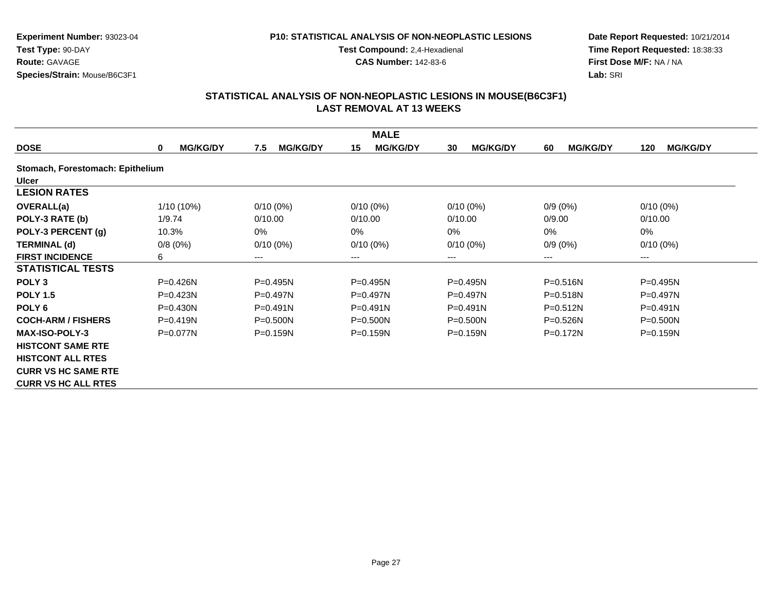#### **P10: STATISTICAL ANALYSIS OF NON-NEOPLASTIC LESIONS**

**Test Compound:** 2,4-Hexadienal

**CAS Number:** 142-83-6

**Date Report Requested:** 10/21/2014**Time Report Requested:** 18:38:33**First Dose M/F:** NA / NA**Lab:** SRI

| <b>MALE</b>                      |                             |                        |                        |                       |                       |                        |  |
|----------------------------------|-----------------------------|------------------------|------------------------|-----------------------|-----------------------|------------------------|--|
| <b>DOSE</b>                      | <b>MG/KG/DY</b><br>$\bf{0}$ | <b>MG/KG/DY</b><br>7.5 | <b>MG/KG/DY</b><br>15  | <b>MG/KG/DY</b><br>30 | <b>MG/KG/DY</b><br>60 | <b>MG/KG/DY</b><br>120 |  |
| Stomach, Forestomach: Epithelium |                             |                        |                        |                       |                       |                        |  |
| <b>Ulcer</b>                     |                             |                        |                        |                       |                       |                        |  |
| <b>LESION RATES</b>              |                             |                        |                        |                       |                       |                        |  |
| <b>OVERALL(a)</b>                | 1/10 (10%)                  | $0/10(0\%)$            | $0/10(0\%)$            | $0/10(0\%)$           | $0/9(0\%)$            | $0/10(0\%)$            |  |
| POLY-3 RATE (b)                  | 1/9.74                      | 0/10.00                | 0/10.00                | 0/10.00               | 0/9.00                | 0/10.00                |  |
| POLY-3 PERCENT (g)               | 10.3%                       | 0%                     | 0%                     | 0%                    | 0%                    | $0\%$                  |  |
| <b>TERMINAL (d)</b>              | 0/8(0%)                     | $0/10(0\%)$            | $0/10(0\%)$            | $0/10(0\%)$           | $0/9(0\%)$            | $0/10(0\%)$            |  |
| <b>FIRST INCIDENCE</b>           | 6                           | ---                    | $\qquad \qquad \cdots$ | ---                   | $---$                 | $---$                  |  |
| <b>STATISTICAL TESTS</b>         |                             |                        |                        |                       |                       |                        |  |
| POLY <sub>3</sub>                | $P = 0.426N$                | $P = 0.495N$           | $P = 0.495N$           | $P=0.495N$            | $P = 0.516N$          | $P = 0.495N$           |  |
| <b>POLY 1.5</b>                  | $P = 0.423N$                | $P=0.497N$             | $P = 0.497N$           | $P=0.497N$            | $P = 0.518N$          | $P=0.497N$             |  |
| POLY 6                           | $P = 0.430N$                | $P = 0.491N$           | $P = 0.491N$           | $P=0.491N$            | $P = 0.512N$          | $P = 0.491N$           |  |
| <b>COCH-ARM / FISHERS</b>        | $P = 0.419N$                | $P = 0.500N$           | $P = 0.500N$           | $P = 0.500N$          | $P = 0.526N$          | $P = 0.500N$           |  |
| <b>MAX-ISO-POLY-3</b>            | P=0.077N                    | $P = 0.159N$           | $P = 0.159N$           | $P = 0.159N$          | P=0.172N              | $P = 0.159N$           |  |
| <b>HISTCONT SAME RTE</b>         |                             |                        |                        |                       |                       |                        |  |
| <b>HISTCONT ALL RTES</b>         |                             |                        |                        |                       |                       |                        |  |
| <b>CURR VS HC SAME RTE</b>       |                             |                        |                        |                       |                       |                        |  |
| <b>CURR VS HC ALL RTES</b>       |                             |                        |                        |                       |                       |                        |  |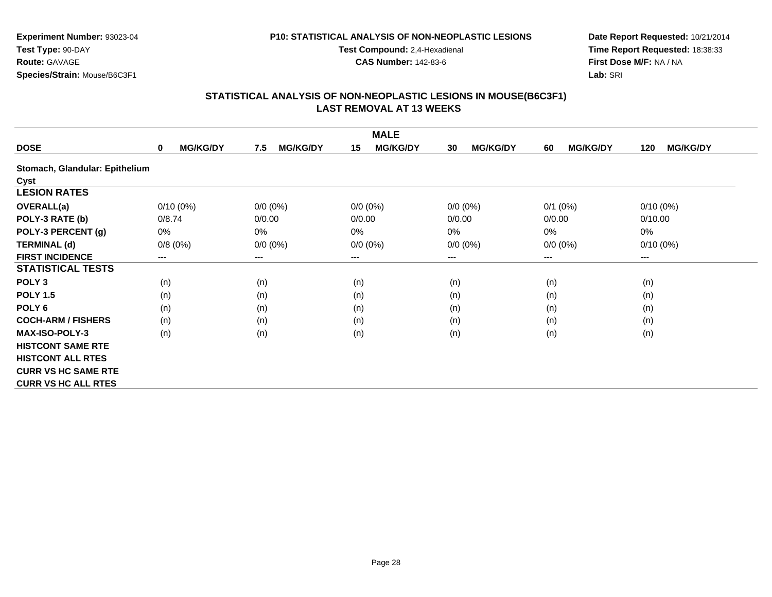### **P10: STATISTICAL ANALYSIS OF NON-NEOPLASTIC LESIONS**

**Test Compound:** 2,4-Hexadienal

**CAS Number:** 142-83-6

**Date Report Requested:** 10/21/2014**Time Report Requested:** 18:38:33**First Dose M/F:** NA / NA**Lab:** SRI

|                                | <b>MALE</b>                 |                        |                       |                            |                       |                        |  |  |
|--------------------------------|-----------------------------|------------------------|-----------------------|----------------------------|-----------------------|------------------------|--|--|
| <b>DOSE</b>                    | <b>MG/KG/DY</b><br>$\bf{0}$ | <b>MG/KG/DY</b><br>7.5 | <b>MG/KG/DY</b><br>15 | <b>MG/KG/DY</b><br>30      | <b>MG/KG/DY</b><br>60 | <b>MG/KG/DY</b><br>120 |  |  |
| Stomach, Glandular: Epithelium |                             |                        |                       |                            |                       |                        |  |  |
| Cyst                           |                             |                        |                       |                            |                       |                        |  |  |
| <b>LESION RATES</b>            |                             |                        |                       |                            |                       |                        |  |  |
| OVERALL(a)                     | $0/10(0\%)$                 | $0/0 (0\%)$            | $0/0 (0\%)$           | $0/0 (0\%)$                | $0/1$ (0%)            | $0/10(0\%)$            |  |  |
| POLY-3 RATE (b)                | 0/8.74                      | 0/0.00                 | 0/0.00                | 0/0.00                     | 0/0.00                | 0/10.00                |  |  |
| POLY-3 PERCENT (g)             | 0%                          | 0%                     | $0\%$                 | 0%                         | 0%                    | 0%                     |  |  |
| <b>TERMINAL (d)</b>            | 0/8(0%)                     | $0/0 (0\%)$            | $0/0 (0\%)$           | $0/0 (0\%)$                | $0/0 (0\%)$           | $0/10(0\%)$            |  |  |
| <b>FIRST INCIDENCE</b>         | ---                         | ---                    | $---$                 | $\qquad \qquad - \qquad -$ | $---$                 | $--$                   |  |  |
| <b>STATISTICAL TESTS</b>       |                             |                        |                       |                            |                       |                        |  |  |
| POLY <sub>3</sub>              | (n)                         | (n)                    | (n)                   | (n)                        | (n)                   | (n)                    |  |  |
| <b>POLY 1.5</b>                | (n)                         | (n)                    | (n)                   | (n)                        | (n)                   | (n)                    |  |  |
| POLY <sub>6</sub>              | (n)                         | (n)                    | (n)                   | (n)                        | (n)                   | (n)                    |  |  |
| <b>COCH-ARM / FISHERS</b>      | (n)                         | (n)                    | (n)                   | (n)                        | (n)                   | (n)                    |  |  |
| <b>MAX-ISO-POLY-3</b>          | (n)                         | (n)                    | (n)                   | (n)                        | (n)                   | (n)                    |  |  |
| <b>HISTCONT SAME RTE</b>       |                             |                        |                       |                            |                       |                        |  |  |
| <b>HISTCONT ALL RTES</b>       |                             |                        |                       |                            |                       |                        |  |  |
| <b>CURR VS HC SAME RTE</b>     |                             |                        |                       |                            |                       |                        |  |  |
| <b>CURR VS HC ALL RTES</b>     |                             |                        |                       |                            |                       |                        |  |  |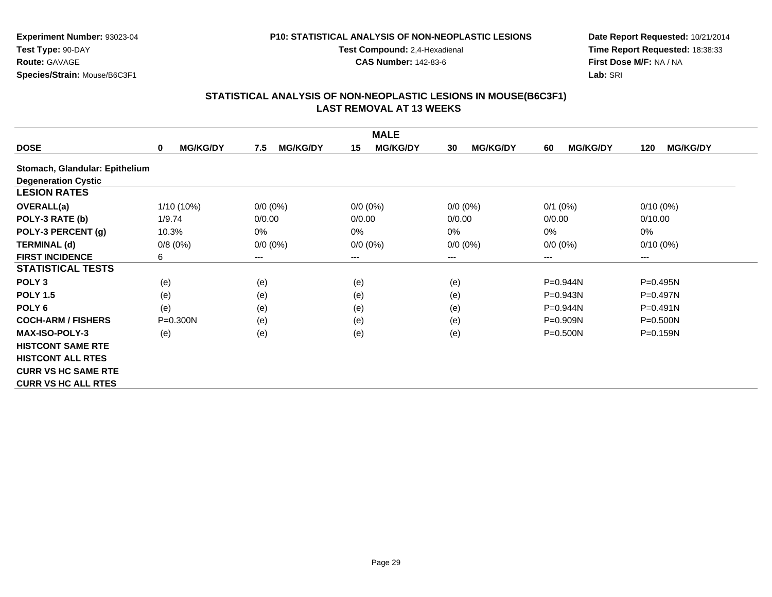#### **P10: STATISTICAL ANALYSIS OF NON-NEOPLASTIC LESIONS**

**Test Compound:** 2,4-Hexadienal

**CAS Number:** 142-83-6

**Date Report Requested:** 10/21/2014**Time Report Requested:** 18:38:33**First Dose M/F:** NA / NA**Lab:** SRI

| <b>MALE</b>                    |                      |                        |                       |                       |                       |                        |  |
|--------------------------------|----------------------|------------------------|-----------------------|-----------------------|-----------------------|------------------------|--|
| <b>DOSE</b>                    | <b>MG/KG/DY</b><br>0 | <b>MG/KG/DY</b><br>7.5 | <b>MG/KG/DY</b><br>15 | <b>MG/KG/DY</b><br>30 | <b>MG/KG/DY</b><br>60 | <b>MG/KG/DY</b><br>120 |  |
| Stomach, Glandular: Epithelium |                      |                        |                       |                       |                       |                        |  |
| <b>Degeneration Cystic</b>     |                      |                        |                       |                       |                       |                        |  |
| <b>LESION RATES</b>            |                      |                        |                       |                       |                       |                        |  |
| <b>OVERALL(a)</b>              | 1/10 (10%)           | $0/0 (0\%)$            | $0/0 (0\%)$           | $0/0 (0\%)$           | $0/1$ (0%)            | $0/10(0\%)$            |  |
| POLY-3 RATE (b)                | 1/9.74               | 0/0.00                 | 0/0.00                | 0/0.00                | 0/0.00                | 0/10.00                |  |
| POLY-3 PERCENT (g)             | 10.3%                | 0%                     | 0%                    | $0\%$                 | 0%                    | 0%                     |  |
| <b>TERMINAL (d)</b>            | 0/8(0%)              | $0/0 (0\%)$            | $0/0 (0\%)$           | $0/0 (0\%)$           | $0/0 (0\%)$           | $0/10(0\%)$            |  |
| <b>FIRST INCIDENCE</b>         | 6                    | ---                    | ---                   | ---                   | $---$                 | $\qquad \qquad \cdots$ |  |
| <b>STATISTICAL TESTS</b>       |                      |                        |                       |                       |                       |                        |  |
| POLY <sub>3</sub>              | (e)                  | (e)                    | (e)                   | (e)                   | P=0.944N              | P=0.495N               |  |
| <b>POLY 1.5</b>                | (e)                  | (e)                    | (e)                   | (e)                   | P=0.943N              | $P=0.497N$             |  |
| POLY <sub>6</sub>              | (e)                  | (e)                    | (e)                   | (e)                   | P=0.944N              | $P = 0.491N$           |  |
| <b>COCH-ARM / FISHERS</b>      | $P = 0.300N$         | (e)                    | (e)                   | (e)                   | $P = 0.909N$          | $P = 0.500N$           |  |
| <b>MAX-ISO-POLY-3</b>          | (e)                  | (e)                    | (e)                   | (e)                   | $P = 0.500N$          | $P = 0.159N$           |  |
| <b>HISTCONT SAME RTE</b>       |                      |                        |                       |                       |                       |                        |  |
| <b>HISTCONT ALL RTES</b>       |                      |                        |                       |                       |                       |                        |  |
| <b>CURR VS HC SAME RTE</b>     |                      |                        |                       |                       |                       |                        |  |
| <b>CURR VS HC ALL RTES</b>     |                      |                        |                       |                       |                       |                        |  |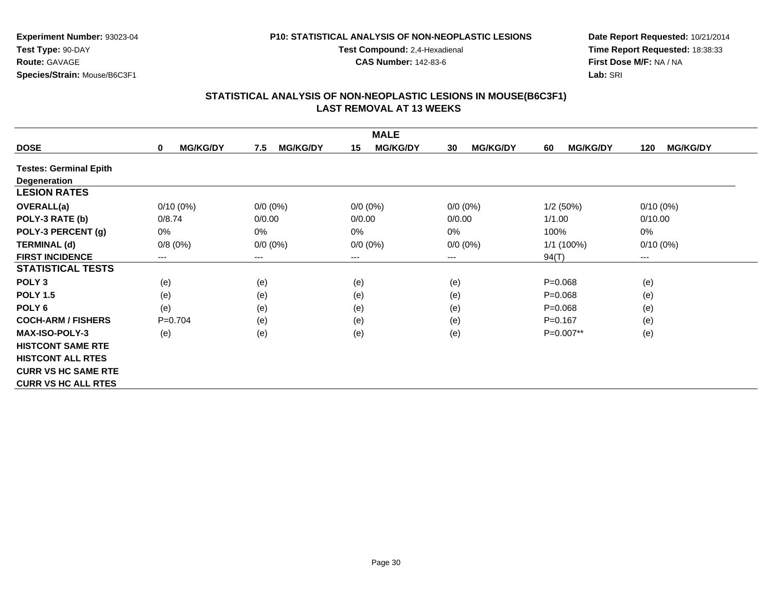#### **P10: STATISTICAL ANALYSIS OF NON-NEOPLASTIC LESIONS**

**Test Compound:** 2,4-Hexadienal

**CAS Number:** 142-83-6

**Date Report Requested:** 10/21/2014**Time Report Requested:** 18:38:33**First Dose M/F:** NA / NA**Lab:** SRI

|                               | <b>MALE</b>                    |                        |                       |                       |                       |                        |  |  |
|-------------------------------|--------------------------------|------------------------|-----------------------|-----------------------|-----------------------|------------------------|--|--|
| <b>DOSE</b>                   | <b>MG/KG/DY</b><br>$\mathbf 0$ | <b>MG/KG/DY</b><br>7.5 | <b>MG/KG/DY</b><br>15 | <b>MG/KG/DY</b><br>30 | <b>MG/KG/DY</b><br>60 | <b>MG/KG/DY</b><br>120 |  |  |
| <b>Testes: Germinal Epith</b> |                                |                        |                       |                       |                       |                        |  |  |
| Degeneration                  |                                |                        |                       |                       |                       |                        |  |  |
| <b>LESION RATES</b>           |                                |                        |                       |                       |                       |                        |  |  |
| <b>OVERALL(a)</b>             | $0/10(0\%)$                    | $0/0 (0\%)$            | $0/0 (0\%)$           | $0/0 (0\%)$           | 1/2(50%)              | $0/10(0\%)$            |  |  |
| POLY-3 RATE (b)               | 0/8.74                         | 0/0.00                 | 0/0.00                | 0/0.00                | 1/1.00                | 0/10.00                |  |  |
| POLY-3 PERCENT (g)            | 0%                             | $0\%$                  | 0%                    | 0%                    | 100%                  | 0%                     |  |  |
| <b>TERMINAL (d)</b>           | 0/8(0%)                        | $0/0 (0\%)$            | $0/0 (0\%)$           | $0/0 (0\%)$           | 1/1 (100%)            | $0/10(0\%)$            |  |  |
| <b>FIRST INCIDENCE</b>        | ---                            | ---                    | $--$                  | ---                   | 94(T)                 | ---                    |  |  |
| <b>STATISTICAL TESTS</b>      |                                |                        |                       |                       |                       |                        |  |  |
| POLY <sub>3</sub>             | (e)                            | (e)                    | (e)                   | (e)                   | $P = 0.068$           | (e)                    |  |  |
| <b>POLY 1.5</b>               | (e)                            | (e)                    | (e)                   | (e)                   | $P = 0.068$           | (e)                    |  |  |
| POLY 6                        | (e)                            | (e)                    | (e)                   | (e)                   | $P = 0.068$           | (e)                    |  |  |
| <b>COCH-ARM / FISHERS</b>     | $P=0.704$                      | (e)                    | (e)                   | (e)                   | $P = 0.167$           | (e)                    |  |  |
| <b>MAX-ISO-POLY-3</b>         | (e)                            | (e)                    | (e)                   | (e)                   | $P=0.007**$           | (e)                    |  |  |
| <b>HISTCONT SAME RTE</b>      |                                |                        |                       |                       |                       |                        |  |  |
| <b>HISTCONT ALL RTES</b>      |                                |                        |                       |                       |                       |                        |  |  |
| <b>CURR VS HC SAME RTE</b>    |                                |                        |                       |                       |                       |                        |  |  |
| <b>CURR VS HC ALL RTES</b>    |                                |                        |                       |                       |                       |                        |  |  |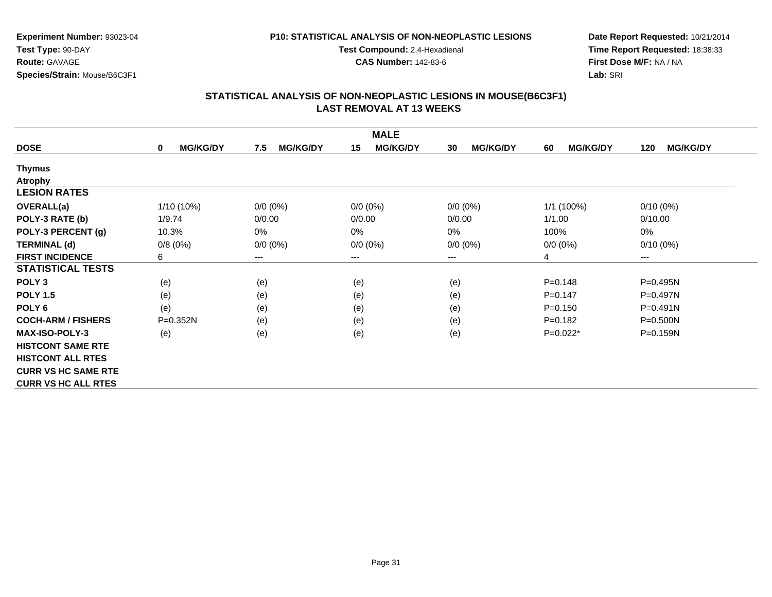### **P10: STATISTICAL ANALYSIS OF NON-NEOPLASTIC LESIONS**

**Test Compound:** 2,4-Hexadienal

**CAS Number:** 142-83-6

**Date Report Requested:** 10/21/2014**Time Report Requested:** 18:38:33**First Dose M/F:** NA / NA**Lab:** SRI

| <b>MALE</b>                |                                |                        |                       |                       |                       |                        |  |  |
|----------------------------|--------------------------------|------------------------|-----------------------|-----------------------|-----------------------|------------------------|--|--|
| <b>DOSE</b>                | <b>MG/KG/DY</b><br>$\mathbf 0$ | <b>MG/KG/DY</b><br>7.5 | <b>MG/KG/DY</b><br>15 | <b>MG/KG/DY</b><br>30 | <b>MG/KG/DY</b><br>60 | <b>MG/KG/DY</b><br>120 |  |  |
| <b>Thymus</b>              |                                |                        |                       |                       |                       |                        |  |  |
| <b>Atrophy</b>             |                                |                        |                       |                       |                       |                        |  |  |
| <b>LESION RATES</b>        |                                |                        |                       |                       |                       |                        |  |  |
| <b>OVERALL(a)</b>          | 1/10 (10%)                     | $0/0 (0\%)$            | $0/0 (0\%)$           | $0/0 (0\%)$           | 1/1 (100%)            | $0/10(0\%)$            |  |  |
| POLY-3 RATE (b)            | 1/9.74                         | 0/0.00                 | 0/0.00                | 0/0.00                | 1/1.00                | 0/10.00                |  |  |
| POLY-3 PERCENT (g)         | 10.3%                          | $0\%$                  | 0%                    | 0%                    | 100%                  | 0%                     |  |  |
| <b>TERMINAL (d)</b>        | 0/8(0%)                        | $0/0 (0\%)$            | $0/0 (0\%)$           | $0/0 (0\%)$           | $0/0 (0\%)$           | $0/10(0\%)$            |  |  |
| <b>FIRST INCIDENCE</b>     | 6                              | ---                    | ---                   | ---                   | 4                     | $---$                  |  |  |
| <b>STATISTICAL TESTS</b>   |                                |                        |                       |                       |                       |                        |  |  |
| POLY <sub>3</sub>          | (e)                            | (e)                    | (e)                   | (e)                   | $P = 0.148$           | P=0.495N               |  |  |
| <b>POLY 1.5</b>            | (e)                            | (e)                    | (e)                   | (e)                   | $P = 0.147$           | P=0.497N               |  |  |
| POLY <sub>6</sub>          | (e)                            | (e)                    | (e)                   | (e)                   | $P = 0.150$           | $P = 0.491N$           |  |  |
| <b>COCH-ARM / FISHERS</b>  | P=0.352N                       | (e)                    | (e)                   | (e)                   | $P=0.182$             | $P = 0.500N$           |  |  |
| <b>MAX-ISO-POLY-3</b>      | (e)                            | (e)                    | (e)                   | (e)                   | $P=0.022*$            | $P = 0.159N$           |  |  |
| <b>HISTCONT SAME RTE</b>   |                                |                        |                       |                       |                       |                        |  |  |
| <b>HISTCONT ALL RTES</b>   |                                |                        |                       |                       |                       |                        |  |  |
| <b>CURR VS HC SAME RTE</b> |                                |                        |                       |                       |                       |                        |  |  |
| <b>CURR VS HC ALL RTES</b> |                                |                        |                       |                       |                       |                        |  |  |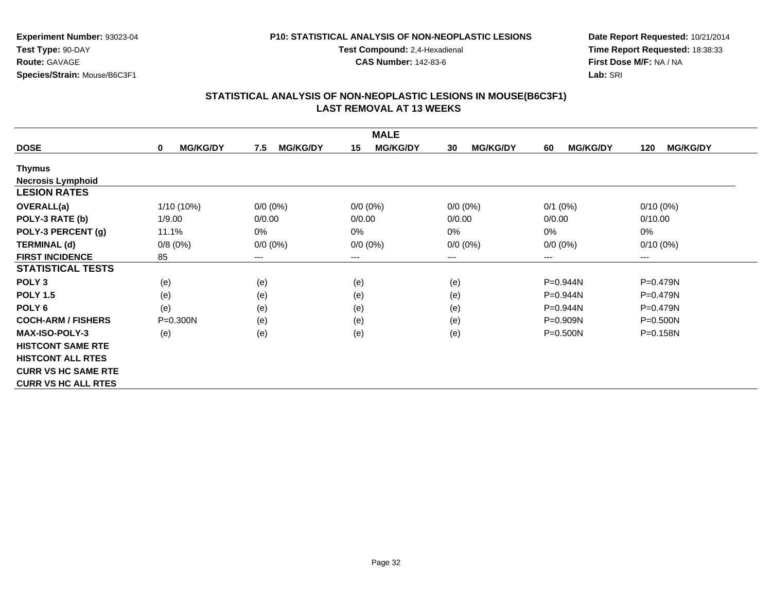### **P10: STATISTICAL ANALYSIS OF NON-NEOPLASTIC LESIONS**

**Test Compound:** 2,4-Hexadienal

**CAS Number:** 142-83-6

**Date Report Requested:** 10/21/2014**Time Report Requested:** 18:38:33**First Dose M/F:** NA / NA**Lab:** SRI

| <b>MALE</b>                |                                |                        |                       |                       |                       |                        |  |
|----------------------------|--------------------------------|------------------------|-----------------------|-----------------------|-----------------------|------------------------|--|
| <b>DOSE</b>                | <b>MG/KG/DY</b><br>$\mathbf 0$ | <b>MG/KG/DY</b><br>7.5 | <b>MG/KG/DY</b><br>15 | <b>MG/KG/DY</b><br>30 | <b>MG/KG/DY</b><br>60 | <b>MG/KG/DY</b><br>120 |  |
| Thymus                     |                                |                        |                       |                       |                       |                        |  |
| <b>Necrosis Lymphoid</b>   |                                |                        |                       |                       |                       |                        |  |
| <b>LESION RATES</b>        |                                |                        |                       |                       |                       |                        |  |
| <b>OVERALL(a)</b>          | $1/10(10\%)$                   | $0/0 (0\%)$            | $0/0 (0\%)$           | $0/0 (0\%)$           | $0/1$ (0%)            | $0/10(0\%)$            |  |
| POLY-3 RATE (b)            | 1/9.00                         | 0/0.00                 | 0/0.00                | 0/0.00                | 0/0.00                | 0/10.00                |  |
| POLY-3 PERCENT (g)         | 11.1%                          | $0\%$                  | 0%                    | $0\%$                 | 0%                    | 0%                     |  |
| <b>TERMINAL (d)</b>        | 0/8(0%)                        | $0/0 (0\%)$            | $0/0(0\%)$            | $0/0 (0\%)$           | $0/0 (0\%)$           | $0/10(0\%)$            |  |
| <b>FIRST INCIDENCE</b>     | 85                             | ---                    | $---$                 | ---                   | $---$                 | $---$                  |  |
| <b>STATISTICAL TESTS</b>   |                                |                        |                       |                       |                       |                        |  |
| POLY <sub>3</sub>          | (e)                            | (e)                    | (e)                   | (e)                   | P=0.944N              | P=0.479N               |  |
| <b>POLY 1.5</b>            | (e)                            | (e)                    | (e)                   | (e)                   | P=0.944N              | P=0.479N               |  |
| POLY 6                     | (e)                            | (e)                    | (e)                   | (e)                   | P=0.944N              | $P = 0.479N$           |  |
| <b>COCH-ARM / FISHERS</b>  | $P = 0.300N$                   | (e)                    | (e)                   | (e)                   | P=0.909N              | $P = 0.500N$           |  |
| <b>MAX-ISO-POLY-3</b>      | (e)                            | (e)                    | (e)                   | (e)                   | $P = 0.500N$          | $P = 0.158N$           |  |
| <b>HISTCONT SAME RTE</b>   |                                |                        |                       |                       |                       |                        |  |
| <b>HISTCONT ALL RTES</b>   |                                |                        |                       |                       |                       |                        |  |
| <b>CURR VS HC SAME RTE</b> |                                |                        |                       |                       |                       |                        |  |
| <b>CURR VS HC ALL RTES</b> |                                |                        |                       |                       |                       |                        |  |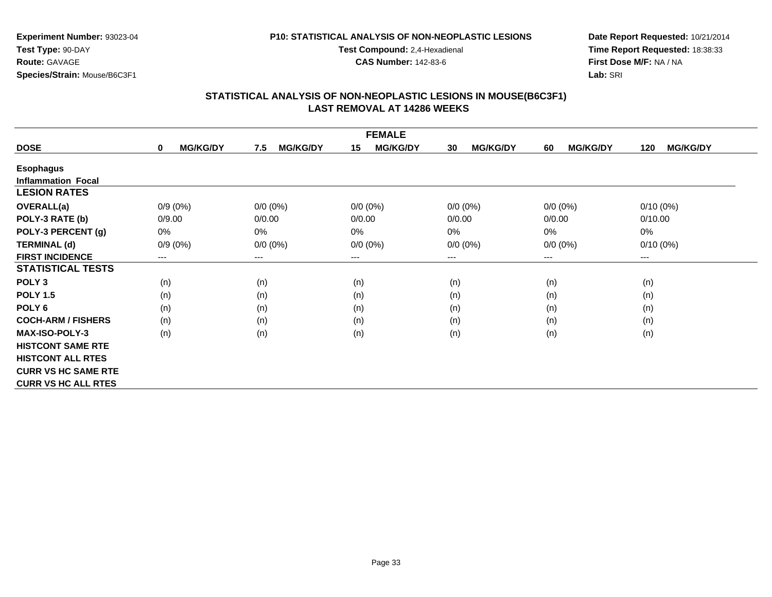#### **P10: STATISTICAL ANALYSIS OF NON-NEOPLASTIC LESIONS**

**Test Compound:** 2,4-Hexadienal

**CAS Number:** 142-83-6

**Date Report Requested:** 10/21/2014**Time Report Requested:** 18:38:33**First Dose M/F:** NA / NA**Lab:** SRI

| <b>FEMALE</b>              |                                |                        |                        |                       |                       |                        |  |
|----------------------------|--------------------------------|------------------------|------------------------|-----------------------|-----------------------|------------------------|--|
| <b>DOSE</b>                | <b>MG/KG/DY</b><br>$\mathbf 0$ | <b>MG/KG/DY</b><br>7.5 | <b>MG/KG/DY</b><br>15  | <b>MG/KG/DY</b><br>30 | <b>MG/KG/DY</b><br>60 | <b>MG/KG/DY</b><br>120 |  |
| <b>Esophagus</b>           |                                |                        |                        |                       |                       |                        |  |
| <b>Inflammation Focal</b>  |                                |                        |                        |                       |                       |                        |  |
| <b>LESION RATES</b>        |                                |                        |                        |                       |                       |                        |  |
| <b>OVERALL(a)</b>          | $0/9(0\%)$                     | $0/0 (0\%)$            | $0/0 (0\%)$            | $0/0 (0\%)$           | $0/0 (0\%)$           | $0/10(0\%)$            |  |
| POLY-3 RATE (b)            | 0/9.00                         | 0/0.00                 | 0/0.00                 | 0/0.00                | 0/0.00                | 0/10.00                |  |
| POLY-3 PERCENT (g)         | $0\%$                          | $0\%$                  | 0%                     | 0%                    | 0%                    | 0%                     |  |
| <b>TERMINAL (d)</b>        | $0/9(0\%)$                     | $0/0 (0\%)$            | $0/0 (0\%)$            | $0/0 (0\%)$           | $0/0 (0\%)$           | $0/10(0\%)$            |  |
| <b>FIRST INCIDENCE</b>     | ---                            | $---$                  | $\qquad \qquad \cdots$ | ---                   | $---$                 | ---                    |  |
| <b>STATISTICAL TESTS</b>   |                                |                        |                        |                       |                       |                        |  |
| POLY <sub>3</sub>          | (n)                            | (n)                    | (n)                    | (n)                   | (n)                   | (n)                    |  |
| <b>POLY 1.5</b>            | (n)                            | (n)                    | (n)                    | (n)                   | (n)                   | (n)                    |  |
| POLY <sub>6</sub>          | (n)                            | (n)                    | (n)                    | (n)                   | (n)                   | (n)                    |  |
| <b>COCH-ARM / FISHERS</b>  | (n)                            | (n)                    | (n)                    | (n)                   | (n)                   | (n)                    |  |
| <b>MAX-ISO-POLY-3</b>      | (n)                            | (n)                    | (n)                    | (n)                   | (n)                   | (n)                    |  |
| <b>HISTCONT SAME RTE</b>   |                                |                        |                        |                       |                       |                        |  |
| <b>HISTCONT ALL RTES</b>   |                                |                        |                        |                       |                       |                        |  |
| <b>CURR VS HC SAME RTE</b> |                                |                        |                        |                       |                       |                        |  |
| <b>CURR VS HC ALL RTES</b> |                                |                        |                        |                       |                       |                        |  |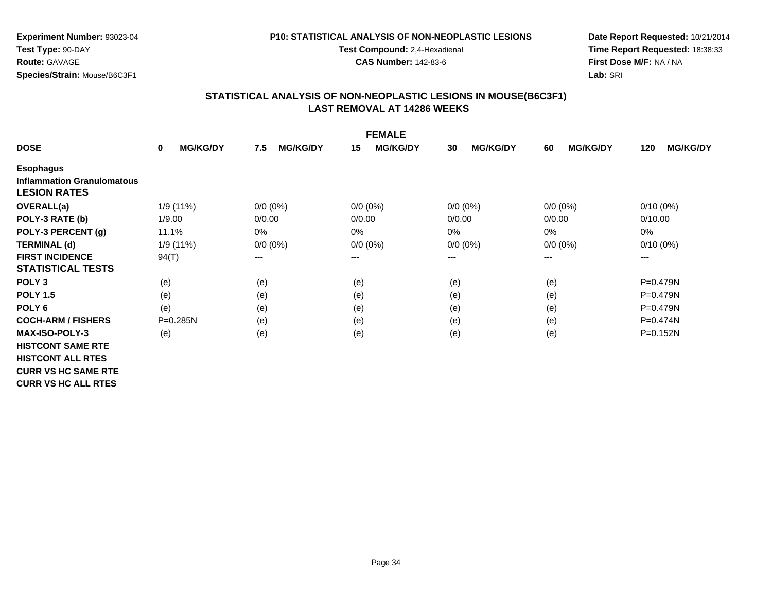### **P10: STATISTICAL ANALYSIS OF NON-NEOPLASTIC LESIONS**

**Test Compound:** 2,4-Hexadienal

**CAS Number:** 142-83-6

**Date Report Requested:** 10/21/2014**Time Report Requested:** 18:38:33**First Dose M/F:** NA / NA**Lab:** SRI

|                                   | <b>FEMALE</b>                  |                        |                        |                       |                       |                        |  |  |
|-----------------------------------|--------------------------------|------------------------|------------------------|-----------------------|-----------------------|------------------------|--|--|
| <b>DOSE</b>                       | <b>MG/KG/DY</b><br>$\mathbf 0$ | <b>MG/KG/DY</b><br>7.5 | <b>MG/KG/DY</b><br>15  | <b>MG/KG/DY</b><br>30 | <b>MG/KG/DY</b><br>60 | <b>MG/KG/DY</b><br>120 |  |  |
| <b>Esophagus</b>                  |                                |                        |                        |                       |                       |                        |  |  |
| <b>Inflammation Granulomatous</b> |                                |                        |                        |                       |                       |                        |  |  |
| <b>LESION RATES</b>               |                                |                        |                        |                       |                       |                        |  |  |
| <b>OVERALL(a)</b>                 | 1/9(11%)                       | $0/0 (0\%)$            | $0/0 (0\%)$            | $0/0 (0\%)$           | $0/0 (0\%)$           | $0/10(0\%)$            |  |  |
| POLY-3 RATE (b)                   | 1/9.00                         | 0/0.00                 | 0/0.00                 | 0/0.00                | 0/0.00                | 0/10.00                |  |  |
| POLY-3 PERCENT (g)                | 11.1%                          | $0\%$                  | 0%                     | $0\%$                 | $0\%$                 | 0%                     |  |  |
| <b>TERMINAL (d)</b>               | 1/9(11%)                       | $0/0 (0\%)$            | $0/0 (0\%)$            | $0/0 (0\%)$           | $0/0 (0\%)$           | $0/10(0\%)$            |  |  |
| <b>FIRST INCIDENCE</b>            | 94(T)                          | $---$                  | $\qquad \qquad \cdots$ | $---$                 | ---                   | ---                    |  |  |
| <b>STATISTICAL TESTS</b>          |                                |                        |                        |                       |                       |                        |  |  |
| POLY <sub>3</sub>                 | (e)                            | (e)                    | (e)                    | (e)                   | (e)                   | P=0.479N               |  |  |
| <b>POLY 1.5</b>                   | (e)                            | (e)                    | (e)                    | (e)                   | (e)                   | $P=0.479N$             |  |  |
| POLY <sub>6</sub>                 | (e)                            | (e)                    | (e)                    | (e)                   | (e)                   | $P=0.479N$             |  |  |
| <b>COCH-ARM / FISHERS</b>         | $P = 0.285N$                   | (e)                    | (e)                    | (e)                   | (e)                   | $P=0.474N$             |  |  |
| <b>MAX-ISO-POLY-3</b>             | (e)                            | (e)                    | (e)                    | (e)                   | (e)                   | $P=0.152N$             |  |  |
| <b>HISTCONT SAME RTE</b>          |                                |                        |                        |                       |                       |                        |  |  |
| <b>HISTCONT ALL RTES</b>          |                                |                        |                        |                       |                       |                        |  |  |
| <b>CURR VS HC SAME RTE</b>        |                                |                        |                        |                       |                       |                        |  |  |
| <b>CURR VS HC ALL RTES</b>        |                                |                        |                        |                       |                       |                        |  |  |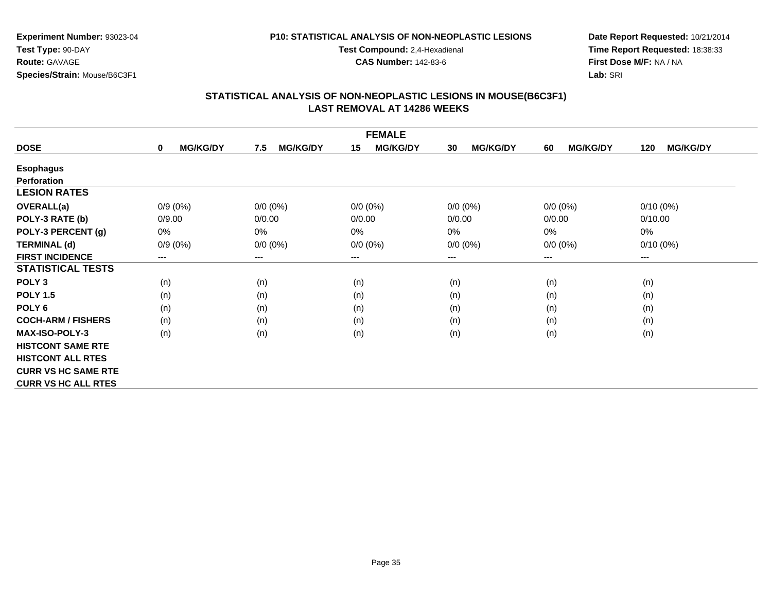#### **P10: STATISTICAL ANALYSIS OF NON-NEOPLASTIC LESIONS**

**Test Compound:** 2,4-Hexadienal

**CAS Number:** 142-83-6

**Date Report Requested:** 10/21/2014**Time Report Requested:** 18:38:33**First Dose M/F:** NA / NA**Lab:** SRI

| <b>FEMALE</b>              |                                |                        |                        |                       |                       |                        |  |
|----------------------------|--------------------------------|------------------------|------------------------|-----------------------|-----------------------|------------------------|--|
| <b>DOSE</b>                | <b>MG/KG/DY</b><br>$\mathbf 0$ | <b>MG/KG/DY</b><br>7.5 | <b>MG/KG/DY</b><br>15  | <b>MG/KG/DY</b><br>30 | <b>MG/KG/DY</b><br>60 | <b>MG/KG/DY</b><br>120 |  |
| <b>Esophagus</b>           |                                |                        |                        |                       |                       |                        |  |
| <b>Perforation</b>         |                                |                        |                        |                       |                       |                        |  |
| <b>LESION RATES</b>        |                                |                        |                        |                       |                       |                        |  |
| <b>OVERALL(a)</b>          | $0/9(0\%)$                     | $0/0 (0\%)$            | $0/0 (0\%)$            | $0/0 (0\%)$           | $0/0 (0\%)$           | $0/10(0\%)$            |  |
| POLY-3 RATE (b)            | 0/9.00                         | 0/0.00                 | 0/0.00                 | 0/0.00                | 0/0.00                | 0/10.00                |  |
| POLY-3 PERCENT (g)         | 0%                             | 0%                     | $0\%$                  | 0%                    | 0%                    | 0%                     |  |
| <b>TERMINAL (d)</b>        | $0/9(0\%)$                     | $0/0 (0\%)$            | $0/0 (0\%)$            | $0/0 (0\%)$           | $0/0 (0\%)$           | $0/10(0\%)$            |  |
| <b>FIRST INCIDENCE</b>     | ---                            | ---                    | $\qquad \qquad \cdots$ | $---$                 | $---$                 | ---                    |  |
| <b>STATISTICAL TESTS</b>   |                                |                        |                        |                       |                       |                        |  |
| POLY <sub>3</sub>          | (n)                            | (n)                    | (n)                    | (n)                   | (n)                   | (n)                    |  |
| <b>POLY 1.5</b>            | (n)                            | (n)                    | (n)                    | (n)                   | (n)                   | (n)                    |  |
| POLY <sub>6</sub>          | (n)                            | (n)                    | (n)                    | (n)                   | (n)                   | (n)                    |  |
| <b>COCH-ARM / FISHERS</b>  | (n)                            | (n)                    | (n)                    | (n)                   | (n)                   | (n)                    |  |
| <b>MAX-ISO-POLY-3</b>      | (n)                            | (n)                    | (n)                    | (n)                   | (n)                   | (n)                    |  |
| <b>HISTCONT SAME RTE</b>   |                                |                        |                        |                       |                       |                        |  |
| <b>HISTCONT ALL RTES</b>   |                                |                        |                        |                       |                       |                        |  |
| <b>CURR VS HC SAME RTE</b> |                                |                        |                        |                       |                       |                        |  |
| <b>CURR VS HC ALL RTES</b> |                                |                        |                        |                       |                       |                        |  |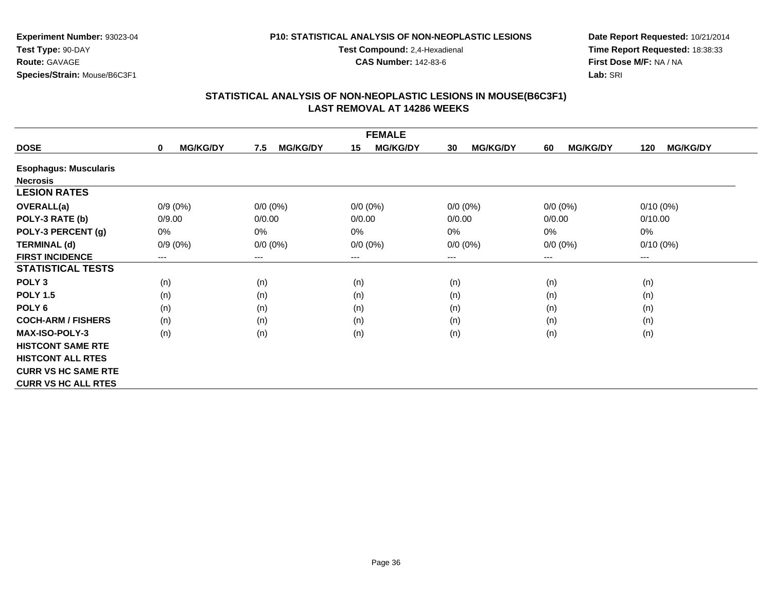#### **P10: STATISTICAL ANALYSIS OF NON-NEOPLASTIC LESIONS**

**Test Compound:** 2,4-Hexadienal

**CAS Number:** 142-83-6

**Date Report Requested:** 10/21/2014**Time Report Requested:** 18:38:33**First Dose M/F:** NA / NA**Lab:** SRI

|                              | <b>FEMALE</b>                  |                        |                       |                       |                       |                        |  |  |
|------------------------------|--------------------------------|------------------------|-----------------------|-----------------------|-----------------------|------------------------|--|--|
| <b>DOSE</b>                  | <b>MG/KG/DY</b><br>$\mathbf 0$ | <b>MG/KG/DY</b><br>7.5 | <b>MG/KG/DY</b><br>15 | <b>MG/KG/DY</b><br>30 | <b>MG/KG/DY</b><br>60 | <b>MG/KG/DY</b><br>120 |  |  |
| <b>Esophagus: Muscularis</b> |                                |                        |                       |                       |                       |                        |  |  |
| <b>Necrosis</b>              |                                |                        |                       |                       |                       |                        |  |  |
| <b>LESION RATES</b>          |                                |                        |                       |                       |                       |                        |  |  |
| <b>OVERALL(a)</b>            | $0/9(0\%)$                     | $0/0 (0\%)$            | $0/0 (0\%)$           | $0/0 (0\%)$           | $0/0 (0\%)$           | $0/10(0\%)$            |  |  |
| POLY-3 RATE (b)              | 0/9.00                         | 0/0.00                 | 0/0.00                | 0/0.00                | 0/0.00                | 0/10.00                |  |  |
| POLY-3 PERCENT (g)           | 0%                             | 0%                     | 0%                    | 0%                    | 0%                    | $0\%$                  |  |  |
| <b>TERMINAL (d)</b>          | $0/9(0\%)$                     | $0/0 (0\%)$            | $0/0 (0\%)$           | $0/0 (0\%)$           | $0/0 (0\%)$           | $0/10(0\%)$            |  |  |
| <b>FIRST INCIDENCE</b>       | ---                            | $---$                  | $--$                  | ---                   | $--$                  | $--$                   |  |  |
| <b>STATISTICAL TESTS</b>     |                                |                        |                       |                       |                       |                        |  |  |
| POLY <sub>3</sub>            | (n)                            | (n)                    | (n)                   | (n)                   | (n)                   | (n)                    |  |  |
| <b>POLY 1.5</b>              | (n)                            | (n)                    | (n)                   | (n)                   | (n)                   | (n)                    |  |  |
| POLY <sub>6</sub>            | (n)                            | (n)                    | (n)                   | (n)                   | (n)                   | (n)                    |  |  |
| <b>COCH-ARM / FISHERS</b>    | (n)                            | (n)                    | (n)                   | (n)                   | (n)                   | (n)                    |  |  |
| <b>MAX-ISO-POLY-3</b>        | (n)                            | (n)                    | (n)                   | (n)                   | (n)                   | (n)                    |  |  |
| <b>HISTCONT SAME RTE</b>     |                                |                        |                       |                       |                       |                        |  |  |
| <b>HISTCONT ALL RTES</b>     |                                |                        |                       |                       |                       |                        |  |  |
| <b>CURR VS HC SAME RTE</b>   |                                |                        |                       |                       |                       |                        |  |  |
| <b>CURR VS HC ALL RTES</b>   |                                |                        |                       |                       |                       |                        |  |  |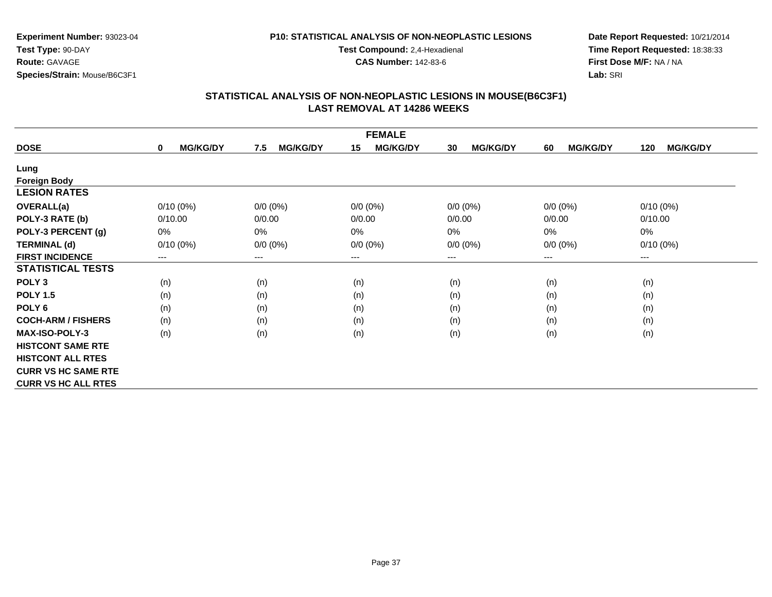### **P10: STATISTICAL ANALYSIS OF NON-NEOPLASTIC LESIONS**

**Test Compound:** 2,4-Hexadienal

**CAS Number:** 142-83-6

**Date Report Requested:** 10/21/2014**Time Report Requested:** 18:38:33**First Dose M/F:** NA / NA**Lab:** SRI

|                            |                                |                        | <b>FEMALE</b>         |                       |                       |                        |
|----------------------------|--------------------------------|------------------------|-----------------------|-----------------------|-----------------------|------------------------|
| <b>DOSE</b>                | <b>MG/KG/DY</b><br>$\mathbf 0$ | <b>MG/KG/DY</b><br>7.5 | <b>MG/KG/DY</b><br>15 | <b>MG/KG/DY</b><br>30 | <b>MG/KG/DY</b><br>60 | <b>MG/KG/DY</b><br>120 |
| Lung                       |                                |                        |                       |                       |                       |                        |
| <b>Foreign Body</b>        |                                |                        |                       |                       |                       |                        |
| <b>LESION RATES</b>        |                                |                        |                       |                       |                       |                        |
| <b>OVERALL(a)</b>          | $0/10(0\%)$                    | $0/0$ (0%)             | $0/0 (0\%)$           | $0/0 (0\%)$           | $0/0 (0\%)$           | $0/10(0\%)$            |
| POLY-3 RATE (b)            | 0/10.00                        | 0/0.00                 | 0/0.00                | 0/0.00                | 0/0.00                | 0/10.00                |
| POLY-3 PERCENT (g)         | 0%                             | 0%                     | 0%                    | 0%                    | 0%                    | 0%                     |
| <b>TERMINAL (d)</b>        | $0/10(0\%)$                    | $0/0 (0\%)$            | $0/0 (0\%)$           | $0/0 (0\%)$           | $0/0 (0\%)$           | $0/10(0\%)$            |
| <b>FIRST INCIDENCE</b>     | ---                            | ---                    | $---$                 | ---                   | $--$                  | ---                    |
| <b>STATISTICAL TESTS</b>   |                                |                        |                       |                       |                       |                        |
| POLY <sub>3</sub>          | (n)                            | (n)                    | (n)                   | (n)                   | (n)                   | (n)                    |
| <b>POLY 1.5</b>            | (n)                            | (n)                    | (n)                   | (n)                   | (n)                   | (n)                    |
| POLY 6                     | (n)                            | (n)                    | (n)                   | (n)                   | (n)                   | (n)                    |
| <b>COCH-ARM / FISHERS</b>  | (n)                            | (n)                    | (n)                   | (n)                   | (n)                   | (n)                    |
| <b>MAX-ISO-POLY-3</b>      | (n)                            | (n)                    | (n)                   | (n)                   | (n)                   | (n)                    |
| <b>HISTCONT SAME RTE</b>   |                                |                        |                       |                       |                       |                        |
| <b>HISTCONT ALL RTES</b>   |                                |                        |                       |                       |                       |                        |
| <b>CURR VS HC SAME RTE</b> |                                |                        |                       |                       |                       |                        |
| <b>CURR VS HC ALL RTES</b> |                                |                        |                       |                       |                       |                        |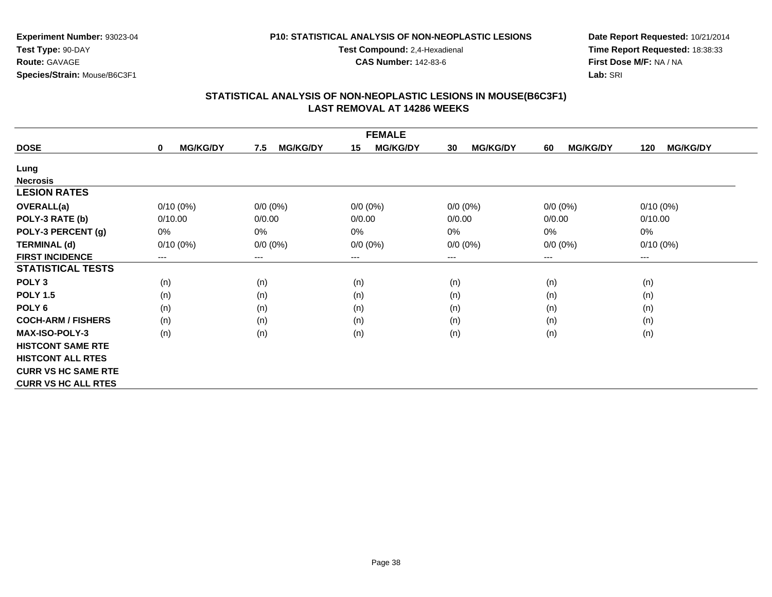#### **P10: STATISTICAL ANALYSIS OF NON-NEOPLASTIC LESIONS**

**Test Compound:** 2,4-Hexadienal

**CAS Number:** 142-83-6

**Date Report Requested:** 10/21/2014**Time Report Requested:** 18:38:33**First Dose M/F:** NA / NA**Lab:** SRI

|                            |                      |                        | <b>FEMALE</b>         |                       |                       |                        |
|----------------------------|----------------------|------------------------|-----------------------|-----------------------|-----------------------|------------------------|
| <b>DOSE</b>                | <b>MG/KG/DY</b><br>0 | <b>MG/KG/DY</b><br>7.5 | <b>MG/KG/DY</b><br>15 | <b>MG/KG/DY</b><br>30 | <b>MG/KG/DY</b><br>60 | <b>MG/KG/DY</b><br>120 |
| Lung                       |                      |                        |                       |                       |                       |                        |
| <b>Necrosis</b>            |                      |                        |                       |                       |                       |                        |
| <b>LESION RATES</b>        |                      |                        |                       |                       |                       |                        |
| <b>OVERALL(a)</b>          | $0/10(0\%)$          | $0/0 (0\%)$            | $0/0 (0\%)$           | $0/0 (0\%)$           | $0/0 (0\%)$           | $0/10(0\%)$            |
| POLY-3 RATE (b)            | 0/10.00              | 0/0.00                 | 0/0.00                | 0/0.00                | 0/0.00                | 0/10.00                |
| POLY-3 PERCENT (g)         | 0%                   | 0%                     | 0%                    | 0%                    | 0%                    | 0%                     |
| <b>TERMINAL (d)</b>        | $0/10(0\%)$          | $0/0 (0\%)$            | $0/0 (0\%)$           | $0/0 (0\%)$           | $0/0 (0\%)$           | $0/10(0\%)$            |
| <b>FIRST INCIDENCE</b>     | ---                  | $---$                  | $--$                  | $--$                  | ---                   | ---                    |
| <b>STATISTICAL TESTS</b>   |                      |                        |                       |                       |                       |                        |
| POLY <sub>3</sub>          | (n)                  | (n)                    | (n)                   | (n)                   | (n)                   | (n)                    |
| <b>POLY 1.5</b>            | (n)                  | (n)                    | (n)                   | (n)                   | (n)                   | (n)                    |
| POLY <sub>6</sub>          | (n)                  | (n)                    | (n)                   | (n)                   | (n)                   | (n)                    |
| <b>COCH-ARM / FISHERS</b>  | (n)                  | (n)                    | (n)                   | (n)                   | (n)                   | (n)                    |
| <b>MAX-ISO-POLY-3</b>      | (n)                  | (n)                    | (n)                   | (n)                   | (n)                   | (n)                    |
| <b>HISTCONT SAME RTE</b>   |                      |                        |                       |                       |                       |                        |
| <b>HISTCONT ALL RTES</b>   |                      |                        |                       |                       |                       |                        |
| <b>CURR VS HC SAME RTE</b> |                      |                        |                       |                       |                       |                        |
| <b>CURR VS HC ALL RTES</b> |                      |                        |                       |                       |                       |                        |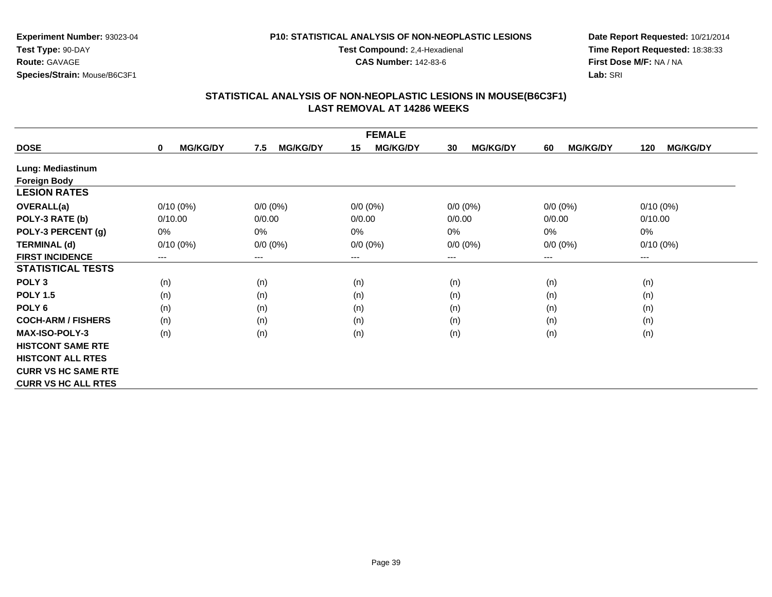#### **P10: STATISTICAL ANALYSIS OF NON-NEOPLASTIC LESIONS**

**Test Compound:** 2,4-Hexadienal

**CAS Number:** 142-83-6

**Date Report Requested:** 10/21/2014**Time Report Requested:** 18:38:33**First Dose M/F:** NA / NA**Lab:** SRI

|                            |                                |                        | <b>FEMALE</b>         |                       |                       |                        |
|----------------------------|--------------------------------|------------------------|-----------------------|-----------------------|-----------------------|------------------------|
| <b>DOSE</b>                | <b>MG/KG/DY</b><br>$\mathbf 0$ | 7.5<br><b>MG/KG/DY</b> | 15<br><b>MG/KG/DY</b> | 30<br><b>MG/KG/DY</b> | <b>MG/KG/DY</b><br>60 | <b>MG/KG/DY</b><br>120 |
| Lung: Mediastinum          |                                |                        |                       |                       |                       |                        |
| <b>Foreign Body</b>        |                                |                        |                       |                       |                       |                        |
| <b>LESION RATES</b>        |                                |                        |                       |                       |                       |                        |
| <b>OVERALL(a)</b>          | $0/10(0\%)$                    | $0/0 (0\%)$            | $0/0 (0\%)$           | $0/0 (0\%)$           | $0/0 (0\%)$           | $0/10(0\%)$            |
| POLY-3 RATE (b)            | 0/10.00                        | 0/0.00                 | 0/0.00                | 0/0.00                | 0/0.00                | 0/10.00                |
| POLY-3 PERCENT (g)         | 0%                             | $0\%$                  | 0%                    | 0%                    | 0%                    | 0%                     |
| <b>TERMINAL (d)</b>        | $0/10(0\%)$                    | $0/0 (0\%)$            | $0/0 (0\%)$           | $0/0 (0\%)$           | $0/0 (0\%)$           | $0/10(0\%)$            |
| <b>FIRST INCIDENCE</b>     | ---                            | ---                    | $---$                 | ---                   | $--$                  | ---                    |
| <b>STATISTICAL TESTS</b>   |                                |                        |                       |                       |                       |                        |
| POLY <sub>3</sub>          | (n)                            | (n)                    | (n)                   | (n)                   | (n)                   | (n)                    |
| <b>POLY 1.5</b>            | (n)                            | (n)                    | (n)                   | (n)                   | (n)                   | (n)                    |
| POLY <sub>6</sub>          | (n)                            | (n)                    | (n)                   | (n)                   | (n)                   | (n)                    |
| <b>COCH-ARM / FISHERS</b>  | (n)                            | (n)                    | (n)                   | (n)                   | (n)                   | (n)                    |
| <b>MAX-ISO-POLY-3</b>      | (n)                            | (n)                    | (n)                   | (n)                   | (n)                   | (n)                    |
| <b>HISTCONT SAME RTE</b>   |                                |                        |                       |                       |                       |                        |
| <b>HISTCONT ALL RTES</b>   |                                |                        |                       |                       |                       |                        |
| <b>CURR VS HC SAME RTE</b> |                                |                        |                       |                       |                       |                        |
| <b>CURR VS HC ALL RTES</b> |                                |                        |                       |                       |                       |                        |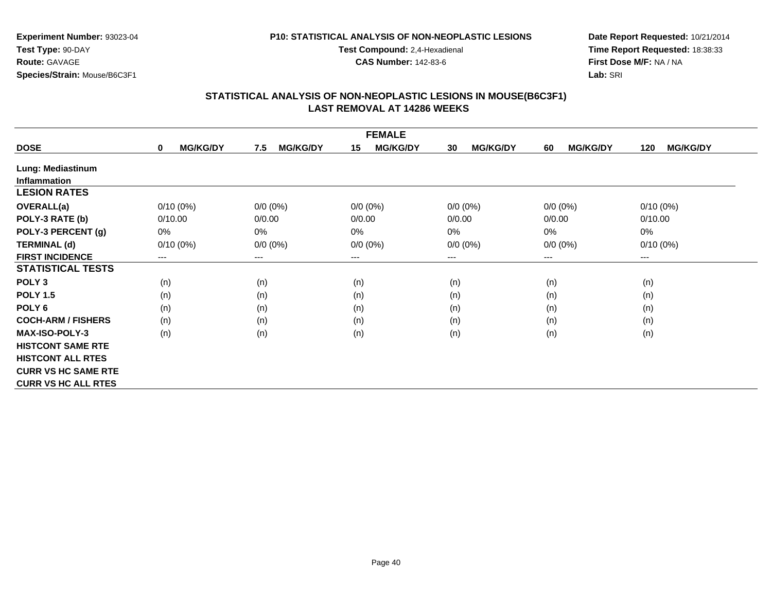#### **P10: STATISTICAL ANALYSIS OF NON-NEOPLASTIC LESIONS**

**Test Compound:** 2,4-Hexadienal

**CAS Number:** 142-83-6

**Date Report Requested:** 10/21/2014**Time Report Requested:** 18:38:33**First Dose M/F:** NA / NA**Lab:** SRI

| <b>FEMALE</b>              |                                |                        |                       |                       |                       |                        |  |
|----------------------------|--------------------------------|------------------------|-----------------------|-----------------------|-----------------------|------------------------|--|
| <b>DOSE</b>                | <b>MG/KG/DY</b><br>$\mathbf 0$ | <b>MG/KG/DY</b><br>7.5 | <b>MG/KG/DY</b><br>15 | <b>MG/KG/DY</b><br>30 | <b>MG/KG/DY</b><br>60 | <b>MG/KG/DY</b><br>120 |  |
| Lung: Mediastinum          |                                |                        |                       |                       |                       |                        |  |
| <b>Inflammation</b>        |                                |                        |                       |                       |                       |                        |  |
| <b>LESION RATES</b>        |                                |                        |                       |                       |                       |                        |  |
| <b>OVERALL(a)</b>          | $0/10(0\%)$                    | $0/0 (0\%)$            | $0/0 (0\%)$           | $0/0 (0\%)$           | $0/0 (0\%)$           | $0/10(0\%)$            |  |
| POLY-3 RATE (b)            | 0/10.00                        | 0/0.00                 | 0/0.00                | 0/0.00                | 0/0.00                | 0/10.00                |  |
| POLY-3 PERCENT (g)         | 0%                             | 0%                     | 0%                    | 0%                    | 0%                    | $0\%$                  |  |
| <b>TERMINAL (d)</b>        | $0/10(0\%)$                    | $0/0 (0\%)$            | $0/0 (0\%)$           | $0/0 (0\%)$           | $0/0 (0\%)$           | $0/10(0\%)$            |  |
| <b>FIRST INCIDENCE</b>     | ---                            | $---$                  | $--$                  | ---                   | $--$                  | $\qquad \qquad \cdots$ |  |
| <b>STATISTICAL TESTS</b>   |                                |                        |                       |                       |                       |                        |  |
| POLY <sub>3</sub>          | (n)                            | (n)                    | (n)                   | (n)                   | (n)                   | (n)                    |  |
| <b>POLY 1.5</b>            | (n)                            | (n)                    | (n)                   | (n)                   | (n)                   | (n)                    |  |
| POLY <sub>6</sub>          | (n)                            | (n)                    | (n)                   | (n)                   | (n)                   | (n)                    |  |
| <b>COCH-ARM / FISHERS</b>  | (n)                            | (n)                    | (n)                   | (n)                   | (n)                   | (n)                    |  |
| <b>MAX-ISO-POLY-3</b>      | (n)                            | (n)                    | (n)                   | (n)                   | (n)                   | (n)                    |  |
| <b>HISTCONT SAME RTE</b>   |                                |                        |                       |                       |                       |                        |  |
| <b>HISTCONT ALL RTES</b>   |                                |                        |                       |                       |                       |                        |  |
| <b>CURR VS HC SAME RTE</b> |                                |                        |                       |                       |                       |                        |  |
| <b>CURR VS HC ALL RTES</b> |                                |                        |                       |                       |                       |                        |  |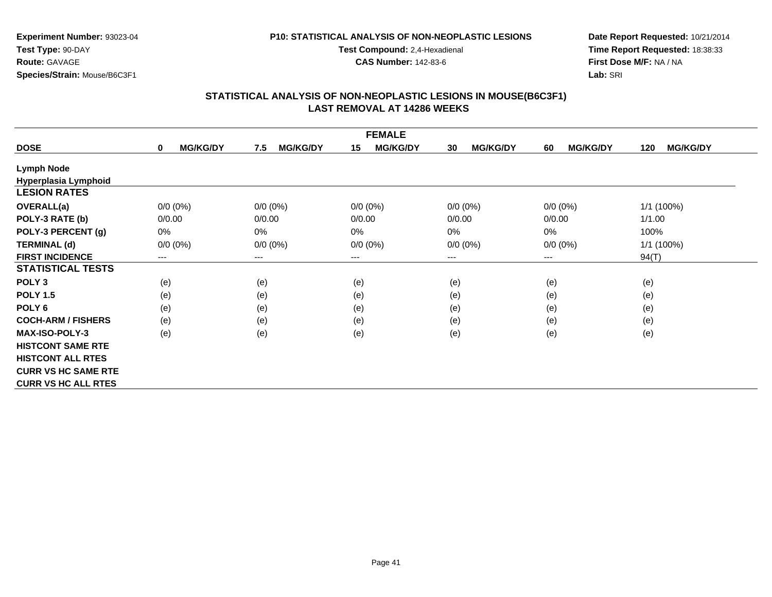### **P10: STATISTICAL ANALYSIS OF NON-NEOPLASTIC LESIONS**

**Test Compound:** 2,4-Hexadienal

**CAS Number:** 142-83-6

**Date Report Requested:** 10/21/2014**Time Report Requested:** 18:38:33**First Dose M/F:** NA / NA**Lab:** SRI

|                            |                      |                        | <b>FEMALE</b>         |                       |                       |                        |
|----------------------------|----------------------|------------------------|-----------------------|-----------------------|-----------------------|------------------------|
| <b>DOSE</b>                | <b>MG/KG/DY</b><br>0 | <b>MG/KG/DY</b><br>7.5 | <b>MG/KG/DY</b><br>15 | <b>MG/KG/DY</b><br>30 | <b>MG/KG/DY</b><br>60 | <b>MG/KG/DY</b><br>120 |
| <b>Lymph Node</b>          |                      |                        |                       |                       |                       |                        |
| Hyperplasia Lymphoid       |                      |                        |                       |                       |                       |                        |
| <b>LESION RATES</b>        |                      |                        |                       |                       |                       |                        |
| <b>OVERALL(a)</b>          | $0/0 (0\%)$          | $0/0 (0\%)$            | $0/0 (0\%)$           | $0/0 (0\%)$           | $0/0 (0\%)$           | 1/1 (100%)             |
| POLY-3 RATE (b)            | 0/0.00               | 0/0.00                 | 0/0.00                | 0/0.00                | 0/0.00                | 1/1.00                 |
| POLY-3 PERCENT (g)         | 0%                   | 0%                     | 0%                    | 0%                    | $0\%$                 | 100%                   |
| <b>TERMINAL (d)</b>        | $0/0 (0\%)$          | $0/0 (0\%)$            | $0/0 (0\%)$           | $0/0 (0\%)$           | $0/0 (0\%)$           | 1/1 (100%)             |
| <b>FIRST INCIDENCE</b>     | ---                  | $---$                  | $--$                  | ---                   | $--$                  | 94(T)                  |
| <b>STATISTICAL TESTS</b>   |                      |                        |                       |                       |                       |                        |
| POLY <sub>3</sub>          | (e)                  | (e)                    | (e)                   | (e)                   | (e)                   | (e)                    |
| <b>POLY 1.5</b>            | (e)                  | (e)                    | (e)                   | (e)                   | (e)                   | (e)                    |
| POLY <sub>6</sub>          | (e)                  | (e)                    | (e)                   | (e)                   | (e)                   | (e)                    |
| <b>COCH-ARM / FISHERS</b>  | (e)                  | (e)                    | (e)                   | (e)                   | (e)                   | (e)                    |
| <b>MAX-ISO-POLY-3</b>      | (e)                  | (e)                    | (e)                   | (e)                   | (e)                   | (e)                    |
| <b>HISTCONT SAME RTE</b>   |                      |                        |                       |                       |                       |                        |
| <b>HISTCONT ALL RTES</b>   |                      |                        |                       |                       |                       |                        |
| <b>CURR VS HC SAME RTE</b> |                      |                        |                       |                       |                       |                        |
| <b>CURR VS HC ALL RTES</b> |                      |                        |                       |                       |                       |                        |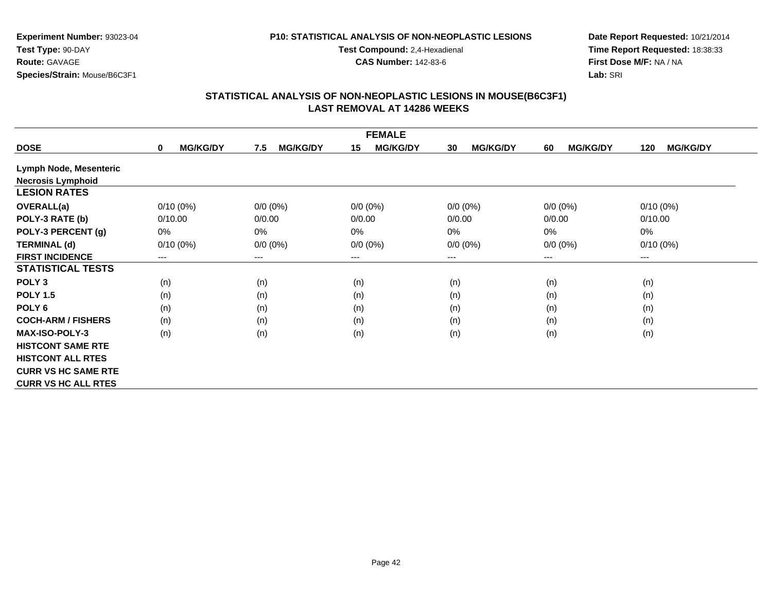#### **P10: STATISTICAL ANALYSIS OF NON-NEOPLASTIC LESIONS**

**Test Compound:** 2,4-Hexadienal

**CAS Number:** 142-83-6

**Date Report Requested:** 10/21/2014**Time Report Requested:** 18:38:33**First Dose M/F:** NA / NA**Lab:** SRI

|                            |                                |                        | <b>FEMALE</b>         |                       |                       |                        |
|----------------------------|--------------------------------|------------------------|-----------------------|-----------------------|-----------------------|------------------------|
| <b>DOSE</b>                | <b>MG/KG/DY</b><br>$\mathbf 0$ | 7.5<br><b>MG/KG/DY</b> | 15<br><b>MG/KG/DY</b> | 30<br><b>MG/KG/DY</b> | <b>MG/KG/DY</b><br>60 | <b>MG/KG/DY</b><br>120 |
| Lymph Node, Mesenteric     |                                |                        |                       |                       |                       |                        |
| <b>Necrosis Lymphoid</b>   |                                |                        |                       |                       |                       |                        |
| <b>LESION RATES</b>        |                                |                        |                       |                       |                       |                        |
| <b>OVERALL(a)</b>          | $0/10(0\%)$                    | $0/0 (0\%)$            | $0/0 (0\%)$           | $0/0 (0\%)$           | $0/0 (0\%)$           | $0/10(0\%)$            |
| POLY-3 RATE (b)            | 0/10.00                        | 0/0.00                 | 0/0.00                | 0/0.00                | 0/0.00                | 0/10.00                |
| POLY-3 PERCENT (g)         | $0\%$                          | $0\%$                  | 0%                    | 0%                    | 0%                    | 0%                     |
| <b>TERMINAL (d)</b>        | $0/10(0\%)$                    | $0/0 (0\%)$            | $0/0 (0\%)$           | $0/0 (0\%)$           | $0/0 (0\%)$           | $0/10(0\%)$            |
| <b>FIRST INCIDENCE</b>     | ---                            | $---$                  | ---                   | ---                   | $--$                  | ---                    |
| <b>STATISTICAL TESTS</b>   |                                |                        |                       |                       |                       |                        |
| POLY <sub>3</sub>          | (n)                            | (n)                    | (n)                   | (n)                   | (n)                   | (n)                    |
| <b>POLY 1.5</b>            | (n)                            | (n)                    | (n)                   | (n)                   | (n)                   | (n)                    |
| POLY <sub>6</sub>          | (n)                            | (n)                    | (n)                   | (n)                   | (n)                   | (n)                    |
| <b>COCH-ARM / FISHERS</b>  | (n)                            | (n)                    | (n)                   | (n)                   | (n)                   | (n)                    |
| <b>MAX-ISO-POLY-3</b>      | (n)                            | (n)                    | (n)                   | (n)                   | (n)                   | (n)                    |
| <b>HISTCONT SAME RTE</b>   |                                |                        |                       |                       |                       |                        |
| <b>HISTCONT ALL RTES</b>   |                                |                        |                       |                       |                       |                        |
| <b>CURR VS HC SAME RTE</b> |                                |                        |                       |                       |                       |                        |
| <b>CURR VS HC ALL RTES</b> |                                |                        |                       |                       |                       |                        |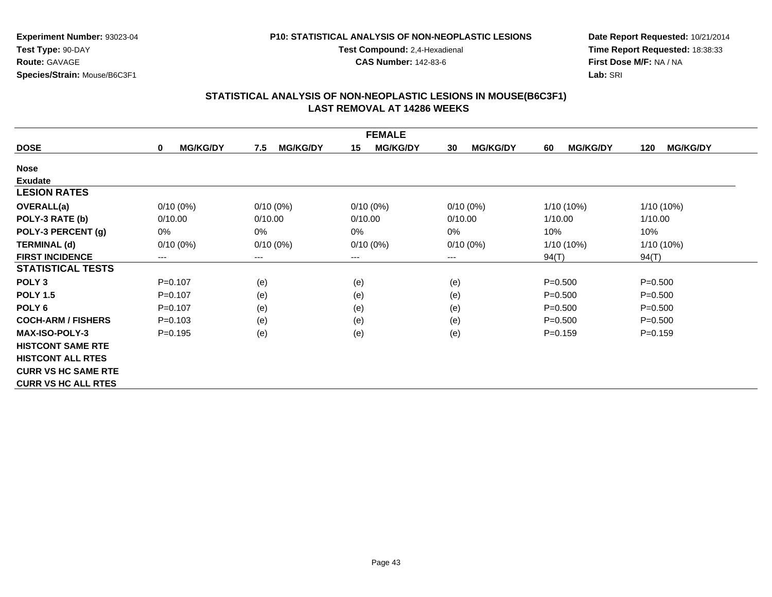### **P10: STATISTICAL ANALYSIS OF NON-NEOPLASTIC LESIONS**

**Test Compound:** 2,4-Hexadienal

**CAS Number:** 142-83-6

**Date Report Requested:** 10/21/2014**Time Report Requested:** 18:38:33**First Dose M/F:** NA / NA**Lab:** SRI

|                            |                                |                        | <b>FEMALE</b>         |                       |                       |                        |
|----------------------------|--------------------------------|------------------------|-----------------------|-----------------------|-----------------------|------------------------|
| <b>DOSE</b>                | <b>MG/KG/DY</b><br>$\mathbf 0$ | <b>MG/KG/DY</b><br>7.5 | <b>MG/KG/DY</b><br>15 | <b>MG/KG/DY</b><br>30 | <b>MG/KG/DY</b><br>60 | <b>MG/KG/DY</b><br>120 |
| <b>Nose</b>                |                                |                        |                       |                       |                       |                        |
| <b>Exudate</b>             |                                |                        |                       |                       |                       |                        |
| <b>LESION RATES</b>        |                                |                        |                       |                       |                       |                        |
| <b>OVERALL(a)</b>          | $0/10(0\%)$                    | $0/10(0\%)$            | $0/10(0\%)$           | $0/10(0\%)$           | 1/10 (10%)            | 1/10 (10%)             |
| POLY-3 RATE (b)            | 0/10.00                        | 0/10.00                | 0/10.00               | 0/10.00               | 1/10.00               | 1/10.00                |
| POLY-3 PERCENT (g)         | 0%                             | 0%                     | 0%                    | $0\%$                 | 10%                   | 10%                    |
| <b>TERMINAL (d)</b>        | $0/10(0\%)$                    | $0/10(0\%)$            | $0/10(0\%)$           | $0/10(0\%)$           | 1/10 (10%)            | 1/10 (10%)             |
| <b>FIRST INCIDENCE</b>     | ---                            | $---$                  | ---                   | ---                   | 94(T)                 | 94(T)                  |
| <b>STATISTICAL TESTS</b>   |                                |                        |                       |                       |                       |                        |
| POLY <sub>3</sub>          | $P=0.107$                      | (e)                    | (e)                   | (e)                   | $P = 0.500$           | $P = 0.500$            |
| <b>POLY 1.5</b>            | $P=0.107$                      | (e)                    | (e)                   | (e)                   | $P = 0.500$           | $P = 0.500$            |
| POLY <sub>6</sub>          | $P = 0.107$                    | (e)                    | (e)                   | (e)                   | $P = 0.500$           | $P = 0.500$            |
| <b>COCH-ARM / FISHERS</b>  | $P = 0.103$                    | (e)                    | (e)                   | (e)                   | $P = 0.500$           | $P = 0.500$            |
| <b>MAX-ISO-POLY-3</b>      | $P=0.195$                      | (e)                    | (e)                   | (e)                   | $P = 0.159$           | $P = 0.159$            |
| <b>HISTCONT SAME RTE</b>   |                                |                        |                       |                       |                       |                        |
| <b>HISTCONT ALL RTES</b>   |                                |                        |                       |                       |                       |                        |
| <b>CURR VS HC SAME RTE</b> |                                |                        |                       |                       |                       |                        |
| <b>CURR VS HC ALL RTES</b> |                                |                        |                       |                       |                       |                        |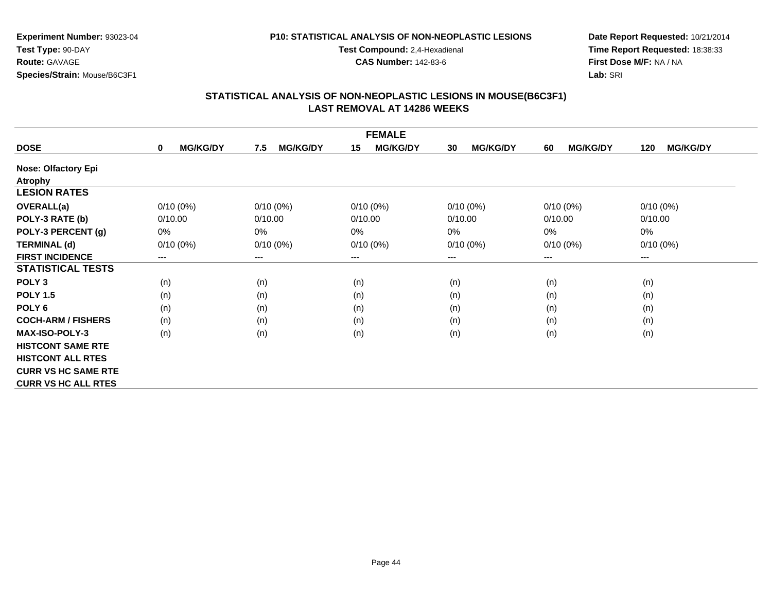#### **P10: STATISTICAL ANALYSIS OF NON-NEOPLASTIC LESIONS**

**Test Compound:** 2,4-Hexadienal

**CAS Number:** 142-83-6

**Date Report Requested:** 10/21/2014**Time Report Requested:** 18:38:33**First Dose M/F:** NA / NA**Lab:** SRI

|                            |                                |                        | <b>FEMALE</b>         |                       |                       |                        |
|----------------------------|--------------------------------|------------------------|-----------------------|-----------------------|-----------------------|------------------------|
| <b>DOSE</b>                | <b>MG/KG/DY</b><br>$\mathbf 0$ | <b>MG/KG/DY</b><br>7.5 | <b>MG/KG/DY</b><br>15 | <b>MG/KG/DY</b><br>30 | <b>MG/KG/DY</b><br>60 | <b>MG/KG/DY</b><br>120 |
| <b>Nose: Olfactory Epi</b> |                                |                        |                       |                       |                       |                        |
| <b>Atrophy</b>             |                                |                        |                       |                       |                       |                        |
| <b>LESION RATES</b>        |                                |                        |                       |                       |                       |                        |
| <b>OVERALL(a)</b>          | $0/10(0\%)$                    | $0/10(0\%)$            | $0/10(0\%)$           | $0/10(0\%)$           | $0/10(0\%)$           | $0/10(0\%)$            |
| POLY-3 RATE (b)            | 0/10.00                        | 0/10.00                | 0/10.00               | 0/10.00               | 0/10.00               | 0/10.00                |
| POLY-3 PERCENT (g)         | 0%                             | 0%                     | 0%                    | 0%                    | 0%                    | $0\%$                  |
| <b>TERMINAL (d)</b>        | $0/10(0\%)$                    | $0/10(0\%)$            | $0/10(0\%)$           | $0/10(0\%)$           | $0/10(0\%)$           | $0/10(0\%)$            |
| <b>FIRST INCIDENCE</b>     | ---                            | $---$                  | $--$                  | ---                   | $--$                  | ---                    |
| <b>STATISTICAL TESTS</b>   |                                |                        |                       |                       |                       |                        |
| POLY <sub>3</sub>          | (n)                            | (n)                    | (n)                   | (n)                   | (n)                   | (n)                    |
| <b>POLY 1.5</b>            | (n)                            | (n)                    | (n)                   | (n)                   | (n)                   | (n)                    |
| POLY <sub>6</sub>          | (n)                            | (n)                    | (n)                   | (n)                   | (n)                   | (n)                    |
| <b>COCH-ARM / FISHERS</b>  | (n)                            | (n)                    | (n)                   | (n)                   | (n)                   | (n)                    |
| <b>MAX-ISO-POLY-3</b>      | (n)                            | (n)                    | (n)                   | (n)                   | (n)                   | (n)                    |
| <b>HISTCONT SAME RTE</b>   |                                |                        |                       |                       |                       |                        |
| <b>HISTCONT ALL RTES</b>   |                                |                        |                       |                       |                       |                        |
| <b>CURR VS HC SAME RTE</b> |                                |                        |                       |                       |                       |                        |
| <b>CURR VS HC ALL RTES</b> |                                |                        |                       |                       |                       |                        |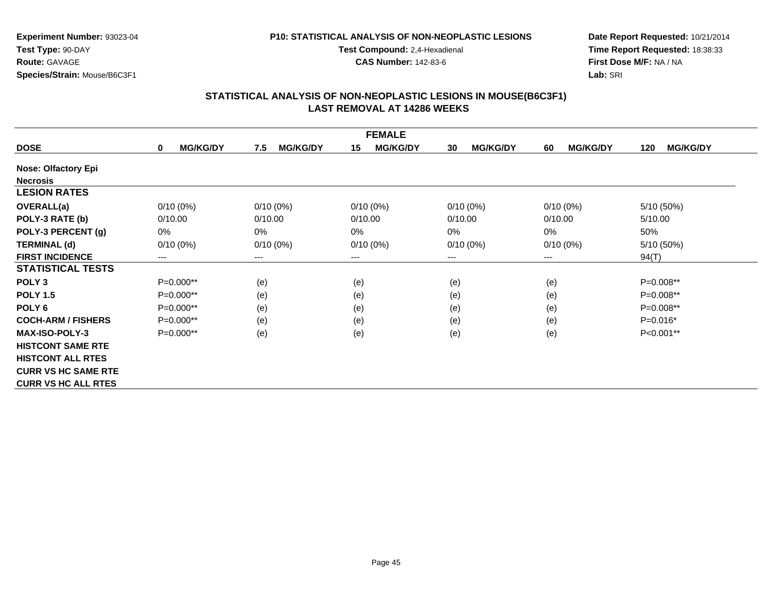### **P10: STATISTICAL ANALYSIS OF NON-NEOPLASTIC LESIONS**

**Test Compound:** 2,4-Hexadienal

**CAS Number:** 142-83-6

**Date Report Requested:** 10/21/2014**Time Report Requested:** 18:38:33**First Dose M/F:** NA / NA**Lab:** SRI

|                            |                                |                        | <b>FEMALE</b>         |                       |                       |                        |
|----------------------------|--------------------------------|------------------------|-----------------------|-----------------------|-----------------------|------------------------|
| <b>DOSE</b>                | <b>MG/KG/DY</b><br>$\mathbf 0$ | <b>MG/KG/DY</b><br>7.5 | 15<br><b>MG/KG/DY</b> | <b>MG/KG/DY</b><br>30 | <b>MG/KG/DY</b><br>60 | <b>MG/KG/DY</b><br>120 |
| <b>Nose: Olfactory Epi</b> |                                |                        |                       |                       |                       |                        |
| <b>Necrosis</b>            |                                |                        |                       |                       |                       |                        |
| <b>LESION RATES</b>        |                                |                        |                       |                       |                       |                        |
| <b>OVERALL(a)</b>          | $0/10(0\%)$                    | $0/10(0\%)$            | $0/10(0\%)$           | $0/10(0\%)$           | $0/10(0\%)$           | 5/10 (50%)             |
| POLY-3 RATE (b)            | 0/10.00                        | 0/10.00                | 0/10.00               | 0/10.00               | 0/10.00               | 5/10.00                |
| POLY-3 PERCENT (g)         | $0\%$                          | $0\%$                  | 0%                    | 0%                    | 0%                    | 50%                    |
| <b>TERMINAL (d)</b>        | $0/10(0\%)$                    | $0/10(0\%)$            | $0/10(0\%)$           | $0/10(0\%)$           | $0/10(0\%)$           | 5/10 (50%)             |
| <b>FIRST INCIDENCE</b>     | ---                            | ---                    | $--$                  | ---                   | $--$                  | 94(T)                  |
| <b>STATISTICAL TESTS</b>   |                                |                        |                       |                       |                       |                        |
| POLY <sub>3</sub>          | $P=0.000**$                    | (e)                    | (e)                   | (e)                   | (e)                   | $P=0.008**$            |
| <b>POLY 1.5</b>            | $P=0.000**$                    | (e)                    | (e)                   | (e)                   | (e)                   | $P=0.008**$            |
| POLY <sub>6</sub>          | $P=0.000**$                    | (e)                    | (e)                   | (e)                   | (e)                   | P=0.008**              |
| <b>COCH-ARM / FISHERS</b>  | $P=0.000**$                    | (e)                    | (e)                   | (e)                   | (e)                   | $P=0.016*$             |
| <b>MAX-ISO-POLY-3</b>      | $P=0.000**$                    | (e)                    | (e)                   | (e)                   | (e)                   | P<0.001**              |
| <b>HISTCONT SAME RTE</b>   |                                |                        |                       |                       |                       |                        |
| <b>HISTCONT ALL RTES</b>   |                                |                        |                       |                       |                       |                        |
| <b>CURR VS HC SAME RTE</b> |                                |                        |                       |                       |                       |                        |
| <b>CURR VS HC ALL RTES</b> |                                |                        |                       |                       |                       |                        |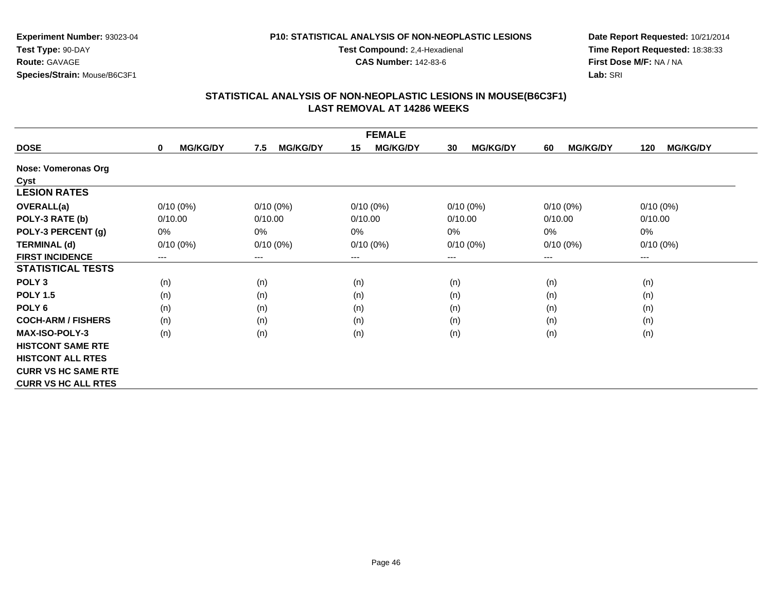#### **P10: STATISTICAL ANALYSIS OF NON-NEOPLASTIC LESIONS**

**Test Compound:** 2,4-Hexadienal

**CAS Number:** 142-83-6

**Date Report Requested:** 10/21/2014**Time Report Requested:** 18:38:33**First Dose M/F:** NA / NA**Lab:** SRI

|                            |                                |                        | <b>FEMALE</b>         |                       |                       |                        |
|----------------------------|--------------------------------|------------------------|-----------------------|-----------------------|-----------------------|------------------------|
| <b>DOSE</b>                | <b>MG/KG/DY</b><br>$\mathbf 0$ | 7.5<br><b>MG/KG/DY</b> | 15<br><b>MG/KG/DY</b> | <b>MG/KG/DY</b><br>30 | <b>MG/KG/DY</b><br>60 | <b>MG/KG/DY</b><br>120 |
| <b>Nose: Vomeronas Org</b> |                                |                        |                       |                       |                       |                        |
| <b>Cyst</b>                |                                |                        |                       |                       |                       |                        |
| <b>LESION RATES</b>        |                                |                        |                       |                       |                       |                        |
| <b>OVERALL(a)</b>          | $0/10(0\%)$                    | $0/10(0\%)$            | $0/10(0\%)$           | $0/10(0\%)$           | $0/10(0\%)$           | $0/10(0\%)$            |
| POLY-3 RATE (b)            | 0/10.00                        | 0/10.00                | 0/10.00               | 0/10.00               | 0/10.00               | 0/10.00                |
| POLY-3 PERCENT (g)         | 0%                             | $0\%$                  | 0%                    | 0%                    | 0%                    | 0%                     |
| <b>TERMINAL (d)</b>        | $0/10(0\%)$                    | $0/10(0\%)$            | $0/10(0\%)$           | $0/10(0\%)$           | $0/10(0\%)$           | $0/10(0\%)$            |
| <b>FIRST INCIDENCE</b>     | ---                            | ---                    | $---$                 | ---                   | $--$                  | ---                    |
| <b>STATISTICAL TESTS</b>   |                                |                        |                       |                       |                       |                        |
| POLY <sub>3</sub>          | (n)                            | (n)                    | (n)                   | (n)                   | (n)                   | (n)                    |
| <b>POLY 1.5</b>            | (n)                            | (n)                    | (n)                   | (n)                   | (n)                   | (n)                    |
| POLY <sub>6</sub>          | (n)                            | (n)                    | (n)                   | (n)                   | (n)                   | (n)                    |
| <b>COCH-ARM / FISHERS</b>  | (n)                            | (n)                    | (n)                   | (n)                   | (n)                   | (n)                    |
| <b>MAX-ISO-POLY-3</b>      | (n)                            | (n)                    | (n)                   | (n)                   | (n)                   | (n)                    |
| <b>HISTCONT SAME RTE</b>   |                                |                        |                       |                       |                       |                        |
| <b>HISTCONT ALL RTES</b>   |                                |                        |                       |                       |                       |                        |
| <b>CURR VS HC SAME RTE</b> |                                |                        |                       |                       |                       |                        |
| <b>CURR VS HC ALL RTES</b> |                                |                        |                       |                       |                       |                        |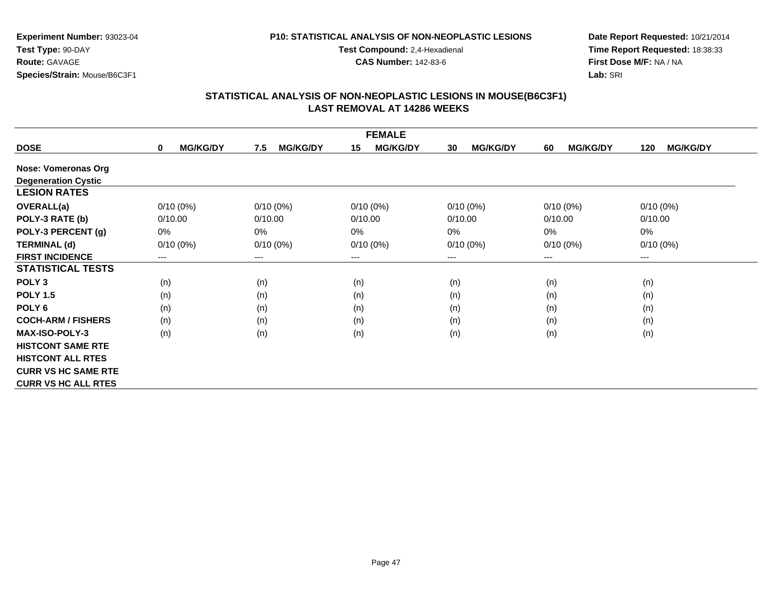#### **P10: STATISTICAL ANALYSIS OF NON-NEOPLASTIC LESIONS**

**Test Compound:** 2,4-Hexadienal

**CAS Number:** 142-83-6

**Date Report Requested:** 10/21/2014**Time Report Requested:** 18:38:33**First Dose M/F:** NA / NA**Lab:** SRI

|                            |                                |                        | <b>FEMALE</b>         |                       |                       |                        |
|----------------------------|--------------------------------|------------------------|-----------------------|-----------------------|-----------------------|------------------------|
| <b>DOSE</b>                | <b>MG/KG/DY</b><br>$\mathbf 0$ | 7.5<br><b>MG/KG/DY</b> | 15<br><b>MG/KG/DY</b> | <b>MG/KG/DY</b><br>30 | <b>MG/KG/DY</b><br>60 | <b>MG/KG/DY</b><br>120 |
| Nose: Vomeronas Org        |                                |                        |                       |                       |                       |                        |
| <b>Degeneration Cystic</b> |                                |                        |                       |                       |                       |                        |
| <b>LESION RATES</b>        |                                |                        |                       |                       |                       |                        |
| <b>OVERALL(a)</b>          | $0/10(0\%)$                    | $0/10(0\%)$            | $0/10(0\%)$           | $0/10(0\%)$           | $0/10(0\%)$           | $0/10(0\%)$            |
| POLY-3 RATE (b)            | 0/10.00                        | 0/10.00                | 0/10.00               | 0/10.00               | 0/10.00               | 0/10.00                |
| POLY-3 PERCENT (g)         | $0\%$                          | $0\%$                  | 0%                    | 0%                    | 0%                    | 0%                     |
| <b>TERMINAL (d)</b>        | $0/10(0\%)$                    | $0/10(0\%)$            | $0/10(0\%)$           | $0/10(0\%)$           | $0/10(0\%)$           | $0/10(0\%)$            |
| <b>FIRST INCIDENCE</b>     | ---                            | $---$                  | ---                   | ---                   | $--$                  | ---                    |
| <b>STATISTICAL TESTS</b>   |                                |                        |                       |                       |                       |                        |
| POLY <sub>3</sub>          | (n)                            | (n)                    | (n)                   | (n)                   | (n)                   | (n)                    |
| <b>POLY 1.5</b>            | (n)                            | (n)                    | (n)                   | (n)                   | (n)                   | (n)                    |
| POLY <sub>6</sub>          | (n)                            | (n)                    | (n)                   | (n)                   | (n)                   | (n)                    |
| <b>COCH-ARM / FISHERS</b>  | (n)                            | (n)                    | (n)                   | (n)                   | (n)                   | (n)                    |
| <b>MAX-ISO-POLY-3</b>      | (n)                            | (n)                    | (n)                   | (n)                   | (n)                   | (n)                    |
| <b>HISTCONT SAME RTE</b>   |                                |                        |                       |                       |                       |                        |
| <b>HISTCONT ALL RTES</b>   |                                |                        |                       |                       |                       |                        |
| <b>CURR VS HC SAME RTE</b> |                                |                        |                       |                       |                       |                        |
| <b>CURR VS HC ALL RTES</b> |                                |                        |                       |                       |                       |                        |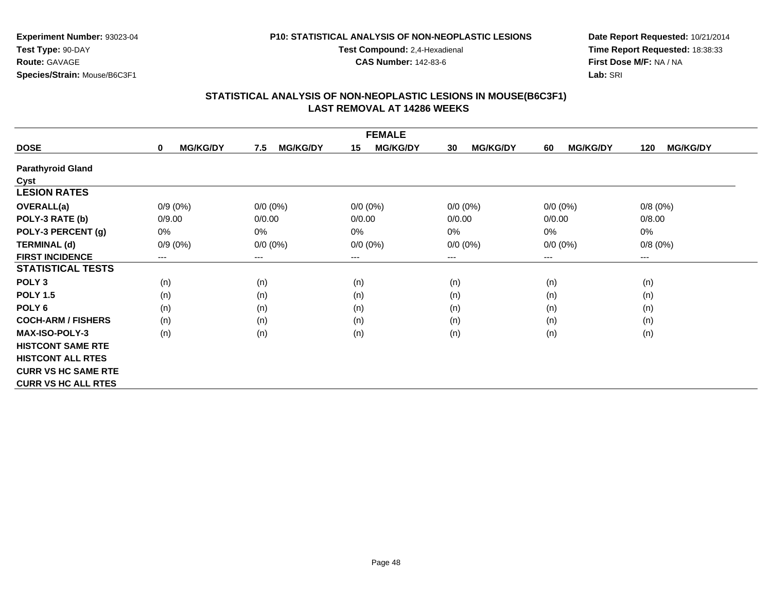#### **P10: STATISTICAL ANALYSIS OF NON-NEOPLASTIC LESIONS**

**Test Compound:** 2,4-Hexadienal

**CAS Number:** 142-83-6

**Date Report Requested:** 10/21/2014**Time Report Requested:** 18:38:33**First Dose M/F:** NA / NA**Lab:** SRI

| <b>FEMALE</b>              |                                |                        |                       |                       |                       |                        |  |
|----------------------------|--------------------------------|------------------------|-----------------------|-----------------------|-----------------------|------------------------|--|
| <b>DOSE</b>                | <b>MG/KG/DY</b><br>$\mathbf 0$ | <b>MG/KG/DY</b><br>7.5 | <b>MG/KG/DY</b><br>15 | <b>MG/KG/DY</b><br>30 | <b>MG/KG/DY</b><br>60 | <b>MG/KG/DY</b><br>120 |  |
| <b>Parathyroid Gland</b>   |                                |                        |                       |                       |                       |                        |  |
| <b>Cyst</b>                |                                |                        |                       |                       |                       |                        |  |
| <b>LESION RATES</b>        |                                |                        |                       |                       |                       |                        |  |
| <b>OVERALL(a)</b>          | $0/9(0\%)$                     | $0/0 (0\%)$            | $0/0 (0\%)$           | $0/0 (0\%)$           | $0/0 (0\%)$           | 0/8(0%)                |  |
| POLY-3 RATE (b)            | 0/9.00                         | 0/0.00                 | 0/0.00                | 0/0.00                | 0/0.00                | 0/8.00                 |  |
| POLY-3 PERCENT (g)         | 0%                             | 0%                     | 0%                    | 0%                    | 0%                    | 0%                     |  |
| <b>TERMINAL (d)</b>        | $0/9(0\%)$                     | $0/0 (0\%)$            | $0/0 (0\%)$           | $0/0 (0\%)$           | $0/0 (0\%)$           | 0/8(0%)                |  |
| <b>FIRST INCIDENCE</b>     | ---                            | ---                    | $---$                 | $---$                 | $---$                 | ---                    |  |
| <b>STATISTICAL TESTS</b>   |                                |                        |                       |                       |                       |                        |  |
| POLY <sub>3</sub>          | (n)                            | (n)                    | (n)                   | (n)                   | (n)                   | (n)                    |  |
| <b>POLY 1.5</b>            | (n)                            | (n)                    | (n)                   | (n)                   | (n)                   | (n)                    |  |
| POLY 6                     | (n)                            | (n)                    | (n)                   | (n)                   | (n)                   | (n)                    |  |
| <b>COCH-ARM / FISHERS</b>  | (n)                            | (n)                    | (n)                   | (n)                   | (n)                   | (n)                    |  |
| <b>MAX-ISO-POLY-3</b>      | (n)                            | (n)                    | (n)                   | (n)                   | (n)                   | (n)                    |  |
| <b>HISTCONT SAME RTE</b>   |                                |                        |                       |                       |                       |                        |  |
| <b>HISTCONT ALL RTES</b>   |                                |                        |                       |                       |                       |                        |  |
| <b>CURR VS HC SAME RTE</b> |                                |                        |                       |                       |                       |                        |  |
| <b>CURR VS HC ALL RTES</b> |                                |                        |                       |                       |                       |                        |  |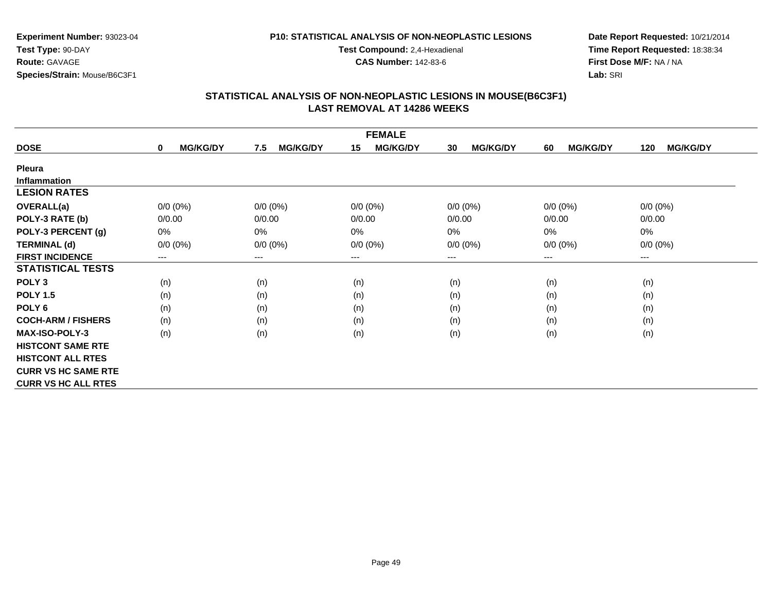### **P10: STATISTICAL ANALYSIS OF NON-NEOPLASTIC LESIONS**

**Test Compound:** 2,4-Hexadienal

**CAS Number:** 142-83-6

**Date Report Requested:** 10/21/2014**Time Report Requested:** 18:38:34**First Dose M/F:** NA / NA**Lab:** SRI

|                            |                                |                        | <b>FEMALE</b>         |                       |                       |                        |
|----------------------------|--------------------------------|------------------------|-----------------------|-----------------------|-----------------------|------------------------|
| <b>DOSE</b>                | <b>MG/KG/DY</b><br>$\mathbf 0$ | <b>MG/KG/DY</b><br>7.5 | <b>MG/KG/DY</b><br>15 | <b>MG/KG/DY</b><br>30 | <b>MG/KG/DY</b><br>60 | <b>MG/KG/DY</b><br>120 |
| <b>Pleura</b>              |                                |                        |                       |                       |                       |                        |
| <b>Inflammation</b>        |                                |                        |                       |                       |                       |                        |
| <b>LESION RATES</b>        |                                |                        |                       |                       |                       |                        |
| <b>OVERALL(a)</b>          | $0/0 (0\%)$                    | $0/0 (0\%)$            | $0/0 (0\%)$           | $0/0 (0\%)$           | $0/0 (0\%)$           | $0/0 (0\%)$            |
| POLY-3 RATE (b)            | 0/0.00                         | 0/0.00                 | 0/0.00                | 0/0.00                | 0/0.00                | 0/0.00                 |
| POLY-3 PERCENT (g)         | $0\%$                          | 0%                     | 0%                    | $0\%$                 | 0%                    | 0%                     |
| <b>TERMINAL (d)</b>        | $0/0 (0\%)$                    | $0/0 (0\%)$            | $0/0 (0\%)$           | $0/0 (0\%)$           | $0/0 (0\%)$           | $0/0 (0\%)$            |
| <b>FIRST INCIDENCE</b>     | ---                            | $---$                  | ---                   | ---                   | $---$                 | $---$                  |
| <b>STATISTICAL TESTS</b>   |                                |                        |                       |                       |                       |                        |
| POLY <sub>3</sub>          | (n)                            | (n)                    | (n)                   | (n)                   | (n)                   | (n)                    |
| <b>POLY 1.5</b>            | (n)                            | (n)                    | (n)                   | (n)                   | (n)                   | (n)                    |
| POLY <sub>6</sub>          | (n)                            | (n)                    | (n)                   | (n)                   | (n)                   | (n)                    |
| <b>COCH-ARM / FISHERS</b>  | (n)                            | (n)                    | (n)                   | (n)                   | (n)                   | (n)                    |
| <b>MAX-ISO-POLY-3</b>      | (n)                            | (n)                    | (n)                   | (n)                   | (n)                   | (n)                    |
| <b>HISTCONT SAME RTE</b>   |                                |                        |                       |                       |                       |                        |
| <b>HISTCONT ALL RTES</b>   |                                |                        |                       |                       |                       |                        |
| <b>CURR VS HC SAME RTE</b> |                                |                        |                       |                       |                       |                        |
| <b>CURR VS HC ALL RTES</b> |                                |                        |                       |                       |                       |                        |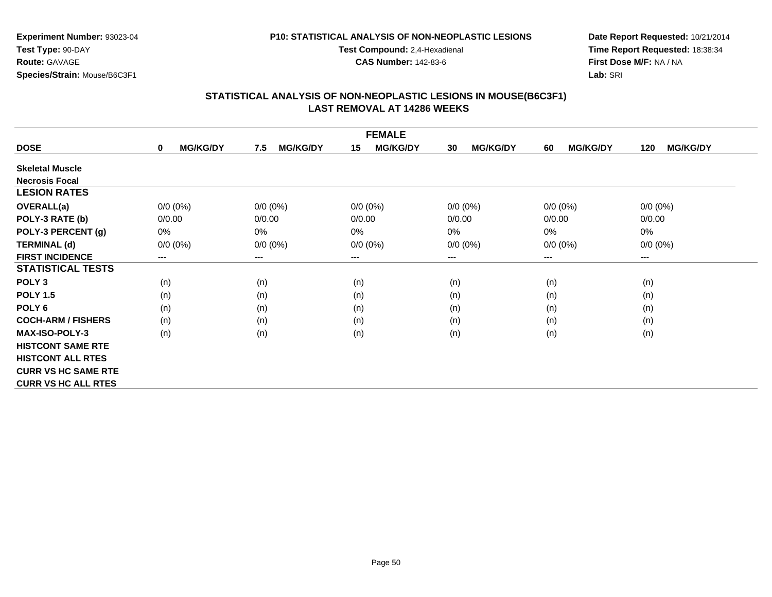### **P10: STATISTICAL ANALYSIS OF NON-NEOPLASTIC LESIONS**

**Test Compound:** 2,4-Hexadienal

**CAS Number:** 142-83-6

**Date Report Requested:** 10/21/2014**Time Report Requested:** 18:38:34**First Dose M/F:** NA / NA**Lab:** SRI

|                            |                                |                        | <b>FEMALE</b>              |                            |                       |                        |
|----------------------------|--------------------------------|------------------------|----------------------------|----------------------------|-----------------------|------------------------|
| <b>DOSE</b>                | <b>MG/KG/DY</b><br>$\mathbf 0$ | <b>MG/KG/DY</b><br>7.5 | <b>MG/KG/DY</b><br>15      | <b>MG/KG/DY</b><br>30      | <b>MG/KG/DY</b><br>60 | <b>MG/KG/DY</b><br>120 |
| <b>Skeletal Muscle</b>     |                                |                        |                            |                            |                       |                        |
| <b>Necrosis Focal</b>      |                                |                        |                            |                            |                       |                        |
| <b>LESION RATES</b>        |                                |                        |                            |                            |                       |                        |
| <b>OVERALL(a)</b>          | $0/0 (0\%)$                    | $0/0 (0\%)$            | $0/0(0\%)$                 | $0/0 (0\%)$                | $0/0 (0\%)$           | $0/0 (0\%)$            |
| POLY-3 RATE (b)            | 0/0.00                         | 0/0.00                 | 0/0.00                     | 0/0.00                     | 0/0.00                | 0/0.00                 |
| POLY-3 PERCENT (g)         | $0\%$                          | 0%                     | 0%                         | 0%                         | 0%                    | 0%                     |
| <b>TERMINAL (d)</b>        | $0/0 (0\%)$                    | $0/0 (0\%)$            | $0/0 (0\%)$                | $0/0 (0\%)$                | $0/0 (0\%)$           | $0/0 (0\%)$            |
| <b>FIRST INCIDENCE</b>     | $---$                          | $---$                  | $\qquad \qquad - \qquad -$ | $\qquad \qquad - \qquad -$ | $---$                 | ---                    |
| <b>STATISTICAL TESTS</b>   |                                |                        |                            |                            |                       |                        |
| POLY <sub>3</sub>          | (n)                            | (n)                    | (n)                        | (n)                        | (n)                   | (n)                    |
| <b>POLY 1.5</b>            | (n)                            | (n)                    | (n)                        | (n)                        | (n)                   | (n)                    |
| POLY <sub>6</sub>          | (n)                            | (n)                    | (n)                        | (n)                        | (n)                   | (n)                    |
| <b>COCH-ARM / FISHERS</b>  | (n)                            | (n)                    | (n)                        | (n)                        | (n)                   | (n)                    |
| <b>MAX-ISO-POLY-3</b>      | (n)                            | (n)                    | (n)                        | (n)                        | (n)                   | (n)                    |
| <b>HISTCONT SAME RTE</b>   |                                |                        |                            |                            |                       |                        |
| <b>HISTCONT ALL RTES</b>   |                                |                        |                            |                            |                       |                        |
| <b>CURR VS HC SAME RTE</b> |                                |                        |                            |                            |                       |                        |
| <b>CURR VS HC ALL RTES</b> |                                |                        |                            |                            |                       |                        |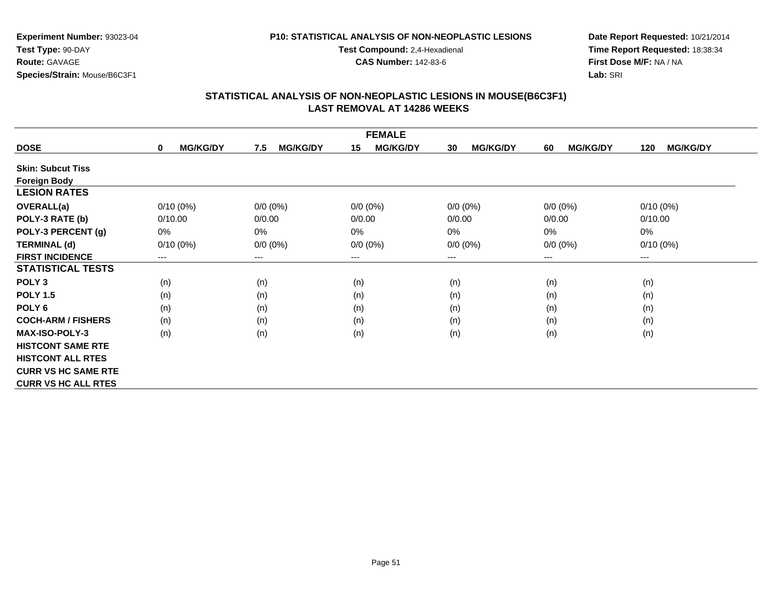#### **P10: STATISTICAL ANALYSIS OF NON-NEOPLASTIC LESIONS**

**Test Compound:** 2,4-Hexadienal

**CAS Number:** 142-83-6

**Date Report Requested:** 10/21/2014**Time Report Requested:** 18:38:34**First Dose M/F:** NA / NA**Lab:** SRI

| <b>FEMALE</b>              |                                |                        |                        |                       |                       |                        |  |
|----------------------------|--------------------------------|------------------------|------------------------|-----------------------|-----------------------|------------------------|--|
| <b>DOSE</b>                | <b>MG/KG/DY</b><br>$\mathbf 0$ | <b>MG/KG/DY</b><br>7.5 | <b>MG/KG/DY</b><br>15  | <b>MG/KG/DY</b><br>30 | <b>MG/KG/DY</b><br>60 | <b>MG/KG/DY</b><br>120 |  |
| <b>Skin: Subcut Tiss</b>   |                                |                        |                        |                       |                       |                        |  |
| <b>Foreign Body</b>        |                                |                        |                        |                       |                       |                        |  |
| <b>LESION RATES</b>        |                                |                        |                        |                       |                       |                        |  |
| <b>OVERALL(a)</b>          | $0/10(0\%)$                    | $0/0 (0\%)$            | $0/0 (0\%)$            | $0/0 (0\%)$           | $0/0 (0\%)$           | $0/10(0\%)$            |  |
| POLY-3 RATE (b)            | 0/10.00                        | 0/0.00                 | 0/0.00                 | 0/0.00                | 0/0.00                | 0/10.00                |  |
| POLY-3 PERCENT (g)         | 0%                             | 0%                     | $0\%$                  | 0%                    | 0%                    | 0%                     |  |
| <b>TERMINAL (d)</b>        | $0/10(0\%)$                    | $0/0 (0\%)$            | $0/0 (0\%)$            | $0/0 (0\%)$           | $0/0 (0\%)$           | $0/10(0\%)$            |  |
| <b>FIRST INCIDENCE</b>     | ---                            | ---                    | $\qquad \qquad \cdots$ | $---$                 | $---$                 | ---                    |  |
| <b>STATISTICAL TESTS</b>   |                                |                        |                        |                       |                       |                        |  |
| POLY <sub>3</sub>          | (n)                            | (n)                    | (n)                    | (n)                   | (n)                   | (n)                    |  |
| <b>POLY 1.5</b>            | (n)                            | (n)                    | (n)                    | (n)                   | (n)                   | (n)                    |  |
| POLY <sub>6</sub>          | (n)                            | (n)                    | (n)                    | (n)                   | (n)                   | (n)                    |  |
| <b>COCH-ARM / FISHERS</b>  | (n)                            | (n)                    | (n)                    | (n)                   | (n)                   | (n)                    |  |
| <b>MAX-ISO-POLY-3</b>      | (n)                            | (n)                    | (n)                    | (n)                   | (n)                   | (n)                    |  |
| <b>HISTCONT SAME RTE</b>   |                                |                        |                        |                       |                       |                        |  |
| <b>HISTCONT ALL RTES</b>   |                                |                        |                        |                       |                       |                        |  |
| <b>CURR VS HC SAME RTE</b> |                                |                        |                        |                       |                       |                        |  |
| <b>CURR VS HC ALL RTES</b> |                                |                        |                        |                       |                       |                        |  |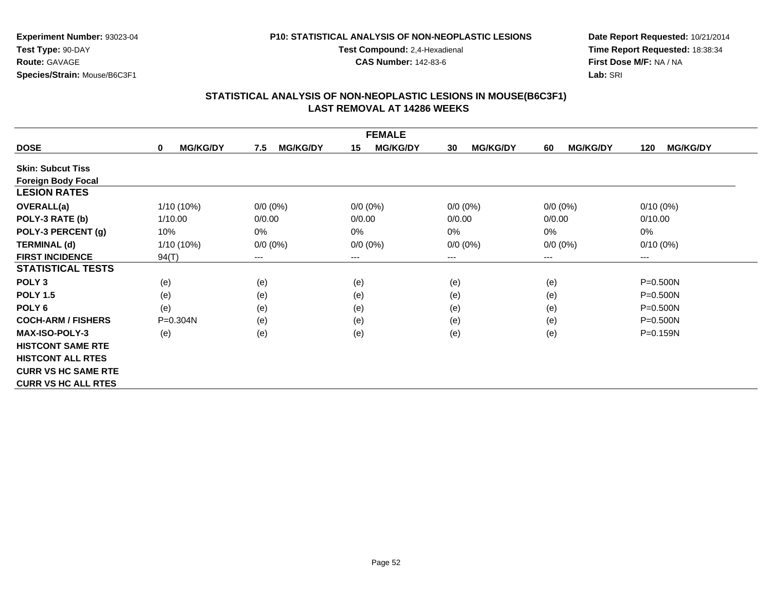#### **P10: STATISTICAL ANALYSIS OF NON-NEOPLASTIC LESIONS**

**Test Compound:** 2,4-Hexadienal

**CAS Number:** 142-83-6

**Date Report Requested:** 10/21/2014**Time Report Requested:** 18:38:34**First Dose M/F:** NA / NA**Lab:** SRI

| <b>FEMALE</b>              |                      |                        |                        |                       |                       |                        |  |
|----------------------------|----------------------|------------------------|------------------------|-----------------------|-----------------------|------------------------|--|
| <b>DOSE</b>                | <b>MG/KG/DY</b><br>0 | <b>MG/KG/DY</b><br>7.5 | <b>MG/KG/DY</b><br>15  | <b>MG/KG/DY</b><br>30 | <b>MG/KG/DY</b><br>60 | <b>MG/KG/DY</b><br>120 |  |
| <b>Skin: Subcut Tiss</b>   |                      |                        |                        |                       |                       |                        |  |
| <b>Foreign Body Focal</b>  |                      |                        |                        |                       |                       |                        |  |
| <b>LESION RATES</b>        |                      |                        |                        |                       |                       |                        |  |
| <b>OVERALL(a)</b>          | 1/10 (10%)           | $0/0 (0\%)$            | $0/0(0\%)$             | $0/0 (0\%)$           | $0/0 (0\%)$           | $0/10(0\%)$            |  |
| POLY-3 RATE (b)            | 1/10.00              | 0/0.00                 | 0/0.00                 | 0/0.00                | 0/0.00                | 0/10.00                |  |
| POLY-3 PERCENT (g)         | 10%                  | 0%                     | 0%                     | 0%                    | $0\%$                 | 0%                     |  |
| <b>TERMINAL (d)</b>        | 1/10 (10%)           | $0/0 (0\%)$            | $0/0 (0\%)$            | $0/0 (0\%)$           | $0/0 (0\%)$           | $0/10(0\%)$            |  |
| <b>FIRST INCIDENCE</b>     | 94(T)                | ---                    | $\qquad \qquad \cdots$ | ---                   | ---                   | ---                    |  |
| <b>STATISTICAL TESTS</b>   |                      |                        |                        |                       |                       |                        |  |
| POLY <sub>3</sub>          | (e)                  | (e)                    | (e)                    | (e)                   | (e)                   | $P = 0.500N$           |  |
| <b>POLY 1.5</b>            | (e)                  | (e)                    | (e)                    | (e)                   | (e)                   | $P = 0.500N$           |  |
| POLY <sub>6</sub>          | (e)                  | (e)                    | (e)                    | (e)                   | (e)                   | $P = 0.500N$           |  |
| <b>COCH-ARM / FISHERS</b>  | P=0.304N             | (e)                    | (e)                    | (e)                   | (e)                   | $P = 0.500N$           |  |
| <b>MAX-ISO-POLY-3</b>      | (e)                  | (e)                    | (e)                    | (e)                   | (e)                   | P=0.159N               |  |
| <b>HISTCONT SAME RTE</b>   |                      |                        |                        |                       |                       |                        |  |
| <b>HISTCONT ALL RTES</b>   |                      |                        |                        |                       |                       |                        |  |
| <b>CURR VS HC SAME RTE</b> |                      |                        |                        |                       |                       |                        |  |
| <b>CURR VS HC ALL RTES</b> |                      |                        |                        |                       |                       |                        |  |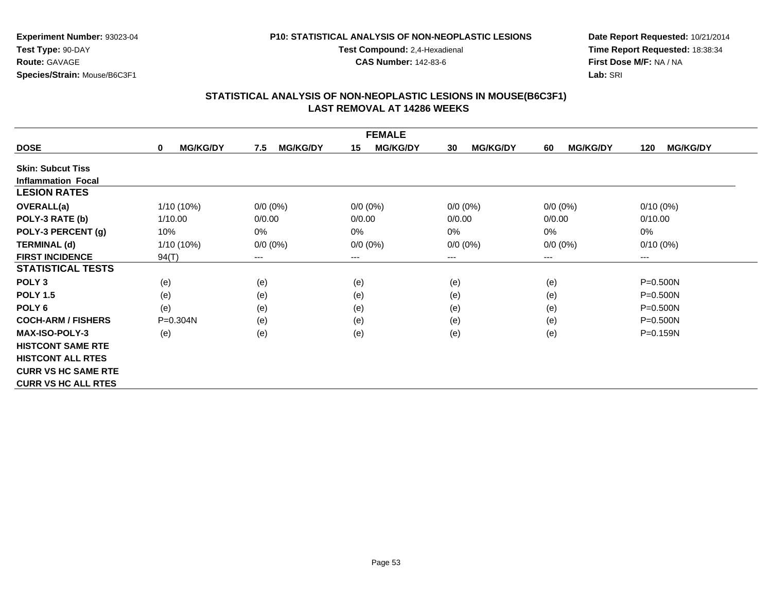#### **P10: STATISTICAL ANALYSIS OF NON-NEOPLASTIC LESIONS**

**Test Compound:** 2,4-Hexadienal

**CAS Number:** 142-83-6

**Date Report Requested:** 10/21/2014**Time Report Requested:** 18:38:34**First Dose M/F:** NA / NA**Lab:** SRI

| <b>FEMALE</b>              |                                |                        |                        |                       |                       |                        |  |
|----------------------------|--------------------------------|------------------------|------------------------|-----------------------|-----------------------|------------------------|--|
| <b>DOSE</b>                | <b>MG/KG/DY</b><br>$\mathbf 0$ | <b>MG/KG/DY</b><br>7.5 | <b>MG/KG/DY</b><br>15  | <b>MG/KG/DY</b><br>30 | <b>MG/KG/DY</b><br>60 | <b>MG/KG/DY</b><br>120 |  |
| <b>Skin: Subcut Tiss</b>   |                                |                        |                        |                       |                       |                        |  |
| <b>Inflammation Focal</b>  |                                |                        |                        |                       |                       |                        |  |
| <b>LESION RATES</b>        |                                |                        |                        |                       |                       |                        |  |
| <b>OVERALL(a)</b>          | 1/10 (10%)                     | $0/0 (0\%)$            | $0/0(0\%)$             | $0/0 (0\%)$           | $0/0 (0\%)$           | $0/10(0\%)$            |  |
| POLY-3 RATE (b)            | 1/10.00                        | 0/0.00                 | 0/0.00                 | 0/0.00                | 0/0.00                | 0/10.00                |  |
| POLY-3 PERCENT (g)         | 10%                            | 0%                     | $0\%$                  | 0%                    | 0%                    | 0%                     |  |
| <b>TERMINAL (d)</b>        | 1/10 (10%)                     | $0/0 (0\%)$            | $0/0 (0\%)$            | $0/0 (0\%)$           | $0/0 (0\%)$           | $0/10(0\%)$            |  |
| <b>FIRST INCIDENCE</b>     | 94(T)                          | $---$                  | $\qquad \qquad \cdots$ | $---$                 | $---$                 | ---                    |  |
| <b>STATISTICAL TESTS</b>   |                                |                        |                        |                       |                       |                        |  |
| POLY <sub>3</sub>          | (e)                            | (e)                    | (e)                    | (e)                   | (e)                   | $P = 0.500N$           |  |
| <b>POLY 1.5</b>            | (e)                            | (e)                    | (e)                    | (e)                   | (e)                   | $P = 0.500N$           |  |
| POLY <sub>6</sub>          | (e)                            | (e)                    | (e)                    | (e)                   | (e)                   | $P = 0.500N$           |  |
| <b>COCH-ARM / FISHERS</b>  | P=0.304N                       | (e)                    | (e)                    | (e)                   | (e)                   | $P = 0.500N$           |  |
| <b>MAX-ISO-POLY-3</b>      | (e)                            | (e)                    | (e)                    | (e)                   | (e)                   | $P = 0.159N$           |  |
| <b>HISTCONT SAME RTE</b>   |                                |                        |                        |                       |                       |                        |  |
| <b>HISTCONT ALL RTES</b>   |                                |                        |                        |                       |                       |                        |  |
| <b>CURR VS HC SAME RTE</b> |                                |                        |                        |                       |                       |                        |  |
| <b>CURR VS HC ALL RTES</b> |                                |                        |                        |                       |                       |                        |  |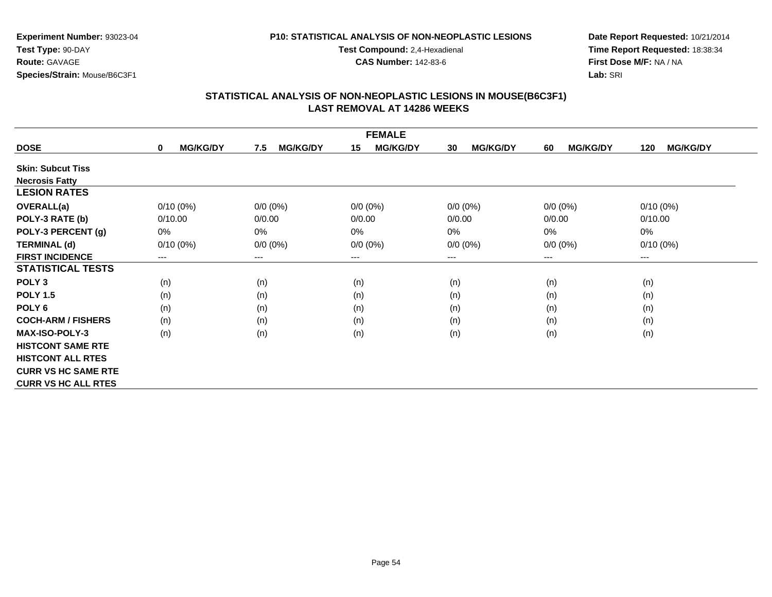### **P10: STATISTICAL ANALYSIS OF NON-NEOPLASTIC LESIONS**

**Test Compound:** 2,4-Hexadienal

**CAS Number:** 142-83-6

**Date Report Requested:** 10/21/2014**Time Report Requested:** 18:38:34**First Dose M/F:** NA / NA**Lab:** SRI

| <b>FEMALE</b>              |                      |                        |                            |                        |                       |                        |  |
|----------------------------|----------------------|------------------------|----------------------------|------------------------|-----------------------|------------------------|--|
| <b>DOSE</b>                | <b>MG/KG/DY</b><br>0 | <b>MG/KG/DY</b><br>7.5 | <b>MG/KG/DY</b><br>15      | <b>MG/KG/DY</b><br>30  | <b>MG/KG/DY</b><br>60 | <b>MG/KG/DY</b><br>120 |  |
| <b>Skin: Subcut Tiss</b>   |                      |                        |                            |                        |                       |                        |  |
| <b>Necrosis Fatty</b>      |                      |                        |                            |                        |                       |                        |  |
| <b>LESION RATES</b>        |                      |                        |                            |                        |                       |                        |  |
| <b>OVERALL(a)</b>          | $0/10(0\%)$          | $0/0 (0\%)$            | $0/0 (0\%)$                | $0/0 (0\%)$            | $0/0 (0\%)$           | $0/10(0\%)$            |  |
| POLY-3 RATE (b)            | 0/10.00              | 0/0.00                 | 0/0.00                     | 0/0.00                 | 0/0.00                | 0/10.00                |  |
| POLY-3 PERCENT (g)         | 0%                   | $0\%$                  | 0%                         | 0%                     | 0%                    | 0%                     |  |
| <b>TERMINAL (d)</b>        | $0/10(0\%)$          | $0/0 (0\%)$            | $0/0 (0\%)$                | $0/0 (0\%)$            | $0/0 (0\%)$           | $0/10(0\%)$            |  |
| <b>FIRST INCIDENCE</b>     | ---                  | $---$                  | $\qquad \qquad - \qquad -$ | $\qquad \qquad \cdots$ | $--$                  | ---                    |  |
| <b>STATISTICAL TESTS</b>   |                      |                        |                            |                        |                       |                        |  |
| POLY <sub>3</sub>          | (n)                  | (n)                    | (n)                        | (n)                    | (n)                   | (n)                    |  |
| <b>POLY 1.5</b>            | (n)                  | (n)                    | (n)                        | (n)                    | (n)                   | (n)                    |  |
| POLY <sub>6</sub>          | (n)                  | (n)                    | (n)                        | (n)                    | (n)                   | (n)                    |  |
| <b>COCH-ARM / FISHERS</b>  | (n)                  | (n)                    | (n)                        | (n)                    | (n)                   | (n)                    |  |
| <b>MAX-ISO-POLY-3</b>      | (n)                  | (n)                    | (n)                        | (n)                    | (n)                   | (n)                    |  |
| <b>HISTCONT SAME RTE</b>   |                      |                        |                            |                        |                       |                        |  |
| <b>HISTCONT ALL RTES</b>   |                      |                        |                            |                        |                       |                        |  |
| <b>CURR VS HC SAME RTE</b> |                      |                        |                            |                        |                       |                        |  |
| <b>CURR VS HC ALL RTES</b> |                      |                        |                            |                        |                       |                        |  |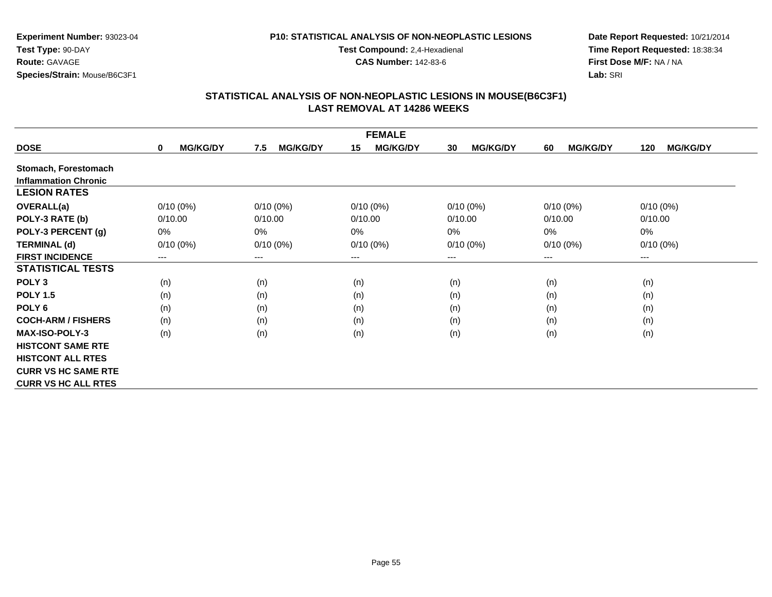#### **P10: STATISTICAL ANALYSIS OF NON-NEOPLASTIC LESIONS**

**Test Compound:** 2,4-Hexadienal

**CAS Number:** 142-83-6

**Date Report Requested:** 10/21/2014**Time Report Requested:** 18:38:34**First Dose M/F:** NA / NA**Lab:** SRI

| <b>FEMALE</b>               |                                 |                        |                       |                       |                       |                        |  |
|-----------------------------|---------------------------------|------------------------|-----------------------|-----------------------|-----------------------|------------------------|--|
| <b>DOSE</b>                 | <b>MG/KG/DY</b><br>$\mathbf{0}$ | <b>MG/KG/DY</b><br>7.5 | <b>MG/KG/DY</b><br>15 | <b>MG/KG/DY</b><br>30 | <b>MG/KG/DY</b><br>60 | <b>MG/KG/DY</b><br>120 |  |
| Stomach, Forestomach        |                                 |                        |                       |                       |                       |                        |  |
| <b>Inflammation Chronic</b> |                                 |                        |                       |                       |                       |                        |  |
| <b>LESION RATES</b>         |                                 |                        |                       |                       |                       |                        |  |
| <b>OVERALL(a)</b>           | $0/10(0\%)$                     | $0/10(0\%)$            | $0/10(0\%)$           | $0/10(0\%)$           | $0/10(0\%)$           | $0/10(0\%)$            |  |
| POLY-3 RATE (b)             | 0/10.00                         | 0/10.00                | 0/10.00               | 0/10.00               | 0/10.00               | 0/10.00                |  |
| POLY-3 PERCENT (g)          | 0%                              | $0\%$                  | 0%                    | 0%                    | 0%                    | $0\%$                  |  |
| <b>TERMINAL (d)</b>         | $0/10(0\%)$                     | $0/10(0\%)$            | $0/10(0\%)$           | $0/10(0\%)$           | $0/10(0\%)$           | $0/10(0\%)$            |  |
| <b>FIRST INCIDENCE</b>      | ---                             | $---$                  | $--$                  | ---                   | $--$                  | ---                    |  |
| <b>STATISTICAL TESTS</b>    |                                 |                        |                       |                       |                       |                        |  |
| POLY <sub>3</sub>           | (n)                             | (n)                    | (n)                   | (n)                   | (n)                   | (n)                    |  |
| <b>POLY 1.5</b>             | (n)                             | (n)                    | (n)                   | (n)                   | (n)                   | (n)                    |  |
| POLY <sub>6</sub>           | (n)                             | (n)                    | (n)                   | (n)                   | (n)                   | (n)                    |  |
| <b>COCH-ARM / FISHERS</b>   | (n)                             | (n)                    | (n)                   | (n)                   | (n)                   | (n)                    |  |
| <b>MAX-ISO-POLY-3</b>       | (n)                             | (n)                    | (n)                   | (n)                   | (n)                   | (n)                    |  |
| <b>HISTCONT SAME RTE</b>    |                                 |                        |                       |                       |                       |                        |  |
| <b>HISTCONT ALL RTES</b>    |                                 |                        |                       |                       |                       |                        |  |
| <b>CURR VS HC SAME RTE</b>  |                                 |                        |                       |                       |                       |                        |  |
| <b>CURR VS HC ALL RTES</b>  |                                 |                        |                       |                       |                       |                        |  |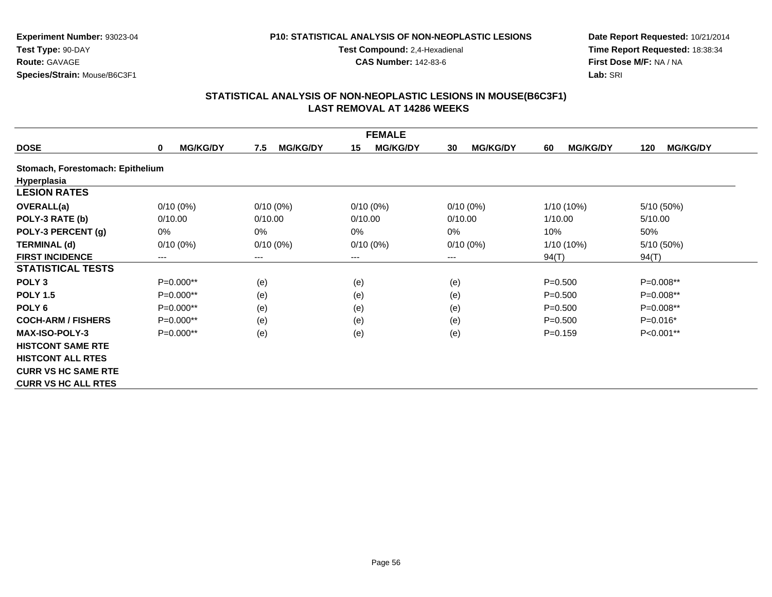#### **P10: STATISTICAL ANALYSIS OF NON-NEOPLASTIC LESIONS**

**Test Compound:** 2,4-Hexadienal

**CAS Number:** 142-83-6

**Date Report Requested:** 10/21/2014**Time Report Requested:** 18:38:34**First Dose M/F:** NA / NA**Lab:** SRI

|                                  |                                |                        | <b>FEMALE</b>         |                       |                       |                        |
|----------------------------------|--------------------------------|------------------------|-----------------------|-----------------------|-----------------------|------------------------|
| <b>DOSE</b>                      | <b>MG/KG/DY</b><br>$\mathbf 0$ | <b>MG/KG/DY</b><br>7.5 | <b>MG/KG/DY</b><br>15 | <b>MG/KG/DY</b><br>30 | <b>MG/KG/DY</b><br>60 | <b>MG/KG/DY</b><br>120 |
| Stomach, Forestomach: Epithelium |                                |                        |                       |                       |                       |                        |
| Hyperplasia                      |                                |                        |                       |                       |                       |                        |
| <b>LESION RATES</b>              |                                |                        |                       |                       |                       |                        |
| <b>OVERALL(a)</b>                | $0/10(0\%)$                    | $0/10(0\%)$            | $0/10(0\%)$           | $0/10(0\%)$           | 1/10 (10%)            | 5/10 (50%)             |
| POLY-3 RATE (b)                  | 0/10.00                        | 0/10.00                | 0/10.00               | 0/10.00               | 1/10.00               | 5/10.00                |
| POLY-3 PERCENT (g)               | 0%                             | $0\%$                  | 0%                    | $0\%$                 | 10%                   | 50%                    |
| <b>TERMINAL (d)</b>              | $0/10(0\%)$                    | $0/10(0\%)$            | $0/10(0\%)$           | $0/10(0\%)$           | 1/10 (10%)            | 5/10 (50%)             |
| <b>FIRST INCIDENCE</b>           | ---                            | ---                    | $---$                 | ---                   | 94(T)                 | 94(T)                  |
| <b>STATISTICAL TESTS</b>         |                                |                        |                       |                       |                       |                        |
| POLY <sub>3</sub>                | $P=0.000**$                    | (e)                    | (e)                   | (e)                   | $P = 0.500$           | P=0.008**              |
| <b>POLY 1.5</b>                  | $P=0.000**$                    | (e)                    | (e)                   | (e)                   | $P = 0.500$           | $P=0.008**$            |
| POLY <sub>6</sub>                | $P=0.000**$                    | (e)                    | (e)                   | (e)                   | $P = 0.500$           | P=0.008**              |
| <b>COCH-ARM / FISHERS</b>        | $P=0.000**$                    | (e)                    | (e)                   | (e)                   | $P = 0.500$           | $P=0.016*$             |
| <b>MAX-ISO-POLY-3</b>            | P=0.000**                      | (e)                    | (e)                   | (e)                   | $P = 0.159$           | P<0.001**              |
| <b>HISTCONT SAME RTE</b>         |                                |                        |                       |                       |                       |                        |
| <b>HISTCONT ALL RTES</b>         |                                |                        |                       |                       |                       |                        |
| <b>CURR VS HC SAME RTE</b>       |                                |                        |                       |                       |                       |                        |
| <b>CURR VS HC ALL RTES</b>       |                                |                        |                       |                       |                       |                        |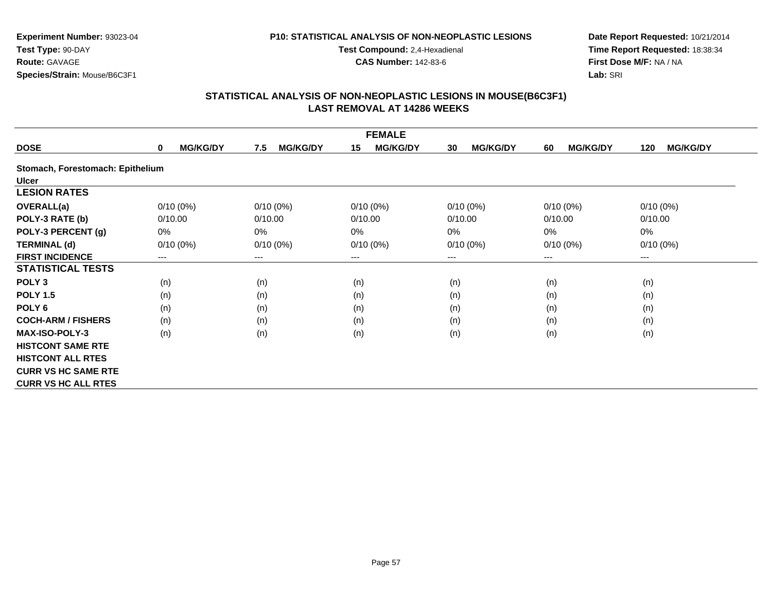#### **P10: STATISTICAL ANALYSIS OF NON-NEOPLASTIC LESIONS**

**Test Compound:** 2,4-Hexadienal

**CAS Number:** 142-83-6

**Date Report Requested:** 10/21/2014**Time Report Requested:** 18:38:34**First Dose M/F:** NA / NA**Lab:** SRI

|                                  |                                |                        | <b>FEMALE</b>         |                       |                       |                        |
|----------------------------------|--------------------------------|------------------------|-----------------------|-----------------------|-----------------------|------------------------|
| <b>DOSE</b>                      | <b>MG/KG/DY</b><br>$\mathbf 0$ | <b>MG/KG/DY</b><br>7.5 | <b>MG/KG/DY</b><br>15 | <b>MG/KG/DY</b><br>30 | <b>MG/KG/DY</b><br>60 | <b>MG/KG/DY</b><br>120 |
| Stomach, Forestomach: Epithelium |                                |                        |                       |                       |                       |                        |
| <b>Ulcer</b>                     |                                |                        |                       |                       |                       |                        |
| <b>LESION RATES</b>              |                                |                        |                       |                       |                       |                        |
| <b>OVERALL(a)</b>                | $0/10(0\%)$                    | $0/10(0\%)$            | $0/10(0\%)$           | 0/10(0%)              | $0/10(0\%)$           | $0/10(0\%)$            |
| POLY-3 RATE (b)                  | 0/10.00                        | 0/10.00                | 0/10.00               | 0/10.00               | 0/10.00               | 0/10.00                |
| POLY-3 PERCENT (g)               | 0%                             | $0\%$                  | 0%                    | 0%                    | 0%                    | 0%                     |
| <b>TERMINAL (d)</b>              | $0/10(0\%)$                    | $0/10(0\%)$            | $0/10(0\%)$           | $0/10(0\%)$           | $0/10(0\%)$           | $0/10(0\%)$            |
| <b>FIRST INCIDENCE</b>           | ---                            | ---                    | $---$                 | $---$                 | $---$                 | ---                    |
| <b>STATISTICAL TESTS</b>         |                                |                        |                       |                       |                       |                        |
| POLY <sub>3</sub>                | (n)                            | (n)                    | (n)                   | (n)                   | (n)                   | (n)                    |
| <b>POLY 1.5</b>                  | (n)                            | (n)                    | (n)                   | (n)                   | (n)                   | (n)                    |
| POLY <sub>6</sub>                | (n)                            | (n)                    | (n)                   | (n)                   | (n)                   | (n)                    |
| <b>COCH-ARM / FISHERS</b>        | (n)                            | (n)                    | (n)                   | (n)                   | (n)                   | (n)                    |
| <b>MAX-ISO-POLY-3</b>            | (n)                            | (n)                    | (n)                   | (n)                   | (n)                   | (n)                    |
| <b>HISTCONT SAME RTE</b>         |                                |                        |                       |                       |                       |                        |
| <b>HISTCONT ALL RTES</b>         |                                |                        |                       |                       |                       |                        |
| <b>CURR VS HC SAME RTE</b>       |                                |                        |                       |                       |                       |                        |
| <b>CURR VS HC ALL RTES</b>       |                                |                        |                       |                       |                       |                        |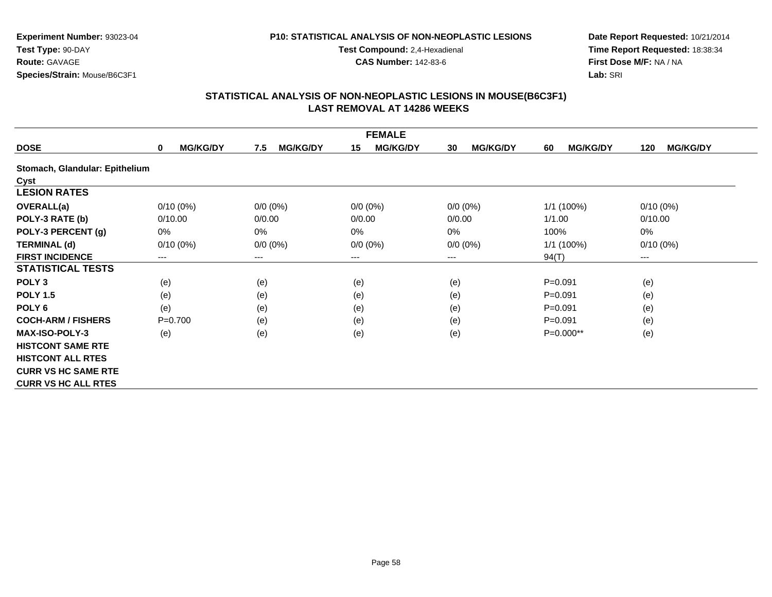#### **P10: STATISTICAL ANALYSIS OF NON-NEOPLASTIC LESIONS**

**Test Compound:** 2,4-Hexadienal

**CAS Number:** 142-83-6

**Date Report Requested:** 10/21/2014**Time Report Requested:** 18:38:34**First Dose M/F:** NA / NA**Lab:** SRI

|                                |                             |                        | <b>FEMALE</b>         |                       |                       |                        |
|--------------------------------|-----------------------------|------------------------|-----------------------|-----------------------|-----------------------|------------------------|
| <b>DOSE</b>                    | <b>MG/KG/DY</b><br>$\bf{0}$ | <b>MG/KG/DY</b><br>7.5 | <b>MG/KG/DY</b><br>15 | <b>MG/KG/DY</b><br>30 | <b>MG/KG/DY</b><br>60 | <b>MG/KG/DY</b><br>120 |
| Stomach, Glandular: Epithelium |                             |                        |                       |                       |                       |                        |
| Cyst                           |                             |                        |                       |                       |                       |                        |
| <b>LESION RATES</b>            |                             |                        |                       |                       |                       |                        |
| OVERALL(a)                     | $0/10(0\%)$                 | $0/0 (0\%)$            | $0/0 (0\%)$           | $0/0 (0\%)$           | 1/1 (100%)            | $0/10(0\%)$            |
| POLY-3 RATE (b)                | 0/10.00                     | 0/0.00                 | 0/0.00                | 0/0.00                | 1/1.00                | 0/10.00                |
| POLY-3 PERCENT (g)             | $0\%$                       | $0\%$                  | 0%                    | 0%                    | 100%                  | 0%                     |
| <b>TERMINAL (d)</b>            | $0/10(0\%)$                 | $0/0 (0\%)$            | $0/0 (0\%)$           | $0/0 (0\%)$           | 1/1 (100%)            | $0/10(0\%)$            |
| <b>FIRST INCIDENCE</b>         | ---                         | ---                    | $---$                 | $---$                 | 94(T)                 | ---                    |
| <b>STATISTICAL TESTS</b>       |                             |                        |                       |                       |                       |                        |
| POLY <sub>3</sub>              | (e)                         | (e)                    | (e)                   | (e)                   | $P = 0.091$           | (e)                    |
| <b>POLY 1.5</b>                | (e)                         | (e)                    | (e)                   | (e)                   | $P = 0.091$           | (e)                    |
| POLY 6                         | (e)                         | (e)                    | (e)                   | (e)                   | $P = 0.091$           | (e)                    |
| <b>COCH-ARM / FISHERS</b>      | $P = 0.700$                 | (e)                    | (e)                   | (e)                   | $P = 0.091$           | (e)                    |
| <b>MAX-ISO-POLY-3</b>          | (e)                         | (e)                    | (e)                   | (e)                   | P=0.000**             | (e)                    |
| <b>HISTCONT SAME RTE</b>       |                             |                        |                       |                       |                       |                        |
| <b>HISTCONT ALL RTES</b>       |                             |                        |                       |                       |                       |                        |
| <b>CURR VS HC SAME RTE</b>     |                             |                        |                       |                       |                       |                        |
| <b>CURR VS HC ALL RTES</b>     |                             |                        |                       |                       |                       |                        |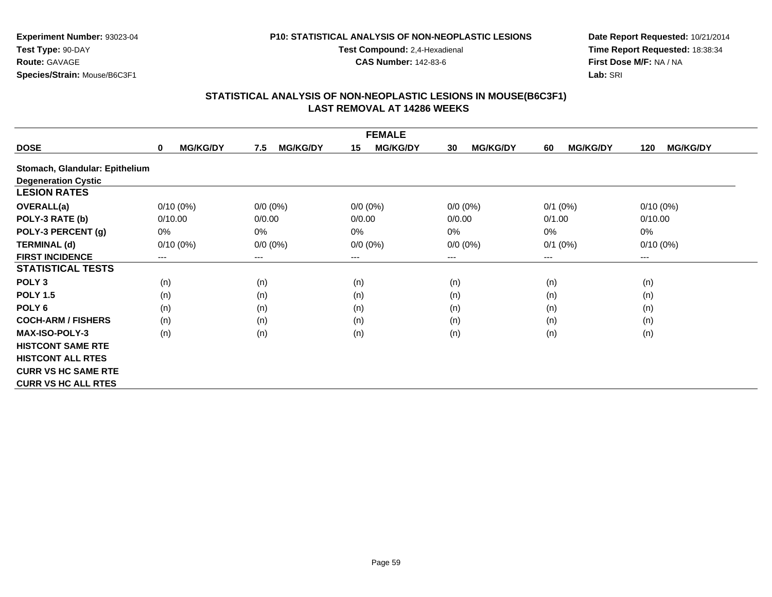#### **P10: STATISTICAL ANALYSIS OF NON-NEOPLASTIC LESIONS**

**Test Compound:** 2,4-Hexadienal

**CAS Number:** 142-83-6

**Date Report Requested:** 10/21/2014**Time Report Requested:** 18:38:34**First Dose M/F:** NA / NA**Lab:** SRI

|                                | <b>FEMALE</b>        |                        |                       |                       |                       |                        |  |  |
|--------------------------------|----------------------|------------------------|-----------------------|-----------------------|-----------------------|------------------------|--|--|
| <b>DOSE</b>                    | <b>MG/KG/DY</b><br>0 | <b>MG/KG/DY</b><br>7.5 | 15<br><b>MG/KG/DY</b> | <b>MG/KG/DY</b><br>30 | <b>MG/KG/DY</b><br>60 | <b>MG/KG/DY</b><br>120 |  |  |
| Stomach, Glandular: Epithelium |                      |                        |                       |                       |                       |                        |  |  |
| <b>Degeneration Cystic</b>     |                      |                        |                       |                       |                       |                        |  |  |
| <b>LESION RATES</b>            |                      |                        |                       |                       |                       |                        |  |  |
| <b>OVERALL(a)</b>              | $0/10(0\%)$          | $0/0 (0\%)$            | $0/0 (0\%)$           | $0/0 (0\%)$           | $0/1$ (0%)            | $0/10(0\%)$            |  |  |
| POLY-3 RATE (b)                | 0/10.00              | 0/0.00                 | 0/0.00                | 0/0.00                | 0/1.00                | 0/10.00                |  |  |
| POLY-3 PERCENT (g)             | $0\%$                | 0%                     | 0%                    | 0%                    | $0\%$                 | 0%                     |  |  |
| <b>TERMINAL (d)</b>            | $0/10(0\%)$          | $0/0 (0\%)$            | $0/0 (0\%)$           | $0/0 (0\%)$           | $0/1$ (0%)            | $0/10(0\%)$            |  |  |
| <b>FIRST INCIDENCE</b>         | $---$                | ---                    | ---                   | ---                   | $--$                  | ---                    |  |  |
| <b>STATISTICAL TESTS</b>       |                      |                        |                       |                       |                       |                        |  |  |
| POLY <sub>3</sub>              | (n)                  | (n)                    | (n)                   | (n)                   | (n)                   | (n)                    |  |  |
| <b>POLY 1.5</b>                | (n)                  | (n)                    | (n)                   | (n)                   | (n)                   | (n)                    |  |  |
| POLY <sub>6</sub>              | (n)                  | (n)                    | (n)                   | (n)                   | (n)                   | (n)                    |  |  |
| <b>COCH-ARM / FISHERS</b>      | (n)                  | (n)                    | (n)                   | (n)                   | (n)                   | (n)                    |  |  |
| <b>MAX-ISO-POLY-3</b>          | (n)                  | (n)                    | (n)                   | (n)                   | (n)                   | (n)                    |  |  |
| <b>HISTCONT SAME RTE</b>       |                      |                        |                       |                       |                       |                        |  |  |
| <b>HISTCONT ALL RTES</b>       |                      |                        |                       |                       |                       |                        |  |  |
| <b>CURR VS HC SAME RTE</b>     |                      |                        |                       |                       |                       |                        |  |  |
| <b>CURR VS HC ALL RTES</b>     |                      |                        |                       |                       |                       |                        |  |  |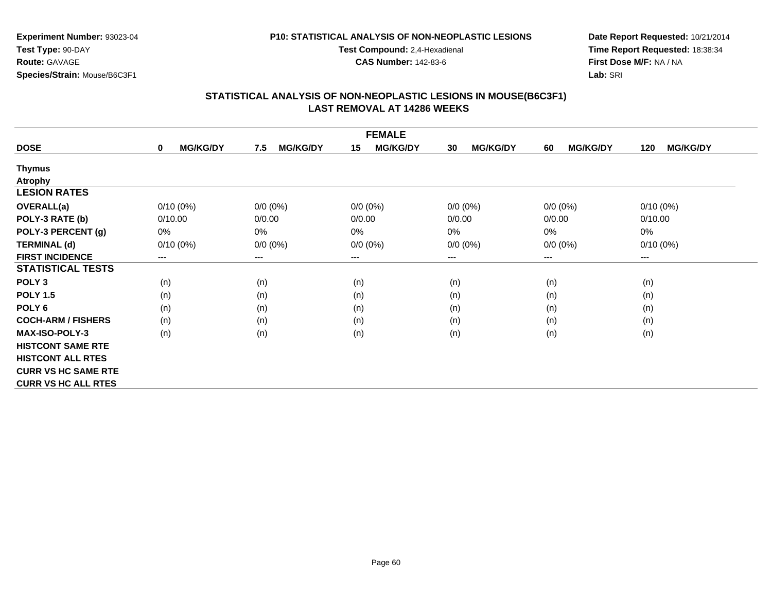### **P10: STATISTICAL ANALYSIS OF NON-NEOPLASTIC LESIONS**

**Test Compound:** 2,4-Hexadienal

**CAS Number:** 142-83-6

**Date Report Requested:** 10/21/2014**Time Report Requested:** 18:38:34**First Dose M/F:** NA / NA**Lab:** SRI

|                            |                                |                        | <b>FEMALE</b>              |                            |                       |                        |
|----------------------------|--------------------------------|------------------------|----------------------------|----------------------------|-----------------------|------------------------|
| <b>DOSE</b>                | <b>MG/KG/DY</b><br>$\mathbf 0$ | <b>MG/KG/DY</b><br>7.5 | <b>MG/KG/DY</b><br>15      | <b>MG/KG/DY</b><br>30      | <b>MG/KG/DY</b><br>60 | <b>MG/KG/DY</b><br>120 |
| <b>Thymus</b>              |                                |                        |                            |                            |                       |                        |
| <b>Atrophy</b>             |                                |                        |                            |                            |                       |                        |
| <b>LESION RATES</b>        |                                |                        |                            |                            |                       |                        |
| <b>OVERALL(a)</b>          | $0/10(0\%)$                    | $0/0 (0\%)$            | $0/0(0\%)$                 | $0/0 (0\%)$                | $0/0 (0\%)$           | 0/10(0%)               |
| POLY-3 RATE (b)            | 0/10.00                        | 0/0.00                 | 0/0.00                     | 0/0.00                     | 0/0.00                | 0/10.00                |
| POLY-3 PERCENT (g)         | $0\%$                          | 0%                     | 0%                         | 0%                         | 0%                    | 0%                     |
| <b>TERMINAL (d)</b>        | $0/10(0\%)$                    | $0/0 (0\%)$            | $0/0 (0\%)$                | $0/0 (0\%)$                | $0/0 (0\%)$           | $0/10(0\%)$            |
| <b>FIRST INCIDENCE</b>     | ---                            | $---$                  | $\qquad \qquad - \qquad -$ | $\qquad \qquad - \qquad -$ | $---$                 | ---                    |
| <b>STATISTICAL TESTS</b>   |                                |                        |                            |                            |                       |                        |
| POLY <sub>3</sub>          | (n)                            | (n)                    | (n)                        | (n)                        | (n)                   | (n)                    |
| <b>POLY 1.5</b>            | (n)                            | (n)                    | (n)                        | (n)                        | (n)                   | (n)                    |
| POLY <sub>6</sub>          | (n)                            | (n)                    | (n)                        | (n)                        | (n)                   | (n)                    |
| <b>COCH-ARM / FISHERS</b>  | (n)                            | (n)                    | (n)                        | (n)                        | (n)                   | (n)                    |
| <b>MAX-ISO-POLY-3</b>      | (n)                            | (n)                    | (n)                        | (n)                        | (n)                   | (n)                    |
| <b>HISTCONT SAME RTE</b>   |                                |                        |                            |                            |                       |                        |
| <b>HISTCONT ALL RTES</b>   |                                |                        |                            |                            |                       |                        |
| <b>CURR VS HC SAME RTE</b> |                                |                        |                            |                            |                       |                        |
| <b>CURR VS HC ALL RTES</b> |                                |                        |                            |                            |                       |                        |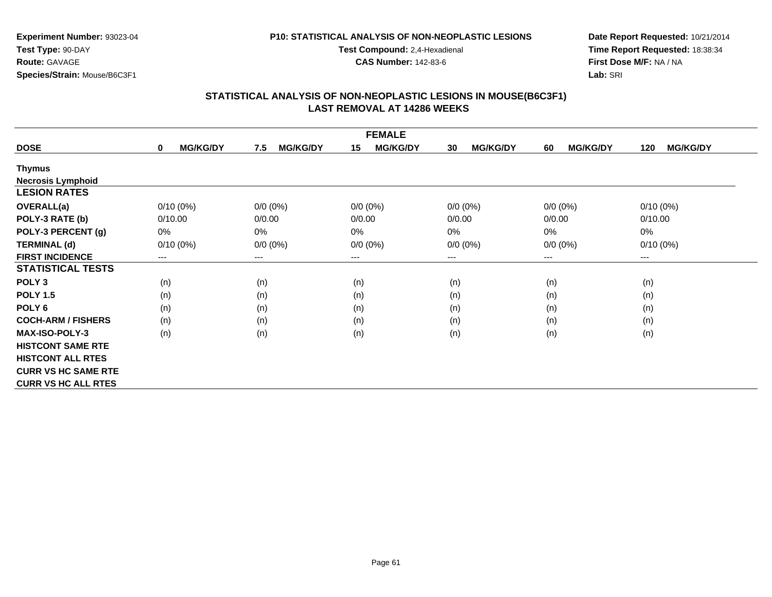#### **P10: STATISTICAL ANALYSIS OF NON-NEOPLASTIC LESIONS**

**Test Compound:** 2,4-Hexadienal

**CAS Number:** 142-83-6

**Date Report Requested:** 10/21/2014**Time Report Requested:** 18:38:34**First Dose M/F:** NA / NA**Lab:** SRI

| <b>FEMALE</b>              |                                |                        |                        |                       |                       |                        |  |
|----------------------------|--------------------------------|------------------------|------------------------|-----------------------|-----------------------|------------------------|--|
| <b>DOSE</b>                | <b>MG/KG/DY</b><br>$\mathbf 0$ | <b>MG/KG/DY</b><br>7.5 | <b>MG/KG/DY</b><br>15  | <b>MG/KG/DY</b><br>30 | <b>MG/KG/DY</b><br>60 | <b>MG/KG/DY</b><br>120 |  |
| Thymus                     |                                |                        |                        |                       |                       |                        |  |
| <b>Necrosis Lymphoid</b>   |                                |                        |                        |                       |                       |                        |  |
| <b>LESION RATES</b>        |                                |                        |                        |                       |                       |                        |  |
| <b>OVERALL(a)</b>          | $0/10(0\%)$                    | $0/0 (0\%)$            | $0/0 (0\%)$            | $0/0 (0\%)$           | $0/0 (0\%)$           | $0/10(0\%)$            |  |
| POLY-3 RATE (b)            | 0/10.00                        | 0/0.00                 | 0/0.00                 | 0/0.00                | 0/0.00                | 0/10.00                |  |
| POLY-3 PERCENT (g)         | $0\%$                          | $0\%$                  | 0%                     | 0%                    | 0%                    | 0%                     |  |
| <b>TERMINAL (d)</b>        | $0/10(0\%)$                    | $0/0 (0\%)$            | $0/0 (0\%)$            | $0/0 (0\%)$           | $0/0 (0\%)$           | $0/10(0\%)$            |  |
| <b>FIRST INCIDENCE</b>     | ---                            | $---$                  | $\qquad \qquad \cdots$ | ---                   | $---$                 | ---                    |  |
| <b>STATISTICAL TESTS</b>   |                                |                        |                        |                       |                       |                        |  |
| POLY <sub>3</sub>          | (n)                            | (n)                    | (n)                    | (n)                   | (n)                   | (n)                    |  |
| <b>POLY 1.5</b>            | (n)                            | (n)                    | (n)                    | (n)                   | (n)                   | (n)                    |  |
| POLY <sub>6</sub>          | (n)                            | (n)                    | (n)                    | (n)                   | (n)                   | (n)                    |  |
| <b>COCH-ARM / FISHERS</b>  | (n)                            | (n)                    | (n)                    | (n)                   | (n)                   | (n)                    |  |
| <b>MAX-ISO-POLY-3</b>      | (n)                            | (n)                    | (n)                    | (n)                   | (n)                   | (n)                    |  |
| <b>HISTCONT SAME RTE</b>   |                                |                        |                        |                       |                       |                        |  |
| <b>HISTCONT ALL RTES</b>   |                                |                        |                        |                       |                       |                        |  |
| <b>CURR VS HC SAME RTE</b> |                                |                        |                        |                       |                       |                        |  |
| <b>CURR VS HC ALL RTES</b> |                                |                        |                        |                       |                       |                        |  |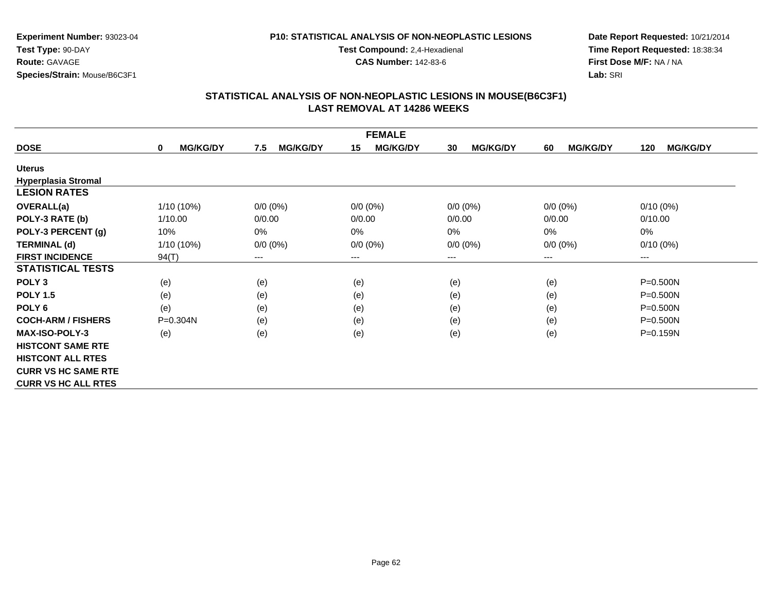### **P10: STATISTICAL ANALYSIS OF NON-NEOPLASTIC LESIONS**

**Test Compound:** 2,4-Hexadienal

**CAS Number:** 142-83-6

**Date Report Requested:** 10/21/2014**Time Report Requested:** 18:38:34**First Dose M/F:** NA / NA**Lab:** SRI

| <b>FEMALE</b>              |                                |                        |                        |                       |                       |                        |  |
|----------------------------|--------------------------------|------------------------|------------------------|-----------------------|-----------------------|------------------------|--|
| <b>DOSE</b>                | <b>MG/KG/DY</b><br>$\mathbf 0$ | <b>MG/KG/DY</b><br>7.5 | <b>MG/KG/DY</b><br>15  | <b>MG/KG/DY</b><br>30 | <b>MG/KG/DY</b><br>60 | <b>MG/KG/DY</b><br>120 |  |
| <b>Uterus</b>              |                                |                        |                        |                       |                       |                        |  |
| <b>Hyperplasia Stromal</b> |                                |                        |                        |                       |                       |                        |  |
| <b>LESION RATES</b>        |                                |                        |                        |                       |                       |                        |  |
| <b>OVERALL(a)</b>          | $1/10(10\%)$                   | $0/0 (0\%)$            | $0/0 (0\%)$            | $0/0 (0\%)$           | $0/0 (0\%)$           | $0/10(0\%)$            |  |
| POLY-3 RATE (b)            | 1/10.00                        | 0/0.00                 | 0/0.00                 | 0/0.00                | 0/0.00                | 0/10.00                |  |
| POLY-3 PERCENT (g)         | 10%                            | 0%                     | 0%                     | 0%                    | 0%                    | 0%                     |  |
| <b>TERMINAL (d)</b>        | 1/10 (10%)                     | $0/0 (0\%)$            | $0/0 (0\%)$            | $0/0 (0\%)$           | $0/0 (0\%)$           | $0/10(0\%)$            |  |
| <b>FIRST INCIDENCE</b>     | 94(T)                          | ---                    | $\qquad \qquad \cdots$ | $---$                 | $---$                 | ---                    |  |
| <b>STATISTICAL TESTS</b>   |                                |                        |                        |                       |                       |                        |  |
| POLY <sub>3</sub>          | (e)                            | (e)                    | (e)                    | (e)                   | (e)                   | $P = 0.500N$           |  |
| <b>POLY 1.5</b>            | (e)                            | (e)                    | (e)                    | (e)                   | (e)                   | $P = 0.500N$           |  |
| POLY <sub>6</sub>          | (e)                            | (e)                    | (e)                    | (e)                   | (e)                   | $P = 0.500N$           |  |
| <b>COCH-ARM / FISHERS</b>  | $P = 0.304N$                   | (e)                    | (e)                    | (e)                   | (e)                   | $P = 0.500N$           |  |
| <b>MAX-ISO-POLY-3</b>      | (e)                            | (e)                    | (e)                    | (e)                   | (e)                   | $P = 0.159N$           |  |
| <b>HISTCONT SAME RTE</b>   |                                |                        |                        |                       |                       |                        |  |
| <b>HISTCONT ALL RTES</b>   |                                |                        |                        |                       |                       |                        |  |
| <b>CURR VS HC SAME RTE</b> |                                |                        |                        |                       |                       |                        |  |
| <b>CURR VS HC ALL RTES</b> |                                |                        |                        |                       |                       |                        |  |